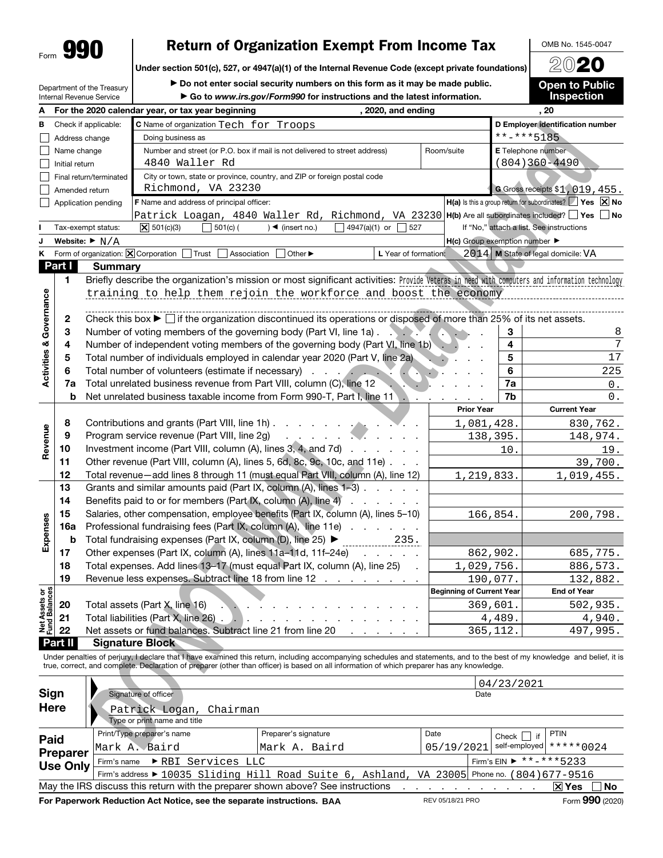Department of the Treasury

# Form **<sup>990</sup>** <sup>20</sup>**<sup>20</sup>**

OMB No. 1545-0047

**Return of Organization Exempt From Income Tax Under section 501(c), 527, or 4947(a)(1) of the Internal Revenue Code (except private foundations)**

 $\blacktriangleright$  Do not enter social security numbers on this form as it may be made public.

**Open to Public** 

|                                |                      | Internal Revenue Service              | ► Go to www.irs.gov/Form990 for instructions and the latest information.             | <b>Inspection</b>                                                                                                                                                                                                                                                                                                        |                                  |                                          |                                                                      |  |  |  |  |
|--------------------------------|----------------------|---------------------------------------|--------------------------------------------------------------------------------------|--------------------------------------------------------------------------------------------------------------------------------------------------------------------------------------------------------------------------------------------------------------------------------------------------------------------------|----------------------------------|------------------------------------------|----------------------------------------------------------------------|--|--|--|--|
|                                |                      |                                       | For the 2020 calendar year, or tax year beginning                                    |                                                                                                                                                                                                                                                                                                                          | . 20                             |                                          |                                                                      |  |  |  |  |
| в                              |                      | Check if applicable:                  | C Name of organization Tech for Troops                                               |                                                                                                                                                                                                                                                                                                                          |                                  |                                          | D Employer identification number                                     |  |  |  |  |
|                                |                      | Address change                        | Doing business as                                                                    |                                                                                                                                                                                                                                                                                                                          |                                  | **-***5185                               |                                                                      |  |  |  |  |
|                                | Name change          |                                       |                                                                                      | Number and street (or P.O. box if mail is not delivered to street address)                                                                                                                                                                                                                                               | E Telephone number<br>Room/suite |                                          |                                                                      |  |  |  |  |
|                                | Initial return       |                                       | 4840 Waller Rd                                                                       |                                                                                                                                                                                                                                                                                                                          |                                  | $(804)360 - 4490$                        |                                                                      |  |  |  |  |
|                                |                      | Final return/terminated               |                                                                                      | City or town, state or province, country, and ZIP or foreign postal code                                                                                                                                                                                                                                                 |                                  |                                          |                                                                      |  |  |  |  |
|                                |                      | Amended return                        | Richmond, VA 23230                                                                   |                                                                                                                                                                                                                                                                                                                          |                                  |                                          | G Gross receipts \$1,019,455.                                        |  |  |  |  |
|                                |                      | Application pending                   | F Name and address of principal officer:                                             |                                                                                                                                                                                                                                                                                                                          |                                  |                                          | $H(a)$ is this a group return for subordinates? $\Box$ Yes $\Box$ No |  |  |  |  |
|                                |                      |                                       |                                                                                      | Patrick Loagan, 4840 Waller Rd, Richmond, VA 23230 $ H(b)$ Are all subordinates included? $\Box$ Yes $\Box$ No                                                                                                                                                                                                           |                                  |                                          |                                                                      |  |  |  |  |
|                                |                      | Tax-exempt status:                    | $ \mathsf{X} $ 501(c)(3)<br>$501(c)$ (                                               | 4947(a)(1) or<br>527<br>$\rightarrow$ (insert no.)                                                                                                                                                                                                                                                                       |                                  | If "No," attach a list. See instructions |                                                                      |  |  |  |  |
| J                              |                      | Website: $\blacktriangleright$ N/A    |                                                                                      |                                                                                                                                                                                                                                                                                                                          |                                  | H(c) Group exemption number              |                                                                      |  |  |  |  |
| Κ                              |                      | Form of organization: $X$ Corporation | Trust<br>Association                                                                 | L Year of formation:<br>Other ▶                                                                                                                                                                                                                                                                                          |                                  |                                          | 2014 M State of legal domicile: VA                                   |  |  |  |  |
|                                | Part I               | <b>Summary</b>                        |                                                                                      |                                                                                                                                                                                                                                                                                                                          |                                  |                                          |                                                                      |  |  |  |  |
|                                | $\blacksquare$       |                                       |                                                                                      | Briefly describe the organization's mission or most significant activities: Provide Veteras in need with computers and information technology                                                                                                                                                                            |                                  |                                          |                                                                      |  |  |  |  |
|                                |                      |                                       |                                                                                      | training to help them rejoin the workforce and boost the economy                                                                                                                                                                                                                                                         |                                  |                                          |                                                                      |  |  |  |  |
|                                |                      |                                       |                                                                                      |                                                                                                                                                                                                                                                                                                                          |                                  |                                          |                                                                      |  |  |  |  |
| Activities & Governance        | 2                    |                                       |                                                                                      | Check this box $\blacktriangleright$ $\Box$ if the organization discontinued its operations or disposed of more than 25% of its net assets.                                                                                                                                                                              |                                  |                                          |                                                                      |  |  |  |  |
|                                | 3                    |                                       | Number of voting members of the governing body (Part VI, line 1a).                   |                                                                                                                                                                                                                                                                                                                          |                                  | 3                                        | 8                                                                    |  |  |  |  |
|                                | 4                    |                                       |                                                                                      | Number of independent voting members of the governing body (Part VI, line 1b).                                                                                                                                                                                                                                           |                                  | 4                                        | 7                                                                    |  |  |  |  |
|                                | 5                    |                                       |                                                                                      | Total number of individuals employed in calendar year 2020 (Part V, line 2a)                                                                                                                                                                                                                                             |                                  | 5                                        | 17                                                                   |  |  |  |  |
|                                | 6                    |                                       | Total number of volunteers (estimate if necessary) contact to the contract of        | 6                                                                                                                                                                                                                                                                                                                        | 225                              |                                          |                                                                      |  |  |  |  |
|                                | 7a                   |                                       | Total unrelated business revenue from Part VIII, column (C), line 12                 |                                                                                                                                                                                                                                                                                                                          |                                  | 7a                                       | 0.                                                                   |  |  |  |  |
|                                | b                    |                                       | Net unrelated business taxable income from Form 990-T, Part I, line 11               | 7b                                                                                                                                                                                                                                                                                                                       | 0.                               |                                          |                                                                      |  |  |  |  |
|                                |                      |                                       |                                                                                      | The Contract                                                                                                                                                                                                                                                                                                             | <b>Prior Year</b>                |                                          | <b>Current Year</b>                                                  |  |  |  |  |
|                                | 8                    |                                       | Contributions and grants (Part VIII, line 1h)                                        |                                                                                                                                                                                                                                                                                                                          | 1,081,428.                       |                                          | 830,762.                                                             |  |  |  |  |
| Revenue                        | 9                    |                                       | Program service revenue (Part VIII, line 2g)                                         | a series and                                                                                                                                                                                                                                                                                                             |                                  | 138,395.                                 | 148,974.                                                             |  |  |  |  |
|                                | 10                   |                                       |                                                                                      | Investment income (Part VIII, column (A), lines 3, 4, and 7d)                                                                                                                                                                                                                                                            |                                  | 10.                                      | 19.                                                                  |  |  |  |  |
|                                | 11                   |                                       |                                                                                      | Other revenue (Part VIII, column (A), lines 5, 6d, 8c, 9c, 10c, and 11e)                                                                                                                                                                                                                                                 |                                  |                                          | 39,700.                                                              |  |  |  |  |
|                                | 12                   |                                       | Total revenue-add lines 8 through 11 (must equal Part VIII, column (A), line 12)     |                                                                                                                                                                                                                                                                                                                          |                                  |                                          |                                                                      |  |  |  |  |
|                                | 13                   |                                       |                                                                                      | Grants and similar amounts paid (Part IX, column (A), lines 1-3)                                                                                                                                                                                                                                                         | 1,219,833.                       |                                          | 1,019,455.                                                           |  |  |  |  |
|                                | 14                   |                                       | Benefits paid to or for members (Part IX, column (A), line 4)                        | <b>Service State</b>                                                                                                                                                                                                                                                                                                     |                                  |                                          |                                                                      |  |  |  |  |
|                                | 15                   |                                       |                                                                                      | Salaries, other compensation, employee benefits (Part IX, column (A), lines 5-10)                                                                                                                                                                                                                                        |                                  |                                          |                                                                      |  |  |  |  |
|                                | 16a                  |                                       |                                                                                      | Professional fundraising fees (Part IX, column (A), line 11e)                                                                                                                                                                                                                                                            |                                  | 166,854.                                 | 200,798.                                                             |  |  |  |  |
| Expenses                       | b                    |                                       | Total fundraising expenses (Part IX, column (D), line 25) ▶                          | 235.                                                                                                                                                                                                                                                                                                                     |                                  |                                          |                                                                      |  |  |  |  |
|                                | 17                   |                                       | Other expenses (Part IX, column (A), lines 11a-11d, 11f-24e)                         |                                                                                                                                                                                                                                                                                                                          |                                  | 862,902.                                 | 685,775.                                                             |  |  |  |  |
|                                | 18                   |                                       |                                                                                      | $\mathcal{A}=\mathcal{A}=\mathcal{A}$ . The $\mathcal{A}$<br>Total expenses. Add lines 13-17 (must equal Part IX, column (A), line 25)                                                                                                                                                                                   |                                  |                                          |                                                                      |  |  |  |  |
|                                | 19                   |                                       |                                                                                      | Revenue less expenses. Subtract line 18 from line 12                                                                                                                                                                                                                                                                     | 1,029,756.                       |                                          | 886,573.                                                             |  |  |  |  |
|                                |                      |                                       |                                                                                      |                                                                                                                                                                                                                                                                                                                          | <b>Beginning of Current Year</b> | 190,077.                                 | 132,882.<br><b>End of Year</b>                                       |  |  |  |  |
| Net Assets or<br>Fund Balances |                      |                                       |                                                                                      |                                                                                                                                                                                                                                                                                                                          |                                  |                                          |                                                                      |  |  |  |  |
|                                | 20                   |                                       | Total assets (Part X, line 16)<br>Total liabilities (Part X, line 26).               |                                                                                                                                                                                                                                                                                                                          |                                  | 369,601.                                 | 502,935.                                                             |  |  |  |  |
|                                | 21                   |                                       |                                                                                      |                                                                                                                                                                                                                                                                                                                          |                                  | 4,489.                                   | 4,940.                                                               |  |  |  |  |
|                                | 22<br><b>Part II</b> |                                       | Net assets or fund balances. Subtract line 21 from line 20<br><b>Signature Block</b> |                                                                                                                                                                                                                                                                                                                          |                                  | 365,112.                                 | 497,995.                                                             |  |  |  |  |
|                                |                      |                                       |                                                                                      |                                                                                                                                                                                                                                                                                                                          |                                  |                                          |                                                                      |  |  |  |  |
|                                |                      |                                       |                                                                                      | Under penalties of perjury, I declare that I have examined this return, including accompanying schedules and statements, and to the best of my knowledge and belief, it is<br>true, correct, and complete. Declaration of preparer (other than officer) is based on all information of which preparer has any knowledge. |                                  |                                          |                                                                      |  |  |  |  |
|                                |                      |                                       |                                                                                      |                                                                                                                                                                                                                                                                                                                          |                                  | 04/23/2021                               |                                                                      |  |  |  |  |
|                                | <b>Sign</b>          |                                       | Signature of officer                                                                 |                                                                                                                                                                                                                                                                                                                          | Date                             |                                          |                                                                      |  |  |  |  |
|                                | <b>Here</b>          |                                       | Chairman<br>Patrick Logan,                                                           |                                                                                                                                                                                                                                                                                                                          |                                  |                                          |                                                                      |  |  |  |  |
|                                |                      |                                       | Type or print name and title                                                         |                                                                                                                                                                                                                                                                                                                          |                                  |                                          |                                                                      |  |  |  |  |
|                                |                      |                                       | Print/Type preparer's name                                                           | Preparer's signature                                                                                                                                                                                                                                                                                                     | Date                             | $ $ if<br>Check                          | <b>PTIN</b>                                                          |  |  |  |  |
|                                | Paid                 |                                       | Mark A Raird                                                                         | Mark A Baird                                                                                                                                                                                                                                                                                                             | 05/19/2021                       |                                          | self-employed $\star \star \star \star \eta$ 024                     |  |  |  |  |

|             |                                                                                                                                                                 | 04/23/2021                    |            |                        |                                                                |  |  |  |  |  |  |  |
|-------------|-----------------------------------------------------------------------------------------------------------------------------------------------------------------|-------------------------------|------------|------------------------|----------------------------------------------------------------|--|--|--|--|--|--|--|
| Sign        | Signature of officer                                                                                                                                            | Date                          |            |                        |                                                                |  |  |  |  |  |  |  |
| <b>Here</b> | Patrick Logan, Chairman                                                                                                                                         |                               |            |                        |                                                                |  |  |  |  |  |  |  |
|             | Type or print name and title                                                                                                                                    |                               |            |                        |                                                                |  |  |  |  |  |  |  |
| <b>Paid</b> | Print/Type preparer's name                                                                                                                                      | Preparer's signature          | Date       | Check $\vert \vert$ if | PTIN                                                           |  |  |  |  |  |  |  |
| Preparer    | Mark A. Baird                                                                                                                                                   | Mark A. Baird                 | 05/19/2021 |                        | self-employed $\star \star \star \star \cdot \cdot \cdot$ 0.24 |  |  |  |  |  |  |  |
| Use Only    | Firm's name ▶ RBI Services LLC                                                                                                                                  | Firm's EIN $* * - * * * 5233$ |            |                        |                                                                |  |  |  |  |  |  |  |
|             | Firm's address ▶ 10035 Sliding Hill Road Suite 6, Ashland, VA 23005 Phone no. (804) 677-9516                                                                    |                               |            |                        |                                                                |  |  |  |  |  |  |  |
|             | May the IRS discuss this return with the preparer shown above? See instructions enter the last state of the state of the preparer shown above? See instructions |                               |            |                        | $ \mathsf{X} $ Yes $ \mathsf{No} $                             |  |  |  |  |  |  |  |
|             | Form 990 (2020)<br>For Paperwork Reduction Act Notice, see the separate instructions. BAA<br>REV 05/18/21 PRO                                                   |                               |            |                        |                                                                |  |  |  |  |  |  |  |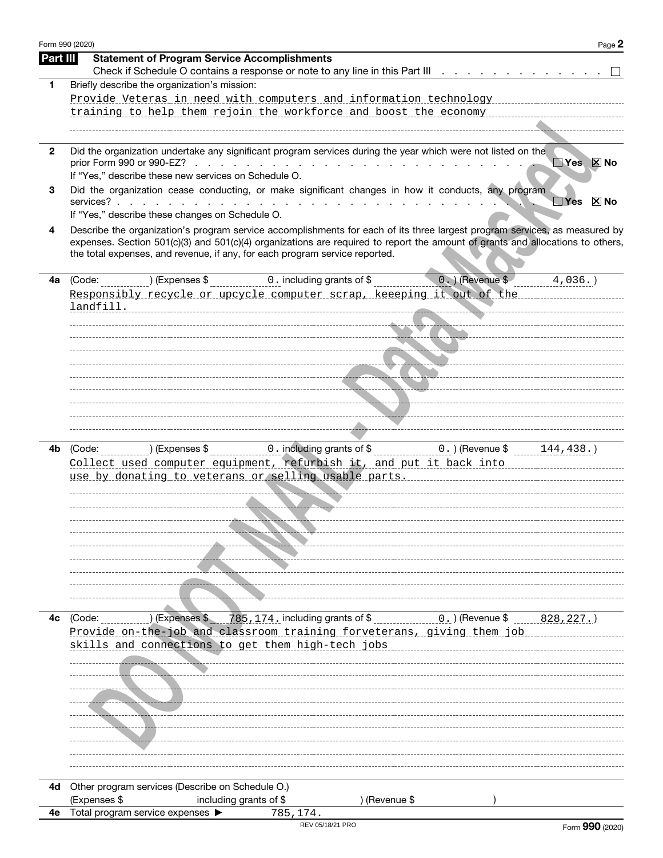|              | Form 990 (2020)<br>Page 2                                                                                                                                                                                                                                                                                                                   |
|--------------|---------------------------------------------------------------------------------------------------------------------------------------------------------------------------------------------------------------------------------------------------------------------------------------------------------------------------------------------|
| Part III     | <b>Statement of Program Service Accomplishments</b>                                                                                                                                                                                                                                                                                         |
|              | Check if Schedule O contains a response or note to any line in this Part III                                                                                                                                                                                                                                                                |
| 1            | Briefly describe the organization's mission:                                                                                                                                                                                                                                                                                                |
|              | Provide Veteras in need with computers and information technology                                                                                                                                                                                                                                                                           |
|              |                                                                                                                                                                                                                                                                                                                                             |
|              |                                                                                                                                                                                                                                                                                                                                             |
| $\mathbf{2}$ | Did the organization undertake any significant program services during the year which were not listed on the<br>$Yes \times No$<br>prior Form 990 or 990-EZ?<br>If "Yes," describe these new services on Schedule O.                                                                                                                        |
| 3            | Did the organization cease conducting, or make significant changes in how it conducts, any program<br>services?.<br>$\overline{X}$ No<br><b>Yes</b><br>If "Yes," describe these changes on Schedule O.                                                                                                                                      |
| 4            | Describe the organization's program service accomplishments for each of its three largest program services, as measured by<br>expenses. Section 501(c)(3) and 501(c)(4) organizations are required to report the amount of grants and allocations to others,<br>the total expenses, and revenue, if any, for each program service reported. |
| 4a           | 0. (Revenue \$ 4,036.)                                                                                                                                                                                                                                                                                                                      |
|              | Responsibly_recycle_or_upcycle_computer_scrap__keeeping_it_out_of_the                                                                                                                                                                                                                                                                       |
| 4b.          | Collect used computer equipment, refurbish it, and put it back into                                                                                                                                                                                                                                                                         |
|              |                                                                                                                                                                                                                                                                                                                                             |
| 4c           | (Code:<br>Provide on-the-job and classroom training forveterans, giving them job<br>skills and connections to get them high-tech jobs                                                                                                                                                                                                       |
|              | Other program services (Describe on Schedule O.)                                                                                                                                                                                                                                                                                            |
| 4d           | (Expenses \$<br>) (Revenue \$<br>including grants of \$                                                                                                                                                                                                                                                                                     |
| 4e           | Total program service expenses ▶<br>785,174.                                                                                                                                                                                                                                                                                                |
|              |                                                                                                                                                                                                                                                                                                                                             |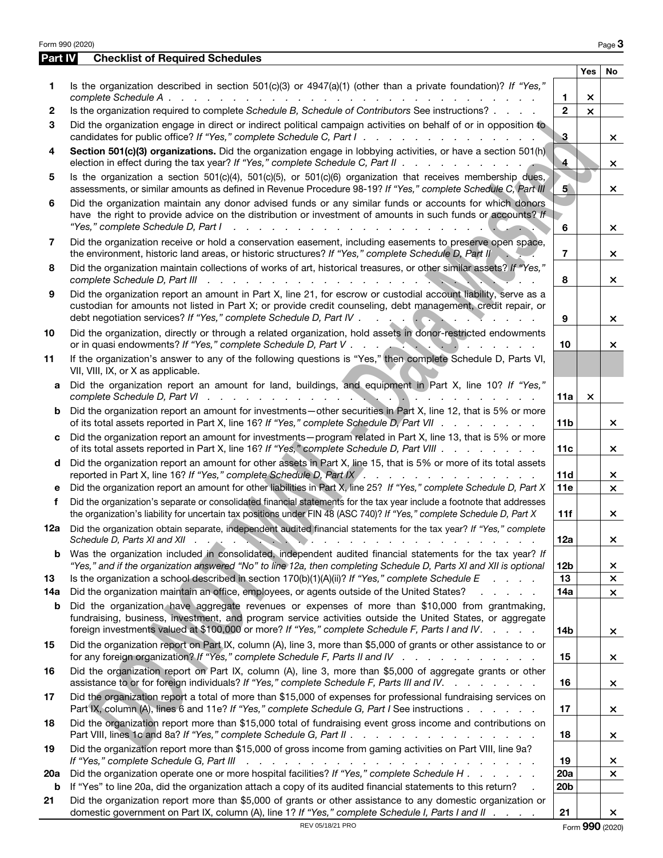|                | Form 990 (2020)                                                                                                                                                                                                                                                                                                                                                                                                                                                                                                                 |                      |                           | Page $3$                  |
|----------------|---------------------------------------------------------------------------------------------------------------------------------------------------------------------------------------------------------------------------------------------------------------------------------------------------------------------------------------------------------------------------------------------------------------------------------------------------------------------------------------------------------------------------------|----------------------|---------------------------|---------------------------|
| <b>Part IV</b> | <b>Checklist of Required Schedules</b>                                                                                                                                                                                                                                                                                                                                                                                                                                                                                          |                      |                           |                           |
|                |                                                                                                                                                                                                                                                                                                                                                                                                                                                                                                                                 |                      | <b>Yes</b>                | <b>No</b>                 |
| 1              | Is the organization described in section $501(c)(3)$ or $4947(a)(1)$ (other than a private foundation)? If "Yes,"<br>complete Schedule A.                                                                                                                                                                                                                                                                                                                                                                                       | 1.                   | X                         |                           |
| 2              | Is the organization required to complete Schedule B, Schedule of Contributors See instructions?                                                                                                                                                                                                                                                                                                                                                                                                                                 | $\mathbf{2}$         | $\boldsymbol{\mathsf{x}}$ |                           |
| 3              | Did the organization engage in direct or indirect political campaign activities on behalf of or in opposition to                                                                                                                                                                                                                                                                                                                                                                                                                |                      |                           |                           |
|                | candidates for public office? If "Yes," complete Schedule C, Part I.                                                                                                                                                                                                                                                                                                                                                                                                                                                            | 3                    |                           | $\times$                  |
| 4              | Section 501(c)(3) organizations. Did the organization engage in lobbying activities, or have a section 501(h)<br>election in effect during the tax year? If "Yes," complete Schedule C, Part II $\ldots$                                                                                                                                                                                                                                                                                                                        | $\blacktriangleleft$ |                           | $\times$                  |
| 5              | Is the organization a section $501(c)(4)$ , $501(c)(5)$ , or $501(c)(6)$ organization that receives membership dues,<br>assessments, or similar amounts as defined in Revenue Procedure 98-19? If "Yes," complete Schedule C, Part III                                                                                                                                                                                                                                                                                          | 5 <sup>1</sup>       |                           | $\times$                  |
| 6              | Did the organization maintain any donor advised funds or any similar funds or accounts for which donors<br>have the right to provide advice on the distribution or investment of amounts in such funds or accounts? If<br>"Yes," complete Schedule D, Part I<br>and a contract of the contract of the contract of the contract of the contract of the contract of the contract of the contract of the contract of the contract of the contract of the contract of the contract of the contract<br>$\mathbf{r}$ and $\mathbf{r}$ | 6                    |                           | ×.                        |
| 7              | Did the organization receive or hold a conservation easement, including easements to preserve open space,<br>the environment, historic land areas, or historic structures? If "Yes," complete Schedule D, Part II                                                                                                                                                                                                                                                                                                               | $\overline{7}$       |                           | ×.                        |
| 8              | Did the organization maintain collections of works of art, historical treasures, or other similar assets? If "Yes,"<br>complete Schedule D, Part III<br>.                                                                                                                                                                                                                                                                                                                                                                       | 8                    |                           | $\times$                  |
| 9              | Did the organization report an amount in Part X, line 21, for escrow or custodial account liability, serve as a<br>custodian for amounts not listed in Part X; or provide credit counseling, debt management, credit repair, or<br>debt negotiation services? If "Yes," complete Schedule D, Part IV .                                                                                                                                                                                                                          | 9                    |                           | ×                         |
| 10             | Did the organization, directly or through a related organization, hold assets in donor-restricted endowments<br>or in quasi endowments? If "Yes," complete Schedule D, Part V.                                                                                                                                                                                                                                                                                                                                                  | 10                   |                           | $\times$                  |
| 11             | If the organization's answer to any of the following questions is "Yes," then complete Schedule D, Parts VI,<br>VII, VIII, IX, or X as applicable.                                                                                                                                                                                                                                                                                                                                                                              |                      |                           |                           |
| a              | Did the organization report an amount for land, buildings, and equipment in Part X, line 10? If "Yes,"<br>complete Schedule D, Part VI                                                                                                                                                                                                                                                                                                                                                                                          | 11a                  | $\boldsymbol{\mathsf{x}}$ |                           |
| b              | Did the organization report an amount for investments—other securities in Part X, line 12, that is 5% or more<br>of its total assets reported in Part X, line 16? If "Yes," complete Schedule D, Part VII                                                                                                                                                                                                                                                                                                                       | 11 <sub>b</sub>      |                           | $\times$                  |
| c              | Did the organization report an amount for investments-program related in Part X, line 13, that is 5% or more<br>of its total assets reported in Part X, line 16? If "Yes," complete Schedule D, Part VIII                                                                                                                                                                                                                                                                                                                       | 11c                  |                           | ×.                        |
| d              | Did the organization report an amount for other assets in Part X, line 15, that is 5% or more of its total assets<br>reported in Part X, line 16? If "Yes," complete Schedule D, Part IX /                                                                                                                                                                                                                                                                                                                                      | 11d                  |                           | ×                         |
| е              | Did the organization report an amount for other liabilities in Part X, line 25? If "Yes," complete Schedule D, Part X                                                                                                                                                                                                                                                                                                                                                                                                           | 11e                  |                           | $\boldsymbol{\mathsf{x}}$ |
| f              | Did the organization's separate or consolidated financial statements for the tax year include a footnote that addresses<br>the organization's liability for uncertain tax positions under FIN 48 (ASC 740)? If "Yes," complete Schedule D, Part X                                                                                                                                                                                                                                                                               | 11f                  |                           | ×.                        |
| 12a            | Did the organization obtain separate, independent audited financial statements for the tax year? If "Yes," complete<br>Schedule D, Parts XI and XII .<br><u> Alexander de la partida de la partida de la partida de la partida de la partida de la partida de la partida de la partida de la partida de la partida de la partida de la partida de la partida de la partida de la partida </u>                                                                                                                                   | 12a                  |                           | $\times$                  |
| b              | Was the organization included in consolidated, independent audited financial statements for the tax year? If<br>"Yes," and if the organization answered "No" to line 12a, then completing Schedule D, Parts XI and XII is optional                                                                                                                                                                                                                                                                                              | 12 <sub>b</sub>      |                           | $\times$                  |
| 13             | Is the organization a school described in section $170(b)(1)(A)(ii)?$ If "Yes," complete Schedule E                                                                                                                                                                                                                                                                                                                                                                                                                             | 13                   |                           | $\times$                  |
| 14a            | Did the organization maintain an office, employees, or agents outside of the United States?                                                                                                                                                                                                                                                                                                                                                                                                                                     | 14a                  |                           | $\boldsymbol{\mathsf{x}}$ |
| b              | Did the organization have aggregate revenues or expenses of more than \$10,000 from grantmaking,<br>fundraising, business, investment, and program service activities outside the United States, or aggregate<br>foreign investments valued at \$100,000 or more? If "Yes," complete Schedule F, Parts I and IV.                                                                                                                                                                                                                | 14b                  |                           | $\boldsymbol{\mathsf{x}}$ |
| 15             | Did the organization report on Part IX, column (A), line 3, more than \$5,000 of grants or other assistance to or<br>for any foreign organization? If "Yes," complete Schedule F, Parts II and IV                                                                                                                                                                                                                                                                                                                               | 15                   |                           | $\boldsymbol{\mathsf{x}}$ |
| 16             | Did the organization report on Part IX, column (A), line 3, more than \$5,000 of aggregate grants or other<br>assistance to or for foreign individuals? If "Yes," complete Schedule F, Parts III and IV.                                                                                                                                                                                                                                                                                                                        | 16                   |                           | $\boldsymbol{\mathsf{x}}$ |
| 17             | Did the organization report a total of more than \$15,000 of expenses for professional fundraising services on<br>Part IX, column (A), lines 6 and 11e? If "Yes," complete Schedule G, Part I See instructions                                                                                                                                                                                                                                                                                                                  | 17                   |                           | $\boldsymbol{\mathsf{x}}$ |
| 18             | Did the organization report more than \$15,000 total of fundraising event gross income and contributions on<br>Part VIII, lines 1c and 8a? If "Yes," complete Schedule G, Part II                                                                                                                                                                                                                                                                                                                                               | 18                   |                           | $\boldsymbol{\mathsf{x}}$ |
| 19             | Did the organization report more than \$15,000 of gross income from gaming activities on Part VIII, line 9a?<br>If "Yes," complete Schedule G, Part III<br>والمتحاول والمتحاول والمتحاول والمتحاول والمتحاول والمتحاول والمتحاولة                                                                                                                                                                                                                                                                                               | 19                   |                           | $\times$                  |
| 20a            | Did the organization operate one or more hospital facilities? If "Yes," complete Schedule H                                                                                                                                                                                                                                                                                                                                                                                                                                     | 20a                  |                           | $\times$                  |
| b              | If "Yes" to line 20a, did the organization attach a copy of its audited financial statements to this return?                                                                                                                                                                                                                                                                                                                                                                                                                    | 20 <sub>b</sub>      |                           |                           |
| 21             | Did the organization report more than \$5,000 of grants or other assistance to any domestic organization or<br>domestic government on Part IX, column (A), line 1? If "Yes," complete Schedule I, Parts I and II                                                                                                                                                                                                                                                                                                                | 21                   |                           | $\times$                  |
|                | REV 05/18/21 PRO                                                                                                                                                                                                                                                                                                                                                                                                                                                                                                                |                      |                           | Form 990 (2020)           |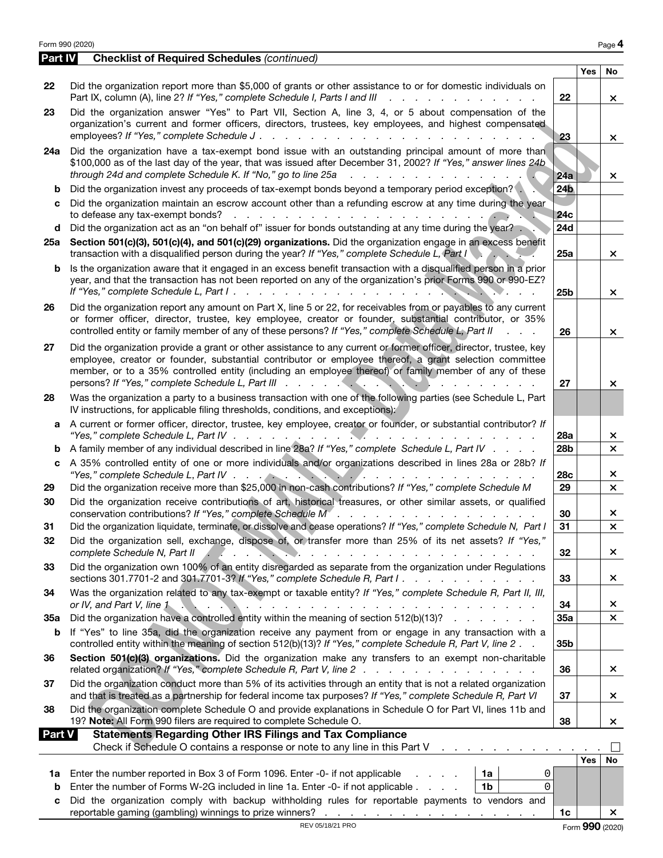|                | Form 990 (2020)                                                                                                                                                                                                                                                                                                                                                                                                                                                                                                              |                                    |     | Page 4   |
|----------------|------------------------------------------------------------------------------------------------------------------------------------------------------------------------------------------------------------------------------------------------------------------------------------------------------------------------------------------------------------------------------------------------------------------------------------------------------------------------------------------------------------------------------|------------------------------------|-----|----------|
| <b>Part IV</b> | <b>Checklist of Required Schedules (continued)</b>                                                                                                                                                                                                                                                                                                                                                                                                                                                                           |                                    |     |          |
|                |                                                                                                                                                                                                                                                                                                                                                                                                                                                                                                                              |                                    | Yes | No       |
| 22             | Did the organization report more than \$5,000 of grants or other assistance to or for domestic individuals on<br>Part IX, column (A), line 2? If "Yes," complete Schedule I, Parts I and III<br>$\frac{1}{2}$ , $\frac{1}{2}$ , $\frac{1}{2}$ , $\frac{1}{2}$ , $\frac{1}{2}$ , $\frac{1}{2}$ , $\frac{1}{2}$ , $\frac{1}{2}$ , $\frac{1}{2}$ , $\frac{1}{2}$                                                                                                                                                                | 22                                 |     | $\times$ |
| 23             | Did the organization answer "Yes" to Part VII, Section A, line 3, 4, or 5 about compensation of the<br>organization's current and former officers, directors, trustees, key employees, and highest compensated<br>employees? If "Yes," complete Schedule J.<br>$\sim$<br>$\mathbf{L}$ and $\mathbf{L}$<br>and a straight and a straight                                                                                                                                                                                      | 23                                 |     | $\times$ |
| 24a            | Did the organization have a tax-exempt bond issue with an outstanding principal amount of more than<br>\$100,000 as of the last day of the year, that was issued after December 31, 2002? If "Yes," answer lines 24b<br>through 24d and complete Schedule K. If "No," go to line 25a<br><u>in the series of the series of the series of the series of the series of the series of the series of the series of the series of the series of the series of the series of the series of the series of the series of the seri</u> | 24a                                |     | ×.       |
| b<br>c         | Did the organization invest any proceeds of tax-exempt bonds beyond a temporary period exception?<br>Did the organization maintain an escrow account other than a refunding escrow at any time during the year                                                                                                                                                                                                                                                                                                               | 24 <sub>b</sub><br>24 <sub>c</sub> |     |          |
| d              | to defease any tax-exempt bonds?<br>and the contract of the contract of the contract of the<br>Did the organization act as an "on behalf of" issuer for bonds outstanding at any time during the year?.                                                                                                                                                                                                                                                                                                                      | 24d                                |     |          |
| 25а            | Section 501(c)(3), 501(c)(4), and 501(c)(29) organizations. Did the organization engage in an excess benefit<br>transaction with a disqualified person during the year? If "Yes," complete Schedule L, Part I                                                                                                                                                                                                                                                                                                                | 25a                                |     | ×.       |
| b              | Is the organization aware that it engaged in an excess benefit transaction with a disqualified person in a prior<br>year, and that the transaction has not been reported on any of the organization's prior Forms 990 or 990-EZ?<br>If "Yes," complete Schedule L, Part I.<br><b>Service</b> State                                                                                                                                                                                                                           | 25 <sub>b</sub>                    |     | ×        |
| 26             | Did the organization report any amount on Part X, line 5 or 22, for receivables from or payables to any current<br>or former officer, director, trustee, key employee, creator or founder, substantial contributor, or 35%<br>controlled entity or family member of any of these persons? If "Yes," complete Schedule L, Part II<br>and the                                                                                                                                                                                  | 26                                 |     | $\times$ |
| 27             | Did the organization provide a grant or other assistance to any current or former officer, director, trustee, key<br>employee, creator or founder, substantial contributor or employee thereof, a grant selection committee<br>member, or to a 35% controlled entity (including an employee thereof) or family member of any of these<br>persons? If "Yes," complete Schedule L, Part III                                                                                                                                    | 27                                 |     | ×        |
| 28             | Was the organization a party to a business transaction with one of the following parties (see Schedule L, Part<br>IV instructions, for applicable filing thresholds, conditions, and exceptions):                                                                                                                                                                                                                                                                                                                            |                                    |     |          |
|                | a A current or former officer, director, trustee, key employee, creator or founder, or substantial contributor? If<br>"Yes," complete Schedule L, Part IV $\ldots$ , $\ldots$ , $\ldots$                                                                                                                                                                                                                                                                                                                                     | 28a                                |     | ×.       |
| b              | A family member of any individual described in line 28a? If "Yes," complete Schedule L, Part IV                                                                                                                                                                                                                                                                                                                                                                                                                              | 28b                                |     | $\times$ |
| c              | A 35% controlled entity of one or more individuals and/or organizations described in lines 28a or 28b? If<br>"Yes," complete Schedule L, Part IV<br><b>SANT</b><br><b>Contract Contract</b><br>.                                                                                                                                                                                                                                                                                                                             | 28c                                |     | ×        |
| 29             | Did the organization receive more than \$25,000 in non-cash contributions? If "Yes," complete Schedule M                                                                                                                                                                                                                                                                                                                                                                                                                     | 29                                 |     | $\times$ |
| 30             | Did the organization receive contributions of art, historical treasures, or other similar assets, or qualified<br>conservation contributions? If "Yes," complete Schedule M                                                                                                                                                                                                                                                                                                                                                  | 30                                 |     | ×        |
| 31             | Did the organization liquidate, terminate, or dissolve and cease operations? If "Yes," complete Schedule N, Part I                                                                                                                                                                                                                                                                                                                                                                                                           | $\overline{31}$                    |     | $\times$ |
| 32             | Did the organization sell, exchange, dispose of, or transfer more than 25% of its net assets? If "Yes,"<br>complete Schedule N, Part II<br>2. Z. 7<br>and the contract of the contract of the contract of the contract of the contract of the contract of the contract of the contract of the contract of the contract of the contract of the contract of the contract of the contra                                                                                                                                         | 32                                 |     | ×.       |
| 33             | Did the organization own 100% of an entity disregarded as separate from the organization under Regulations<br>sections 301.7701-2 and 301.7701-3? If "Yes," complete Schedule R, Part I.                                                                                                                                                                                                                                                                                                                                     | 33                                 |     | ×        |
| 34             | Was the organization related to any tax-exempt or taxable entity? If "Yes," complete Schedule R, Part II, III,<br>or IV, and Part V, line 1                                                                                                                                                                                                                                                                                                                                                                                  | 34                                 |     | ×        |
| 35а            | Did the organization have a controlled entity within the meaning of section 512(b)(13)?                                                                                                                                                                                                                                                                                                                                                                                                                                      | 35a                                |     | $\times$ |
| b              | If "Yes" to line 35a, did the organization receive any payment from or engage in any transaction with a<br>controlled entity within the meaning of section 512(b)(13)? If "Yes," complete Schedule R, Part V, line 2. .                                                                                                                                                                                                                                                                                                      | 35b                                |     |          |
| 36             | Section 501(c)(3) organizations. Did the organization make any transfers to an exempt non-charitable<br>related organization? If "Yes," complete Schedule R, Part V, line 2                                                                                                                                                                                                                                                                                                                                                  | 36                                 |     | ×.       |
| 37             | Did the organization conduct more than 5% of its activities through an entity that is not a related organization<br>and that is treated as a partnership for federal income tax purposes? If "Yes," complete Schedule R, Part VI                                                                                                                                                                                                                                                                                             | 37                                 |     | ×.       |
| 38             | Did the organization complete Schedule O and provide explanations in Schedule O for Part VI, lines 11b and<br>19? Note: All Form 990 filers are required to complete Schedule O.                                                                                                                                                                                                                                                                                                                                             | 38                                 |     | ×.       |
| <b>Part V</b>  | <b>Statements Regarding Other IRS Filings and Tax Compliance</b><br>Check if Schedule O contains a response or note to any line in this Part V                                                                                                                                                                                                                                                                                                                                                                               |                                    |     |          |
|                |                                                                                                                                                                                                                                                                                                                                                                                                                                                                                                                              |                                    | Yes | No       |
| 1a<br>b        | Enter the number reported in Box 3 of Form 1096. Enter -0- if not applicable<br>1a<br>0<br>Enter the number of Forms W-2G included in line 1a. Enter -0- if not applicable.<br>1 <sub>b</sub><br>$\Omega$                                                                                                                                                                                                                                                                                                                    |                                    |     |          |
| c              | Did the organization comply with backup withholding rules for reportable payments to vendors and                                                                                                                                                                                                                                                                                                                                                                                                                             |                                    |     |          |
|                |                                                                                                                                                                                                                                                                                                                                                                                                                                                                                                                              | 1c                                 |     | ×        |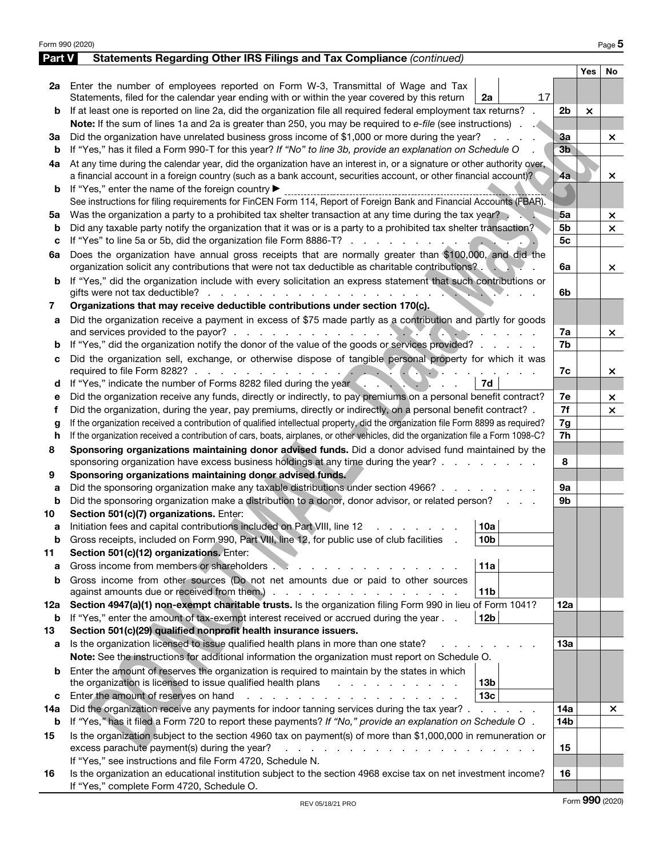| Form 990 (2020) |                                                                                                                                                                                               |                             |     | Page 5                |  |  |  |  |  |  |  |
|-----------------|-----------------------------------------------------------------------------------------------------------------------------------------------------------------------------------------------|-----------------------------|-----|-----------------------|--|--|--|--|--|--|--|
| Part V          | Statements Regarding Other IRS Filings and Tax Compliance (continued)                                                                                                                         |                             |     |                       |  |  |  |  |  |  |  |
|                 |                                                                                                                                                                                               |                             | Yes | No                    |  |  |  |  |  |  |  |
| 2a              | Enter the number of employees reported on Form W-3, Transmittal of Wage and Tax                                                                                                               |                             |     |                       |  |  |  |  |  |  |  |
|                 | 17<br>Statements, filed for the calendar year ending with or within the year covered by this return<br>2a                                                                                     |                             |     |                       |  |  |  |  |  |  |  |
| b               | If at least one is reported on line 2a, did the organization file all required federal employment tax returns?                                                                                | 2 <sub>b</sub>              | ×   |                       |  |  |  |  |  |  |  |
|                 | Note: If the sum of lines 1a and 2a is greater than 250, you may be required to e-file (see instructions).                                                                                    |                             |     |                       |  |  |  |  |  |  |  |
| За              | Did the organization have unrelated business gross income of \$1,000 or more during the year?                                                                                                 | <b>3a</b>                   |     | ×                     |  |  |  |  |  |  |  |
| b               | If "Yes," has it filed a Form 990-T for this year? If "No" to line 3b, provide an explanation on Schedule O                                                                                   | 3 <sub>b</sub>              |     |                       |  |  |  |  |  |  |  |
| 4a              | At any time during the calendar year, did the organization have an interest in, or a signature or other authority over,                                                                       |                             |     |                       |  |  |  |  |  |  |  |
|                 | a financial account in a foreign country (such as a bank account, securities account, or other financial account)?                                                                            | 4a                          |     | ×                     |  |  |  |  |  |  |  |
| b               | If "Yes," enter the name of the foreign country ▶                                                                                                                                             |                             |     |                       |  |  |  |  |  |  |  |
|                 | See instructions for filing requirements for FinCEN Form 114, Report of Foreign Bank and Financial Accounts (FBAR).                                                                           |                             |     |                       |  |  |  |  |  |  |  |
| 5a              | Was the organization a party to a prohibited tax shelter transaction at any time during the tax year?                                                                                         | <b>5a</b><br>5 <sub>b</sub> |     | ×                     |  |  |  |  |  |  |  |
| b               | Did any taxable party notify the organization that it was or is a party to a prohibited tax shelter transaction?                                                                              |                             |     |                       |  |  |  |  |  |  |  |
| c               | If "Yes" to line 5a or 5b, did the organization file Form 8886-T?                                                                                                                             |                             |     |                       |  |  |  |  |  |  |  |
| 6a              | Does the organization have annual gross receipts that are normally greater than \$100,000, and did the                                                                                        |                             |     |                       |  |  |  |  |  |  |  |
|                 | organization solicit any contributions that were not tax deductible as charitable contributions?.                                                                                             | 6a                          |     | $\boldsymbol{\times}$ |  |  |  |  |  |  |  |
| b               | If "Yes," did the organization include with every solicitation an express statement that such contributions or                                                                                |                             |     |                       |  |  |  |  |  |  |  |
|                 | gifts were not tax deductible?<br>and a series and a series and a series                                                                                                                      | 6b                          |     |                       |  |  |  |  |  |  |  |
| 7               | Organizations that may receive deductible contributions under section 170(c).                                                                                                                 |                             |     |                       |  |  |  |  |  |  |  |
| a               | Did the organization receive a payment in excess of \$75 made partly as a contribution and partly for goods                                                                                   |                             |     |                       |  |  |  |  |  |  |  |
|                 |                                                                                                                                                                                               | 7a                          |     | $\times$              |  |  |  |  |  |  |  |
| b               | If "Yes," did the organization notify the donor of the value of the goods or services provided?                                                                                               | 7b                          |     |                       |  |  |  |  |  |  |  |
| с               | Did the organization sell, exchange, or otherwise dispose of tangible personal property for which it was                                                                                      |                             |     |                       |  |  |  |  |  |  |  |
|                 | required to file Form 8282? $\ldots$ $\ldots$ $\ldots$ $\ldots$ $\ldots$<br>7d                                                                                                                | 7c                          |     | ×                     |  |  |  |  |  |  |  |
| d<br>е          | If "Yes," indicate the number of Forms 8282 filed during the year<br>Did the organization receive any funds, directly or indirectly, to pay premiums on a personal benefit contract?          | 7e                          |     |                       |  |  |  |  |  |  |  |
| f               | Did the organization, during the year, pay premiums, directly or indirectly, on a personal benefit contract? .                                                                                | 7f                          |     | ×<br>$\times$         |  |  |  |  |  |  |  |
| g               | If the organization received a contribution of qualified intellectual property, did the organization file Form 8899 as required?                                                              | 7g                          |     |                       |  |  |  |  |  |  |  |
| h               | If the organization received a contribution of cars, boats, airplanes, or other vehicles, did the organization file a Form 1098-C?                                                            | 7h                          |     |                       |  |  |  |  |  |  |  |
| 8               | Sponsoring organizations maintaining donor advised funds. Did a donor advised fund maintained by the                                                                                          |                             |     |                       |  |  |  |  |  |  |  |
|                 | sponsoring organization have excess business holdings at any time during the year?                                                                                                            | 8                           |     |                       |  |  |  |  |  |  |  |
| 9               | Sponsoring organizations maintaining donor advised funds.                                                                                                                                     |                             |     |                       |  |  |  |  |  |  |  |
| а               | Did the sponsoring organization make any taxable distributions under section 4966?                                                                                                            | 9a                          |     |                       |  |  |  |  |  |  |  |
| b               | Did the sponsoring organization make a distribution to a donor, donor advisor, or related person?                                                                                             | 9b                          |     |                       |  |  |  |  |  |  |  |
| 10              | Section 501(c)(7) organizations. Enter:                                                                                                                                                       |                             |     |                       |  |  |  |  |  |  |  |
|                 | Initiation fees and capital contributions included on Part VIII, line 12                            <br> 10a                                                                                  |                             |     |                       |  |  |  |  |  |  |  |
| b               | Gross receipts, included on Form 990, Part VIII, line 12, for public use of club facilities .<br>10b                                                                                          |                             |     |                       |  |  |  |  |  |  |  |
| 11              | Section 501(c)(12) organizations. Enter:                                                                                                                                                      |                             |     |                       |  |  |  |  |  |  |  |
| a               | Gross income from members or shareholders.<br>11a                                                                                                                                             |                             |     |                       |  |  |  |  |  |  |  |
| b               | Gross income from other sources (Do not net amounts due or paid to other sources                                                                                                              |                             |     |                       |  |  |  |  |  |  |  |
|                 | against amounts due or received from them.)<br>11 <sub>b</sub><br>a construction of the contract of the contract of                                                                           |                             |     |                       |  |  |  |  |  |  |  |
| 12a             | Section 4947(a)(1) non-exempt charitable trusts. Is the organization filing Form 990 in lieu of Form 1041?                                                                                    | 12a                         |     |                       |  |  |  |  |  |  |  |
| b               | If "Yes," enter the amount of tax-exempt interest received or accrued during the year<br>12 <sub>b</sub>                                                                                      |                             |     |                       |  |  |  |  |  |  |  |
| 13              | Section 501(c)(29) qualified nonprofit health insurance issuers.                                                                                                                              |                             |     |                       |  |  |  |  |  |  |  |
| а               | Is the organization licensed to issue qualified health plans in more than one state?                                                                                                          | 13a                         |     |                       |  |  |  |  |  |  |  |
|                 | Note: See the instructions for additional information the organization must report on Schedule O.                                                                                             |                             |     |                       |  |  |  |  |  |  |  |
| b               | Enter the amount of reserves the organization is required to maintain by the states in which                                                                                                  |                             |     |                       |  |  |  |  |  |  |  |
| c               | the organization is licensed to issue qualified health plans<br>13 <sub>b</sub><br>13 <sub>c</sub><br>Enter the amount of reserves on hand<br>and a strain and a strain and                   |                             |     |                       |  |  |  |  |  |  |  |
| 14a             | Did the organization receive any payments for indoor tanning services during the tax year? .                                                                                                  | <b>14a</b>                  |     | ×                     |  |  |  |  |  |  |  |
| b               | and the company of the<br>If "Yes," has it filed a Form 720 to report these payments? If "No," provide an explanation on Schedule O.                                                          | 14b                         |     |                       |  |  |  |  |  |  |  |
| 15              | Is the organization subject to the section 4960 tax on payment(s) of more than \$1,000,000 in remuneration or                                                                                 |                             |     |                       |  |  |  |  |  |  |  |
|                 | excess parachute payment(s) during the year?<br>$\frac{1}{2}$ , $\frac{1}{2}$ , $\frac{1}{2}$ , $\frac{1}{2}$ , $\frac{1}{2}$ , $\frac{1}{2}$ , $\frac{1}{2}$ , $\frac{1}{2}$ , $\frac{1}{2}$ | 15                          |     |                       |  |  |  |  |  |  |  |
|                 | If "Yes," see instructions and file Form 4720, Schedule N.                                                                                                                                    |                             |     |                       |  |  |  |  |  |  |  |
| 16              | Is the organization an educational institution subject to the section 4968 excise tax on net investment income?                                                                               | 16                          |     |                       |  |  |  |  |  |  |  |
|                 | If "Yes," complete Form 4720, Schedule O.                                                                                                                                                     |                             |     |                       |  |  |  |  |  |  |  |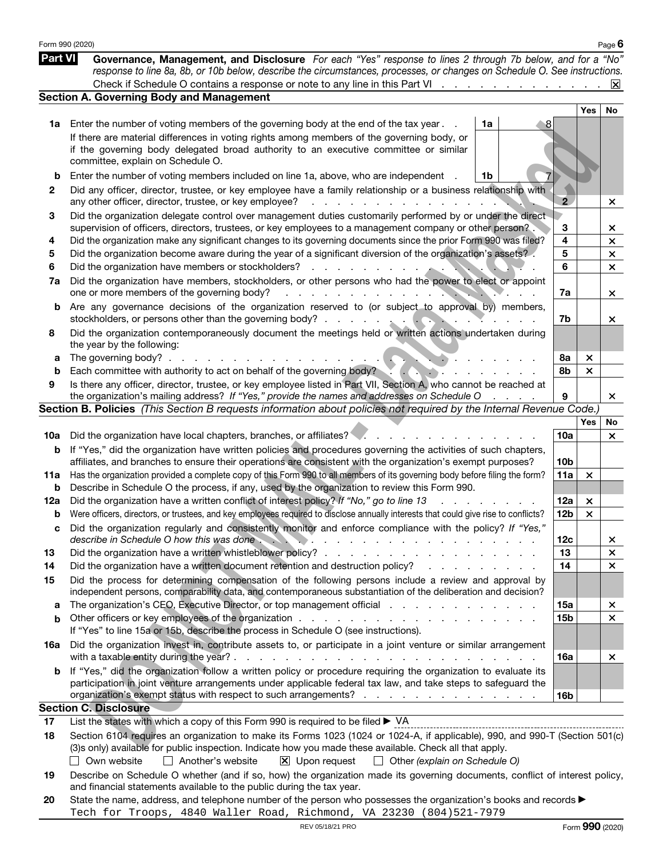|         | Form 990 (2020)                                                                                                                                                                                                                                                                                                                                                                                                                                                                                                           |                 |                           | Page 6                |
|---------|---------------------------------------------------------------------------------------------------------------------------------------------------------------------------------------------------------------------------------------------------------------------------------------------------------------------------------------------------------------------------------------------------------------------------------------------------------------------------------------------------------------------------|-----------------|---------------------------|-----------------------|
| Part VI | Governance, Management, and Disclosure For each "Yes" response to lines 2 through 7b below, and for a "No"<br>response to line 8a, 8b, or 10b below, describe the circumstances, processes, or changes on Schedule O. See instructions.                                                                                                                                                                                                                                                                                   |                 |                           |                       |
|         | Check if Schedule O contains a response or note to any line in this Part VI                                                                                                                                                                                                                                                                                                                                                                                                                                               |                 |                           | $\mathbf{\mathsf{X}}$ |
|         | <b>Section A. Governing Body and Management</b>                                                                                                                                                                                                                                                                                                                                                                                                                                                                           |                 |                           |                       |
|         |                                                                                                                                                                                                                                                                                                                                                                                                                                                                                                                           |                 | <b>Yes</b>                | No                    |
| 1a      | Enter the number of voting members of the governing body at the end of the tax year.<br>1a<br>8                                                                                                                                                                                                                                                                                                                                                                                                                           |                 |                           |                       |
|         | If there are material differences in voting rights among members of the governing body, or<br>if the governing body delegated broad authority to an executive committee or similar<br>committee, explain on Schedule O.                                                                                                                                                                                                                                                                                                   |                 |                           |                       |
| b       | Enter the number of voting members included on line 1a, above, who are independent<br>1b                                                                                                                                                                                                                                                                                                                                                                                                                                  |                 |                           |                       |
| 2       | Did any officer, director, trustee, or key employee have a family relationship or a business relationship with                                                                                                                                                                                                                                                                                                                                                                                                            |                 |                           |                       |
|         | any other officer, director, trustee, or key employee?<br>and a state of the state                                                                                                                                                                                                                                                                                                                                                                                                                                        | $\overline{2}$  |                           | ×.                    |
| 3       | Did the organization delegate control over management duties customarily performed by or under the direct                                                                                                                                                                                                                                                                                                                                                                                                                 |                 |                           |                       |
|         | supervision of officers, directors, trustees, or key employees to a management company or other person?                                                                                                                                                                                                                                                                                                                                                                                                                   | 3               |                           | ×                     |
| 4       | Did the organization make any significant changes to its governing documents since the prior Form 990 was filed?                                                                                                                                                                                                                                                                                                                                                                                                          | 4               |                           | ×.                    |
| 5       | Did the organization become aware during the year of a significant diversion of the organization's assets? .                                                                                                                                                                                                                                                                                                                                                                                                              | 5               |                           | ×.                    |
| 6       | Did the organization have members or stockholders?                                                                                                                                                                                                                                                                                                                                                                                                                                                                        | 6               |                           | $\times$              |
| 7a      | Did the organization have members, stockholders, or other persons who had the power to elect or appoint                                                                                                                                                                                                                                                                                                                                                                                                                   |                 |                           |                       |
|         | one or more members of the governing body?<br>and a state of                                                                                                                                                                                                                                                                                                                                                                                                                                                              | 7a              |                           | ×.                    |
| b       | Are any governance decisions of the organization reserved to (or subject to approval by) members,<br>stockholders, or persons other than the governing body?<br><b>Contract Contract Contract</b>                                                                                                                                                                                                                                                                                                                         | 7b              |                           | ×                     |
| 8       | Did the organization contemporaneously document the meetings held or written actions undertaken during<br>the year by the following:                                                                                                                                                                                                                                                                                                                                                                                      |                 |                           |                       |
| а       | The governing body?.<br>the contract of the contract of the contract of the contract of the contract of the contract of the contract of                                                                                                                                                                                                                                                                                                                                                                                   | 8а              | ×                         |                       |
| b       | Each committee with authority to act on behalf of the governing body?                                                                                                                                                                                                                                                                                                                                                                                                                                                     | 8b              | $\boldsymbol{\mathsf{x}}$ |                       |
| 9       | Is there any officer, director, trustee, or key employee listed in Part VII, Section A, who cannot be reached at                                                                                                                                                                                                                                                                                                                                                                                                          |                 |                           |                       |
|         | the organization's mailing address? If "Yes," provide the names and addresses on Schedule O                                                                                                                                                                                                                                                                                                                                                                                                                               | 9               |                           | ×                     |
|         | Section B. Policies (This Section B requests information about policies not required by the Internal Revenue Code.)                                                                                                                                                                                                                                                                                                                                                                                                       |                 |                           |                       |
|         |                                                                                                                                                                                                                                                                                                                                                                                                                                                                                                                           |                 | <b>Yes</b>                | No.                   |
| 10a     | Did the organization have local chapters, branches, or affiliates?<br>ta sa sa sala                                                                                                                                                                                                                                                                                                                                                                                                                                       | 10a             |                           | $\times$              |
| b       | If "Yes," did the organization have written policies and procedures governing the activities of such chapters,<br>affiliates, and branches to ensure their operations are consistent with the organization's exempt purposes?                                                                                                                                                                                                                                                                                             | 10 <sub>b</sub> |                           |                       |
| 11a     | Has the organization provided a complete copy of this Form 990 to all members of its governing body before filing the form?                                                                                                                                                                                                                                                                                                                                                                                               | 11a             | ×                         |                       |
| b       | Describe in Schedule O the process, if any, used by the organization to review this Form 990.                                                                                                                                                                                                                                                                                                                                                                                                                             |                 |                           |                       |
| 12a     | Did the organization have a written conflict of interest policy? If "No," go to line 13                                                                                                                                                                                                                                                                                                                                                                                                                                   | 12a             | ×                         |                       |
| b       | Were officers, directors, or trustees, and key employees required to disclose annually interests that could give rise to conflicts?                                                                                                                                                                                                                                                                                                                                                                                       | 12 <sub>b</sub> | $\boldsymbol{\mathsf{x}}$ |                       |
| С       | Did the organization regularly and consistently monitor and enforce compliance with the policy? If "Yes,"<br>describe in Schedule O how this was done.<br>$\sum_{i=1}^{n} \frac{1}{i} \sum_{i=1}^{n} \frac{1}{i} \sum_{i=1}^{n} \frac{1}{i} \sum_{i=1}^{n} \frac{1}{i} \sum_{i=1}^{n} \frac{1}{i} \sum_{i=1}^{n} \frac{1}{i} \sum_{i=1}^{n} \frac{1}{i} \sum_{i=1}^{n} \frac{1}{i} \sum_{i=1}^{n} \frac{1}{i} \sum_{i=1}^{n} \frac{1}{i} \sum_{i=1}^{n} \frac{1}{i} \sum_{i=1}^{n} \frac{1}{i} \sum_{i=1}^{n} \frac{1}{i$ | 12c             |                           | ×                     |
| 13      |                                                                                                                                                                                                                                                                                                                                                                                                                                                                                                                           | 13              |                           | $\pmb{\times}$        |
| 14      | Did the organization have a written document retention and destruction policy?                                                                                                                                                                                                                                                                                                                                                                                                                                            | 14              |                           | $\boldsymbol{\times}$ |
| 15      | Did the process for determining compensation of the following persons include a review and approval by<br>independent persons, comparability data, and contemporaneous substantiation of the deliberation and decision?                                                                                                                                                                                                                                                                                                   |                 |                           |                       |
| а       | The organization's CEO, Executive Director, or top management official                                                                                                                                                                                                                                                                                                                                                                                                                                                    | 15a             |                           | ×                     |
| b       |                                                                                                                                                                                                                                                                                                                                                                                                                                                                                                                           | <b>15b</b>      |                           | $\mathsf{x}$          |
|         | If "Yes" to line 15a or 15b, describe the process in Schedule O (see instructions).                                                                                                                                                                                                                                                                                                                                                                                                                                       |                 |                           |                       |
| 16а     | Did the organization invest in, contribute assets to, or participate in a joint venture or similar arrangement<br>with a taxable entity during the year?.                                                                                                                                                                                                                                                                                                                                                                 | 16a             |                           | $\times$              |
| b       | If "Yes," did the organization follow a written policy or procedure requiring the organization to evaluate its<br>participation in joint venture arrangements under applicable federal tax law, and take steps to safeguard the                                                                                                                                                                                                                                                                                           |                 |                           |                       |
|         | organization's exempt status with respect to such arrangements?                                                                                                                                                                                                                                                                                                                                                                                                                                                           | 16b             |                           |                       |
|         | <b>Section C. Disclosure</b>                                                                                                                                                                                                                                                                                                                                                                                                                                                                                              |                 |                           |                       |
| 17      | List the states with which a copy of this Form 990 is required to be filed $\blacktriangleright$ VA                                                                                                                                                                                                                                                                                                                                                                                                                       |                 |                           |                       |
| 18      | Section 6104 requires an organization to make its Forms 1023 (1024 or 1024-A, if applicable), 990, and 990-T (Section 501(c)<br>(3)s only) available for public inspection. Indicate how you made these available. Check all that apply.                                                                                                                                                                                                                                                                                  |                 |                           |                       |
|         | Own website<br>Another's website<br>$\boxtimes$ Upon request<br>$\Box$ Other (explain on Schedule O)                                                                                                                                                                                                                                                                                                                                                                                                                      |                 |                           |                       |
| 19      | Describe on Schedule O whether (and if so, how) the organization made its governing documents, conflict of interest policy,<br>and financial statements available to the public during the tax year.                                                                                                                                                                                                                                                                                                                      |                 |                           |                       |

|  |  |  |                                                                      |  |  | 20 State the name, address, and telephone number of the person who possesses the organization's books and records $\blacktriangleright$ |
|--|--|--|----------------------------------------------------------------------|--|--|-----------------------------------------------------------------------------------------------------------------------------------------|
|  |  |  | Tech for Troops, 4840 Waller Road, Richmond, VA 23230 (804) 521-7979 |  |  |                                                                                                                                         |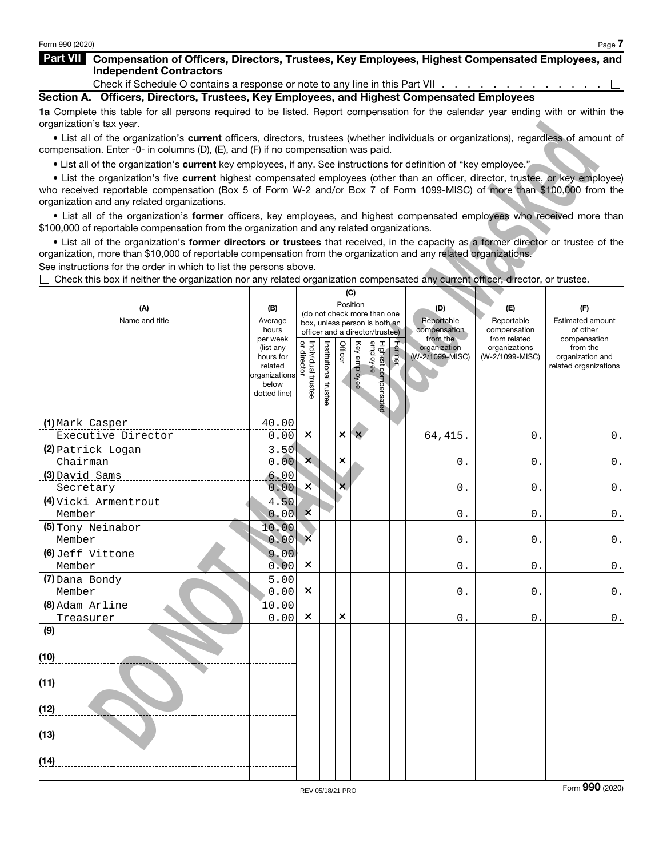$\Box$ 

#### **Part VII Compensation of Officers, Directors, Trustees, Key Employees, Highest Compensated Employees, and Independent Contractors**

Check if Schedule O contains a response or note to any line in this Part VII . .

**Section A. Officers, Directors, Trustees, Key Employees, and Highest Compensated Employees**

**1a** Complete this table for all persons required to be listed. Report compensation for the calendar year ending with or within the organization's tax year.

| organization's tax year.                                                                                                                                                                                               |                        |                                   |                       |                                      |              |                                                                  |               |                                 |                                  |                              |
|------------------------------------------------------------------------------------------------------------------------------------------------------------------------------------------------------------------------|------------------------|-----------------------------------|-----------------------|--------------------------------------|--------------|------------------------------------------------------------------|---------------|---------------------------------|----------------------------------|------------------------------|
| • List all of the organization's current officers, directors, trustees (whether individuals or organizations), regardless of amount of                                                                                 |                        |                                   |                       |                                      |              |                                                                  |               |                                 |                                  |                              |
| compensation. Enter -0- in columns (D), (E), and (F) if no compensation was paid.                                                                                                                                      |                        |                                   |                       |                                      |              |                                                                  |               |                                 |                                  |                              |
| • List all of the organization's current key employees, if any. See instructions for definition of "key employee."                                                                                                     |                        |                                   |                       |                                      |              |                                                                  |               |                                 |                                  |                              |
| • List the organization's five current highest compensated employees (other than an officer, director, trustee, or key employee)                                                                                       |                        |                                   |                       |                                      |              |                                                                  |               |                                 |                                  |                              |
| who received reportable compensation (Box 5 of Form W-2 and/or Box 7 of Form 1099-MISC) of more than \$100,000 from the<br>organization and any related organizations.                                                 |                        |                                   |                       |                                      |              |                                                                  |               |                                 |                                  |                              |
| • List all of the organization's former officers, key employees, and highest compensated employees who received more than<br>\$100,000 of reportable compensation from the organization and any related organizations. |                        |                                   |                       |                                      |              |                                                                  |               |                                 |                                  |                              |
| . List all of the organization's former directors or trustees that received, in the capacity as a former director or trustee of the                                                                                    |                        |                                   |                       |                                      |              |                                                                  |               |                                 |                                  |                              |
| organization, more than \$10,000 of reportable compensation from the organization and any related organizations.                                                                                                       |                        |                                   |                       |                                      |              |                                                                  |               |                                 |                                  |                              |
| See instructions for the order in which to list the persons above.                                                                                                                                                     |                        |                                   |                       |                                      |              |                                                                  |               |                                 |                                  |                              |
| Check this box if neither the organization nor any related organization compensated any current officer, director, or trustee.                                                                                         |                        |                                   |                       |                                      |              |                                                                  |               |                                 |                                  |                              |
|                                                                                                                                                                                                                        |                        |                                   |                       | (C)                                  |              |                                                                  |               |                                 |                                  |                              |
| (A)                                                                                                                                                                                                                    | (B)                    |                                   |                       | Position                             |              |                                                                  |               | (D)                             | (E)                              | (F)                          |
| Name and title                                                                                                                                                                                                         | Average                |                                   |                       |                                      |              | (do not check more than one                                      |               | Reportable                      | Reportable                       | Estimated amount             |
|                                                                                                                                                                                                                        | hours                  |                                   |                       |                                      |              | box, unless person is both an<br>officer and a director/trustee) |               | compensation                    | compensation                     | of other                     |
|                                                                                                                                                                                                                        | per week               |                                   |                       |                                      |              |                                                                  |               | from the                        | from related                     | compensation                 |
|                                                                                                                                                                                                                        | (list any<br>hours for | Individual trustee<br>or director | Institutional trustee | Officer                              | Key employee |                                                                  | <b>Former</b> | organization<br>(W-2/1099-MISC) | organizations<br>(W-2/1099-MISC) | from the<br>organization and |
|                                                                                                                                                                                                                        | related                |                                   |                       |                                      |              |                                                                  |               |                                 |                                  | related organizations        |
|                                                                                                                                                                                                                        | organizations          |                                   |                       |                                      |              |                                                                  |               |                                 |                                  |                              |
|                                                                                                                                                                                                                        | below<br>dotted line)  |                                   |                       |                                      |              |                                                                  |               |                                 |                                  |                              |
|                                                                                                                                                                                                                        |                        |                                   |                       |                                      |              | Highest compensated<br>employee                                  |               |                                 |                                  |                              |
|                                                                                                                                                                                                                        |                        |                                   |                       |                                      |              |                                                                  |               |                                 |                                  |                              |
| (1) Mark Casper                                                                                                                                                                                                        | 40.00                  | ×                                 |                       | $\boldsymbol{\mathsf{X}}$ $^{\circ}$ | $\times$     |                                                                  |               |                                 |                                  |                              |
| Executive Director                                                                                                                                                                                                     | 0.00                   |                                   |                       |                                      |              |                                                                  |               | 64, 415.                        | 0.                               | $\mathsf 0$ .                |
| (2) Patrick Logan                                                                                                                                                                                                      | 3.50                   | ×.                                |                       | ×                                    |              |                                                                  |               |                                 |                                  |                              |
| Chairman                                                                                                                                                                                                               | 0.00                   |                                   |                       |                                      |              |                                                                  |               | 0.                              | 0.                               | $\mathsf 0$ .                |
| (3) David Sams                                                                                                                                                                                                         | 6.00                   | ×                                 |                       | X                                    |              |                                                                  |               |                                 |                                  |                              |
| Secretary                                                                                                                                                                                                              | 0.00                   |                                   |                       |                                      |              |                                                                  |               | 0.                              | 0.                               | $\mathsf 0$ .                |
| (4) Vicki Armentrout<br>Member                                                                                                                                                                                         | 4.50<br>0.00           | X                                 |                       |                                      |              |                                                                  |               | 0.                              | 0.                               | 0.                           |
|                                                                                                                                                                                                                        |                        |                                   |                       |                                      |              |                                                                  |               |                                 |                                  |                              |
| (5) Tony Neinabor<br>Member                                                                                                                                                                                            | 10.00<br>0.00          | ×                                 |                       |                                      |              |                                                                  |               | 0.                              | 0.                               | $0$ .                        |
| (6) Jeff Vittone                                                                                                                                                                                                       | 9.00                   |                                   |                       |                                      |              |                                                                  |               |                                 |                                  |                              |
| Member                                                                                                                                                                                                                 | 0.00                   | ×                                 |                       |                                      |              |                                                                  |               | 0.                              | 0.                               | 0.                           |
| (7) Dana Bondy                                                                                                                                                                                                         | 5.00                   |                                   |                       |                                      |              |                                                                  |               |                                 |                                  |                              |
| Member                                                                                                                                                                                                                 | 0.00                   | ×                                 |                       |                                      |              |                                                                  |               | 0.                              | 0.                               | 0.                           |
| (8) Adam Arline                                                                                                                                                                                                        | 10.00                  |                                   |                       |                                      |              |                                                                  |               |                                 |                                  |                              |
| Treasurer                                                                                                                                                                                                              | 0.00                   | ×                                 |                       | X                                    |              |                                                                  |               | 0.                              | 0.                               | $\mathbf 0$ .                |
| (9)                                                                                                                                                                                                                    |                        |                                   |                       |                                      |              |                                                                  |               |                                 |                                  |                              |
|                                                                                                                                                                                                                        |                        |                                   |                       |                                      |              |                                                                  |               |                                 |                                  |                              |
| (10)                                                                                                                                                                                                                   |                        |                                   |                       |                                      |              |                                                                  |               |                                 |                                  |                              |
|                                                                                                                                                                                                                        |                        |                                   |                       |                                      |              |                                                                  |               |                                 |                                  |                              |
| (11)                                                                                                                                                                                                                   |                        |                                   |                       |                                      |              |                                                                  |               |                                 |                                  |                              |
|                                                                                                                                                                                                                        |                        |                                   |                       |                                      |              |                                                                  |               |                                 |                                  |                              |
| (12)                                                                                                                                                                                                                   |                        |                                   |                       |                                      |              |                                                                  |               |                                 |                                  |                              |
|                                                                                                                                                                                                                        |                        |                                   |                       |                                      |              |                                                                  |               |                                 |                                  |                              |
| (13)                                                                                                                                                                                                                   |                        |                                   |                       |                                      |              |                                                                  |               |                                 |                                  |                              |
|                                                                                                                                                                                                                        |                        |                                   |                       |                                      |              |                                                                  |               |                                 |                                  |                              |
| (14)                                                                                                                                                                                                                   |                        |                                   |                       |                                      |              |                                                                  |               |                                 |                                  |                              |
|                                                                                                                                                                                                                        |                        |                                   |                       |                                      |              |                                                                  |               |                                 |                                  |                              |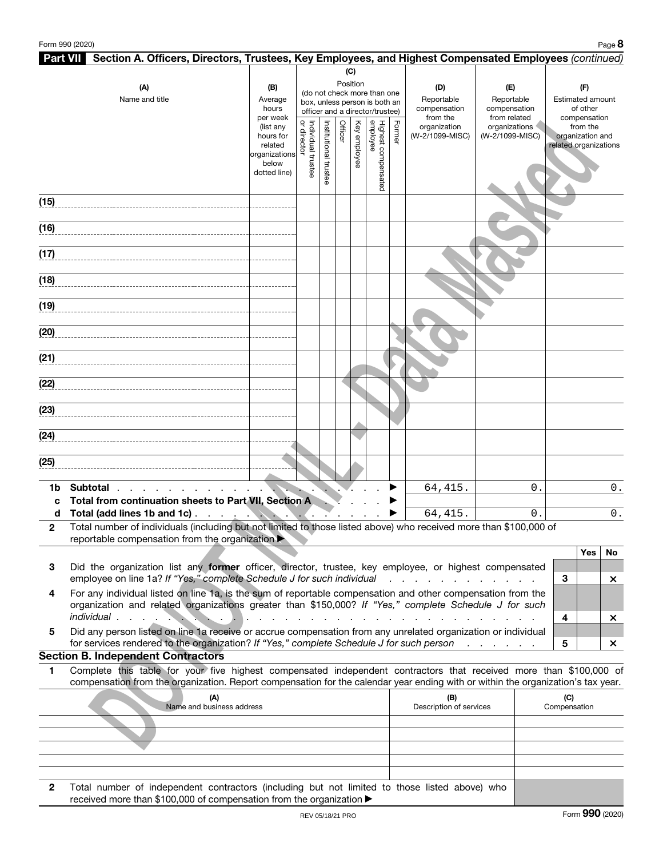|      | Part VII Section A. Officers, Directors, Trustees, Key Employees, and Highest Compensated Employees (continued)                                                                                                                |                       |                                   |                |         |              |                                 |        |                          |                              |    |                       |                          |       |
|------|--------------------------------------------------------------------------------------------------------------------------------------------------------------------------------------------------------------------------------|-----------------------|-----------------------------------|----------------|---------|--------------|---------------------------------|--------|--------------------------|------------------------------|----|-----------------------|--------------------------|-------|
|      |                                                                                                                                                                                                                                |                       |                                   |                |         | (C)          |                                 |        |                          |                              |    |                       |                          |       |
|      | (A)                                                                                                                                                                                                                            | (B)                   |                                   |                |         | Position     | (do not check more than one     |        | (D)                      | (E)                          |    |                       | (F)                      |       |
|      | Name and title                                                                                                                                                                                                                 | Average               |                                   |                |         |              | box, unless person is both an   |        | Reportable               | Reportable                   |    |                       | Estimated amount         |       |
|      |                                                                                                                                                                                                                                | hours<br>per week     |                                   |                |         |              | officer and a director/trustee) |        | compensation<br>from the | compensation<br>from related |    |                       | of other<br>compensation |       |
|      |                                                                                                                                                                                                                                | (list any             | or director<br>Individual trustee | Institutional  | Officer | Key employee | Highest compensated<br>employee | Former | organization             | organizations                |    |                       | from the                 |       |
|      |                                                                                                                                                                                                                                | hours for<br>related  |                                   |                |         |              |                                 |        | (W-2/1099-MISC)          | (W-2/1099-MISC)              |    | related organizations | organization and         |       |
|      |                                                                                                                                                                                                                                | organizations         |                                   |                |         |              |                                 |        |                          |                              |    |                       |                          |       |
|      |                                                                                                                                                                                                                                | below<br>dotted line) |                                   | <b>trustee</b> |         |              |                                 |        |                          |                              |    |                       |                          |       |
|      |                                                                                                                                                                                                                                |                       |                                   |                |         |              |                                 |        |                          |                              |    |                       |                          |       |
| (15) |                                                                                                                                                                                                                                |                       |                                   |                |         |              |                                 |        |                          |                              |    |                       |                          |       |
|      |                                                                                                                                                                                                                                |                       |                                   |                |         |              |                                 |        |                          |                              |    |                       |                          |       |
| (16) |                                                                                                                                                                                                                                |                       |                                   |                |         |              |                                 |        |                          |                              |    |                       |                          |       |
|      |                                                                                                                                                                                                                                |                       |                                   |                |         |              |                                 |        |                          |                              |    |                       |                          |       |
| (17) |                                                                                                                                                                                                                                |                       |                                   |                |         |              |                                 |        |                          |                              |    |                       |                          |       |
|      |                                                                                                                                                                                                                                |                       |                                   |                |         |              |                                 |        |                          |                              |    |                       |                          |       |
| (18) |                                                                                                                                                                                                                                |                       |                                   |                |         |              |                                 |        |                          |                              |    |                       |                          |       |
|      |                                                                                                                                                                                                                                |                       |                                   |                |         |              |                                 |        |                          |                              |    |                       |                          |       |
| (19) |                                                                                                                                                                                                                                |                       |                                   |                |         |              |                                 |        |                          |                              |    |                       |                          |       |
|      |                                                                                                                                                                                                                                |                       |                                   |                |         |              |                                 |        |                          |                              |    |                       |                          |       |
| (20) |                                                                                                                                                                                                                                |                       |                                   |                |         |              |                                 |        |                          |                              |    |                       |                          |       |
|      |                                                                                                                                                                                                                                |                       |                                   |                |         |              |                                 |        |                          |                              |    |                       |                          |       |
| (21) |                                                                                                                                                                                                                                |                       |                                   |                |         |              |                                 |        |                          |                              |    |                       |                          |       |
|      |                                                                                                                                                                                                                                |                       |                                   |                |         |              |                                 |        |                          |                              |    |                       |                          |       |
| (22) |                                                                                                                                                                                                                                |                       |                                   |                |         |              |                                 |        |                          |                              |    |                       |                          |       |
| (23) |                                                                                                                                                                                                                                |                       |                                   |                |         |              |                                 |        |                          |                              |    |                       |                          |       |
|      |                                                                                                                                                                                                                                |                       |                                   |                |         |              |                                 |        |                          |                              |    |                       |                          |       |
| (24) |                                                                                                                                                                                                                                |                       |                                   |                |         |              |                                 |        |                          |                              |    |                       |                          |       |
|      |                                                                                                                                                                                                                                |                       |                                   |                |         |              |                                 |        |                          |                              |    |                       |                          |       |
| (25) |                                                                                                                                                                                                                                |                       |                                   |                |         |              |                                 |        |                          |                              |    |                       |                          |       |
|      |                                                                                                                                                                                                                                |                       |                                   |                |         |              |                                 |        |                          |                              |    |                       |                          |       |
| 1b   | Subtotal                                                                                                                                                                                                                       |                       |                                   |                |         |              |                                 |        | 64, 415.                 |                              | 0. |                       |                          | $0$ . |
| C    | Total from continuation sheets to Part VII, Section A                                                                                                                                                                          |                       |                                   |                |         |              |                                 |        |                          |                              |    |                       |                          |       |
| d    | Total (add lines 1b and 1c) and the state of the state of the state of the state of the state of the state of the state of the state of the state of the state of the state of the state of the state of the state of the stat |                       | $\sim$ $\sim$                     |                |         |              |                                 |        | 64, 415.                 |                              | 0. |                       |                          | $0$ . |
| 2    | Total number of individuals (including but not limited to those listed above) who received more than \$100,000 of                                                                                                              |                       |                                   |                |         |              |                                 |        |                          |                              |    |                       |                          |       |
|      | reportable compensation from the organization >                                                                                                                                                                                |                       |                                   |                |         |              |                                 |        |                          |                              |    |                       |                          |       |
|      |                                                                                                                                                                                                                                |                       |                                   |                |         |              |                                 |        |                          |                              |    |                       | <b>Yes</b>               | No    |
| 3    | Did the organization list any former officer, director, trustee, key employee, or highest compensated                                                                                                                          |                       |                                   |                |         |              |                                 |        |                          |                              |    |                       |                          |       |
|      | employee on line 1a? If "Yes," complete Schedule J for such individual                                                                                                                                                         |                       |                                   |                |         |              |                                 |        |                          |                              |    | 3                     |                          | ×     |
| 4    | For any individual listed on line 1a, is the sum of reportable compensation and other compensation from the<br>organization and related organizations greater than \$150,000? If "Yes," complete Schedule J for such           |                       |                                   |                |         |              |                                 |        |                          |                              |    |                       |                          |       |
|      | individual.                                                                                                                                                                                                                    |                       |                                   |                |         |              |                                 |        |                          |                              |    | 4                     |                          | ×     |
| 5    | Did any person listed on line 1a receive or accrue compensation from any unrelated organization or individual                                                                                                                  |                       |                                   |                |         |              |                                 |        |                          |                              |    |                       |                          |       |
|      | for services rendered to the organization? If "Yes," complete Schedule J for such person                                                                                                                                       |                       |                                   |                |         |              |                                 |        |                          |                              |    | 5                     |                          | ×     |
|      | <b>Section B. Independent Contractors</b>                                                                                                                                                                                      |                       |                                   |                |         |              |                                 |        |                          |                              |    |                       |                          |       |
| 1    | Complete this table for your five highest compensated independent contractors that received more than \$100,000 of                                                                                                             |                       |                                   |                |         |              |                                 |        |                          |                              |    |                       |                          |       |
|      | compensation from the organization. Report compensation for the calendar year ending with or within the organization's tax year.                                                                                               |                       |                                   |                |         |              |                                 |        |                          |                              |    |                       |                          |       |
|      | (A)                                                                                                                                                                                                                            |                       |                                   |                |         |              |                                 |        | (B)                      |                              |    | (C)                   |                          |       |
|      | Name and business address                                                                                                                                                                                                      |                       |                                   |                |         |              |                                 |        | Description of services  |                              |    | Compensation          |                          |       |
|      |                                                                                                                                                                                                                                |                       |                                   |                |         |              |                                 |        |                          |                              |    |                       |                          |       |
|      |                                                                                                                                                                                                                                |                       |                                   |                |         |              |                                 |        |                          |                              |    |                       |                          |       |
|      |                                                                                                                                                                                                                                |                       |                                   |                |         |              |                                 |        |                          |                              |    |                       |                          |       |
|      |                                                                                                                                                                                                                                |                       |                                   |                |         |              |                                 |        |                          |                              |    |                       |                          |       |
|      | Total number of independent contractors (including but not limited to those listed above) who                                                                                                                                  |                       |                                   |                |         |              |                                 |        |                          |                              |    |                       |                          |       |

| Total number of independent contractors (including but not limited to those listed above) who |  |                                                                                          |  |  |  |  |  |  |  |  |  |  |  |
|-----------------------------------------------------------------------------------------------|--|------------------------------------------------------------------------------------------|--|--|--|--|--|--|--|--|--|--|--|
|                                                                                               |  | received more than \$100,000 of compensation from the organization $\blacktriangleright$ |  |  |  |  |  |  |  |  |  |  |  |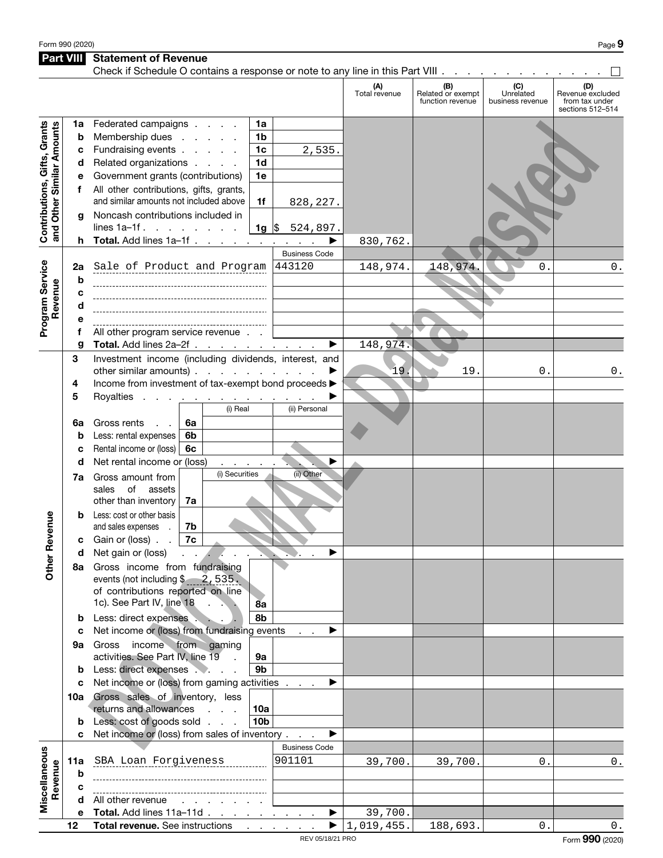**Part VIII Statement of Revenue** 

|                                                           |     | Check if Schedule O contains a response or note to any line in this Part VIII                             |                               |                      |                                              |                                      |                                                               |
|-----------------------------------------------------------|-----|-----------------------------------------------------------------------------------------------------------|-------------------------------|----------------------|----------------------------------------------|--------------------------------------|---------------------------------------------------------------|
|                                                           |     |                                                                                                           |                               | (A)<br>Total revenue | (B)<br>Related or exempt<br>function revenue | (C)<br>Unrelated<br>business revenue | (D)<br>Revenue excluded<br>from tax under<br>sections 512-514 |
|                                                           | 1a  | Federated campaigns<br>1a                                                                                 |                               |                      |                                              |                                      |                                                               |
| Contributions, Gifts, Grants<br>and Other Similar Amounts | b   | Membership dues<br>1b<br>and a state of the                                                               |                               |                      |                                              |                                      |                                                               |
|                                                           | c   | Fundraising events<br>1 <sub>c</sub>                                                                      | 2,535.                        |                      |                                              |                                      |                                                               |
|                                                           | d   | Related organizations<br>1 <sub>d</sub>                                                                   |                               |                      |                                              |                                      |                                                               |
|                                                           | е   | Government grants (contributions)<br>1e                                                                   |                               |                      |                                              |                                      |                                                               |
|                                                           | f   | All other contributions, gifts, grants,                                                                   |                               |                      |                                              |                                      |                                                               |
|                                                           |     | and similar amounts not included above<br>1f                                                              | 828, 227.                     |                      |                                              |                                      |                                                               |
|                                                           | g   | Noncash contributions included in                                                                         |                               |                      |                                              |                                      |                                                               |
|                                                           |     | lines $1a-1f$ .<br>Total. Add lines 1a-1f                                                                 | 1g $\vert \$<br>524,897.      |                      |                                              |                                      |                                                               |
|                                                           | h   |                                                                                                           | <b>Business Code</b>          | 830,762.             |                                              |                                      |                                                               |
|                                                           | 2a  | Sale of Product and Program                                                                               | 443120                        | 148,974.             | 148,974                                      | $\mathsf{O}$ .                       | 0.                                                            |
| Program Service                                           | b   |                                                                                                           |                               |                      |                                              |                                      |                                                               |
| Revenue                                                   | c   |                                                                                                           |                               |                      |                                              |                                      |                                                               |
|                                                           | d   |                                                                                                           |                               |                      |                                              |                                      |                                                               |
|                                                           | е   |                                                                                                           |                               |                      |                                              |                                      |                                                               |
|                                                           | f   | All other program service revenue                                                                         |                               |                      |                                              |                                      |                                                               |
|                                                           | g   | Total. Add lines 2a-2f                                                                                    |                               | 148,974.             |                                              |                                      |                                                               |
|                                                           | 3   | Investment income (including dividends, interest, and                                                     |                               |                      |                                              |                                      |                                                               |
|                                                           |     | other similar amounts) $\cdots$ $\cdots$ $\cdots$                                                         |                               | 19                   | 19.                                          | 0.                                   | $0$ .                                                         |
|                                                           | 4   | Income from investment of tax-exempt bond proceeds >                                                      |                               |                      |                                              |                                      |                                                               |
|                                                           | 5   | Royalties<br>$\mathcal{A}$ . The second contribution of the second contribution $\mathcal{A}$<br>(i) Real | (ii) Personal                 |                      |                                              |                                      |                                                               |
|                                                           | 6a  | Gross rents<br>6a<br>$\mathbf{r} = \mathbf{r}$                                                            |                               |                      |                                              |                                      |                                                               |
|                                                           | b   | Less: rental expenses<br>6b                                                                               |                               |                      |                                              |                                      |                                                               |
|                                                           | с   | Rental income or (loss)<br>6с                                                                             |                               |                      |                                              |                                      |                                                               |
|                                                           | d   | Net rental income or (loss)                                                                               |                               |                      |                                              |                                      |                                                               |
|                                                           | 7a  | (i) Securities<br>Gross amount from                                                                       | (ii) Other                    |                      |                                              |                                      |                                                               |
|                                                           |     | of<br>assets<br>sales                                                                                     |                               |                      |                                              |                                      |                                                               |
|                                                           |     | other than inventory<br>7a                                                                                |                               |                      |                                              |                                      |                                                               |
|                                                           |     | Less: cost or other basis                                                                                 |                               |                      |                                              |                                      |                                                               |
| Revenue                                                   |     | and sales expenses<br>7b                                                                                  |                               |                      |                                              |                                      |                                                               |
|                                                           | c   | Gain or (loss).<br>7c                                                                                     |                               |                      |                                              |                                      |                                                               |
|                                                           | d   | Net gain or (loss)                                                                                        |                               |                      |                                              |                                      |                                                               |
| Other                                                     | 8a  | Gross income from fundraising<br>events (not including $$3, 535$ .                                        |                               |                      |                                              |                                      |                                                               |
|                                                           |     | of contributions reported on line                                                                         |                               |                      |                                              |                                      |                                                               |
|                                                           |     | 1c). See Part IV, line 18<br>8a                                                                           |                               |                      |                                              |                                      |                                                               |
|                                                           | b   | Less: direct expenses<br>8b                                                                               |                               |                      |                                              |                                      |                                                               |
|                                                           | c   | Net income or (loss) from fundraising events                                                              | ▶                             |                      |                                              |                                      |                                                               |
|                                                           | 9а  | income from gaming<br>Gross                                                                               |                               |                      |                                              |                                      |                                                               |
|                                                           |     | activities. See Part IV, line 19<br>9a                                                                    |                               |                      |                                              |                                      |                                                               |
|                                                           | b   | Less: direct expenses<br>9 <sub>b</sub>                                                                   |                               |                      |                                              |                                      |                                                               |
|                                                           | c   | Net income or (loss) from gaming activities                                                               | ▶                             |                      |                                              |                                      |                                                               |
|                                                           | 10a | Gross sales of inventory, less<br>returns and allowances<br>10a                                           |                               |                      |                                              |                                      |                                                               |
|                                                           | b   | <b>Carl Control</b><br>Less: cost of goods sold<br>10 <sub>b</sub>                                        |                               |                      |                                              |                                      |                                                               |
|                                                           | C   | Net income or (loss) from sales of inventory                                                              |                               |                      |                                              |                                      |                                                               |
|                                                           |     |                                                                                                           | <b>Business Code</b>          |                      |                                              |                                      |                                                               |
| Miscellaneous                                             | 11a | SBA Loan Forgiveness                                                                                      | 901101                        | 39,700.              | 39,700.                                      | 0.                                   | 0.                                                            |
| Revenue                                                   | b   |                                                                                                           |                               |                      |                                              |                                      |                                                               |
|                                                           | c   |                                                                                                           |                               |                      |                                              |                                      |                                                               |
|                                                           | d   | All other revenue<br>and a strong of the state of the                                                     |                               |                      |                                              |                                      |                                                               |
|                                                           | е   | Total. Add lines 11a-11d                                                                                  | ▶                             | 39,700.              |                                              |                                      |                                                               |
|                                                           | 12  | Total revenue. See instructions                                                                           | ▶<br>and a state of the state | 1,019,455.           | 188,693.                                     | 0.                                   | 0.                                                            |

Form **990** (2020)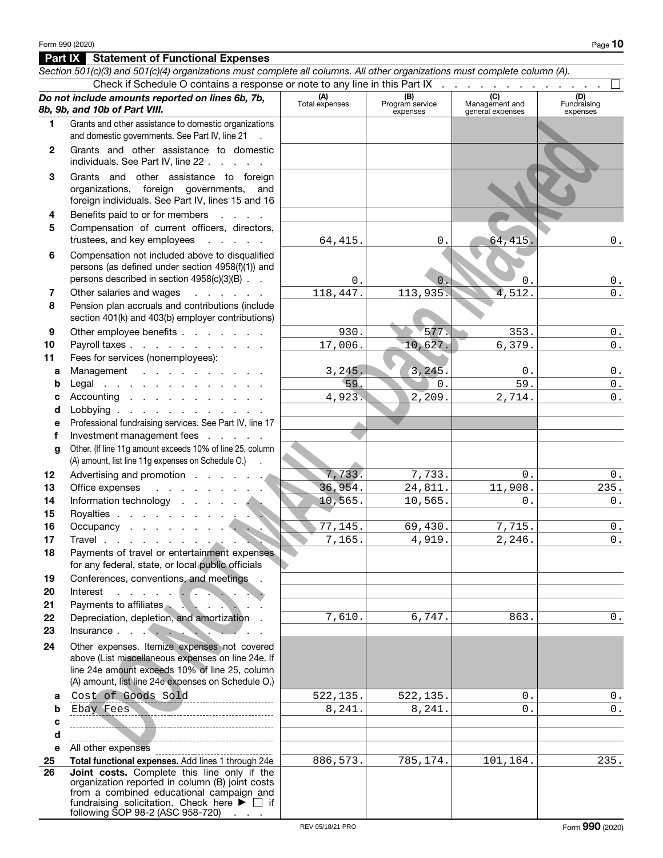**Part IX Statement of Functional Expenses**

following SOP 98-2 (ASC 958-720)  $\overline{\phantom{a}}$ .

#### Check if Schedule O contains a response or note to any line in this Part IX . . . . . *Do not include amounts reported on lines 6b, 7b, 8b, 9b, and 10b of Part VIII.* **(A)**  Total expenses **(B)**  Program service expenses **(C)**  Management and general expenses **(D)**  Fundraising expenses **1** Grants and other assistance to domestic organizations and domestic governments. See Part IV, line 21 **2** Grants and other assistance to domestic individuals. See Part IV, line 22 ..... **3** Grants and other assistance to foreign organizations, foreign governments, and foreign individuals. See Part IV, lines 15 and 16 **4** Benefits paid to or for members .... **5** Compensation of current officers, directors, trustees, and key employees . . . . . **6** Compensation not included above to disqualified persons (as defined under section 4958(f)(1)) and persons described in section 4958(c)(3)(B) . . **7** Other salaries and wages . . . . . . **8** Pension plan accruals and contributions (include section 401(k) and 403(b) employer contributions) **9** Other employee benefits . . . . . . . **10** Payroll taxes . . . . . . . . . . . **11** Fees for services (nonemployees): **a** Management . . . . . . . . . . **b** Legal ............. **c** Accounting . . . . . . . . . . . **d** Lobbying . . . . . . . . . **e** Professional fundraising services. See Part IV, line 17 **f Investment management fees** . . . . . **g** Other. (If line 11g amount exceeds 10% of line 25, column (A) amount, list line 11g expenses on Schedule O.) **12** Advertising and promotion . . **13** Office expenses . . . . **14 Information technology** . . . **15** Royalties ........ 16 Occupancy . . . . . . . **17** Travel . . . . . . . . . **18** Payments of travel or entertainment expenses for any federal, state, or local public officials **19** Conferences, conventions, and meetings . **20** Interest ............ **21** Payments to affiliates **22** Depreciation, depletion, and amortization . **23** Insurance ............ **24** Other expenses. Itemize expenses not covered above (List miscellaneous expenses on line 24e. If line 24e amount exceeds 10% of line 25, column (A) amount, list line 24e expenses on Schedule O.) **a b c d e** All other expenses **contained** and the All other expenses **contained** and the All of the All of the All of the All of the All of the All of the All of the All of the All of the All of the All of the All of the All of t **25 Total functional expenses.** Add lines 1 through 24e **26 Joint costs.** Complete this line only if the organization reported in column (B) joint costs from a combined educational campaign and fundraising solicitation. Check here  $\blacktriangleright \Box$  if 0.  $0.$  59.  $\begin{bmatrix} 59. \end{bmatrix}$  0.  $6,379.$  0.  $0.$  64,415.  $0.$  $4.512.$  0.  $7,715.$  0.  $\begin{array}{ccc} 0. & \quad & 0. \end{array}$  $2,246.$  0.  $7,733.$  0. 0. 0.  $0.$  0.  $577.$  353. 0.  $\begin{array}{ccc} 0. & \hspace{1.5cm} 0. \end{array}$ 4,919. 69,430. 10,565. 24,811. 11,908. 235. 2,209. 2,714. 3,245. 10,627. 353. 113,935. 0. 64,415.  $\Omega$ 118,447. 930. 17,006. 3,245. 59. 4,923. 7,733. 36,954. 10,565. 77,145. 7,165.  $7,610.$  6,747. 863. 0. 886,573. 785,174. 101,164. 235. Cost of Goods Sold  $\begin{array}{|c|c|c|c|c|c|c|c|c|c|c|} \hline & & & & 522,135 & & & & 0. & & & & 0. & \ \hline \end{array}$ Ebay Fees 8,241. 8,241. 8,241. 0. If and the season is bornest of the season of the season of the season of the season of the season of the season of the season of the season of the season of the season of the season of the season of the season of the seas

Section 501(c)(3) and 501(c)(4) organizations must complete all columns. All other organizations must complete column (A).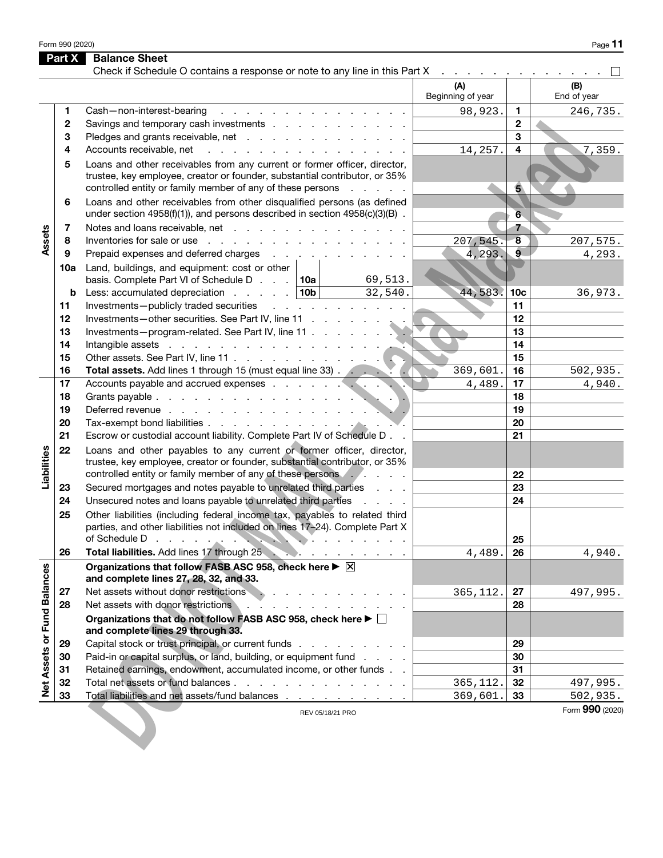Form 990 (2020) Page **11** 

|                             | Part X       | <b>Balance Sheet</b><br>Check if Schedule O contains a response or note to any line in this Part X                                                                                                                                                                  | and a series of the contract and a series |                         |                    |
|-----------------------------|--------------|---------------------------------------------------------------------------------------------------------------------------------------------------------------------------------------------------------------------------------------------------------------------|-------------------------------------------|-------------------------|--------------------|
|                             |              |                                                                                                                                                                                                                                                                     | (A)<br>Beginning of year                  |                         | (B)<br>End of year |
|                             | 1            | Cash-non-interest-bearing<br>and the company of the company of the company of                                                                                                                                                                                       | 98,923.                                   | 1                       | 246,735.           |
|                             | $\mathbf{2}$ | Savings and temporary cash investments                                                                                                                                                                                                                              |                                           | $\mathbf{2}$            |                    |
|                             | 3            | Pledges and grants receivable, net                                                                                                                                                                                                                                  |                                           | 3                       |                    |
|                             | 4            | Accounts receivable, net                                                                                                                                                                                                                                            | 14,257.                                   | $\overline{\mathbf{4}}$ | 7,359.             |
|                             | 5            | Loans and other receivables from any current or former officer, director,                                                                                                                                                                                           |                                           |                         |                    |
|                             |              | trustee, key employee, creator or founder, substantial contributor, or 35%                                                                                                                                                                                          |                                           |                         |                    |
|                             |              | controlled entity or family member of any of these persons                                                                                                                                                                                                          |                                           | 6                       |                    |
|                             | 6            | Loans and other receivables from other disqualified persons (as defined<br>under section $4958(f)(1)$ , and persons described in section $4958(c)(3)(B)$ .                                                                                                          |                                           | 6                       |                    |
|                             | 7            | Notes and loans receivable, net                                                                                                                                                                                                                                     |                                           | 7                       |                    |
| Assets                      | 8            | Inventories for sale or use $\cdots$ , $\cdots$ , $\cdots$ , $\cdots$ , $\cdots$ , $\cdots$                                                                                                                                                                         | 207,545.                                  | $\overline{\mathbf{8}}$ | 207,575.           |
|                             | 9            | Prepaid expenses and deferred charges<br>the contract of the contract of the                                                                                                                                                                                        | 4,293.                                    | 9                       | 4,293.             |
|                             | 10a          | Land, buildings, and equipment: cost or other<br>basis. Complete Part VI of Schedule D. $\,$ . $\,$ 10a<br>69,513.                                                                                                                                                  |                                           |                         |                    |
|                             | b            | Less: accumulated depreciation $\ldots$ $\ldots$   10b<br>32,540.                                                                                                                                                                                                   | 44,583.                                   | 10 <sub>c</sub>         | 36,973.            |
|                             | 11           | Investments-publicly traded securities<br>and the company of the company of                                                                                                                                                                                         |                                           | 11                      |                    |
|                             | 12           | Investments-other securities. See Part IV, line 11                                                                                                                                                                                                                  |                                           | 12                      |                    |
|                             | 13           | Investments-program-related. See Part IV, line 11                                                                                                                                                                                                                   |                                           | 13                      |                    |
|                             | 14           | Intangible assets referred to the contract of the contract of the contract of the contract of the contract of the contract of the contract of the contract of the contract of the contract of the contract of the contract of                                       |                                           | 14                      |                    |
|                             | 15           | Other assets. See Part IV, line 11                                                                                                                                                                                                                                  |                                           | 15                      |                    |
|                             | 16           | Total assets. Add lines 1 through 15 (must equal line 33)                                                                                                                                                                                                           | 369,601.                                  | 16                      | 502,935.           |
|                             | 17           | Accounts payable and accrued expenses                                                                                                                                                                                                                               | 4,489.                                    | 17                      | 4,940.             |
|                             | 18           | Grants payable                                                                                                                                                                                                                                                      |                                           | 18                      |                    |
|                             | 19           | Deferred revenue                                                                                                                                                                                                                                                    |                                           | 19                      |                    |
|                             | 20           | Tax-exempt bond liabilities                                                                                                                                                                                                                                         |                                           | 20                      |                    |
|                             | 21           | Escrow or custodial account liability. Complete Part IV of Schedule D. .                                                                                                                                                                                            |                                           | 21                      |                    |
| Liabilities                 | 22           | Loans and other payables to any current or former officer, director,<br>trustee, key employee, creator or founder, substantial contributor, or 35%                                                                                                                  |                                           |                         |                    |
|                             |              | controlled entity or family member of any of these persons                                                                                                                                                                                                          |                                           | 22                      |                    |
|                             | 23           | Secured mortgages and notes payable to unrelated third parties                                                                                                                                                                                                      |                                           | 23                      |                    |
|                             | 24           | Unsecured notes and loans payable to unrelated third parties<br>and the control                                                                                                                                                                                     |                                           | 24                      |                    |
|                             | 25           | Other liabilities (including federal income tax, payables to related third<br>parties, and other liabilities not included on lines 17-24). Complete Part X                                                                                                          |                                           |                         |                    |
|                             |              |                                                                                                                                                                                                                                                                     |                                           | 25                      |                    |
|                             | 26           | Total liabilities. Add lines 17 through 25 November 2014                                                                                                                                                                                                            | 4,489.                                    | 26                      | 4,940.             |
|                             |              | Organizations that follow FASB ASC 958, check here ▶ ⊠<br>and complete lines 27, 28, 32, and 33.                                                                                                                                                                    |                                           |                         |                    |
|                             | 27           | Net assets without donor restrictions<br><b>Note that the second contract of the second contract of the second contract of the second contract of the second</b>                                                                                                    | 365, 112.                                 | 27                      | 497,995.           |
|                             | 28           | Net assets with donor restrictions<br>and the second contract of the second contract of the second contract of the second contract of the second contract of the second contract of the second contract of the second contract of the second contract of the second |                                           | 28                      |                    |
| Net Assets or Fund Balances |              | Organizations that do not follow FASB ASC 958, check here ▶ □<br>and complete lines 29 through 33.                                                                                                                                                                  |                                           |                         |                    |
|                             | 29           | Capital stock or trust principal, or current funds                                                                                                                                                                                                                  |                                           | 29                      |                    |
|                             | 30           | Paid-in or capital surplus, or land, building, or equipment fund                                                                                                                                                                                                    |                                           | 30                      |                    |
|                             | 31           | Retained earnings, endowment, accumulated income, or other funds                                                                                                                                                                                                    |                                           | 31                      |                    |
|                             | 32           | Total net assets or fund balances                                                                                                                                                                                                                                   | 365, 112.                                 | 32                      | 497,995.           |
|                             | 33           | Total liabilities and net assets/fund balances                                                                                                                                                                                                                      | 369,601.                                  | 33                      | 502,935.           |
|                             |              | REV 05/18/21 PRO                                                                                                                                                                                                                                                    |                                           |                         | Form 990 (2020)    |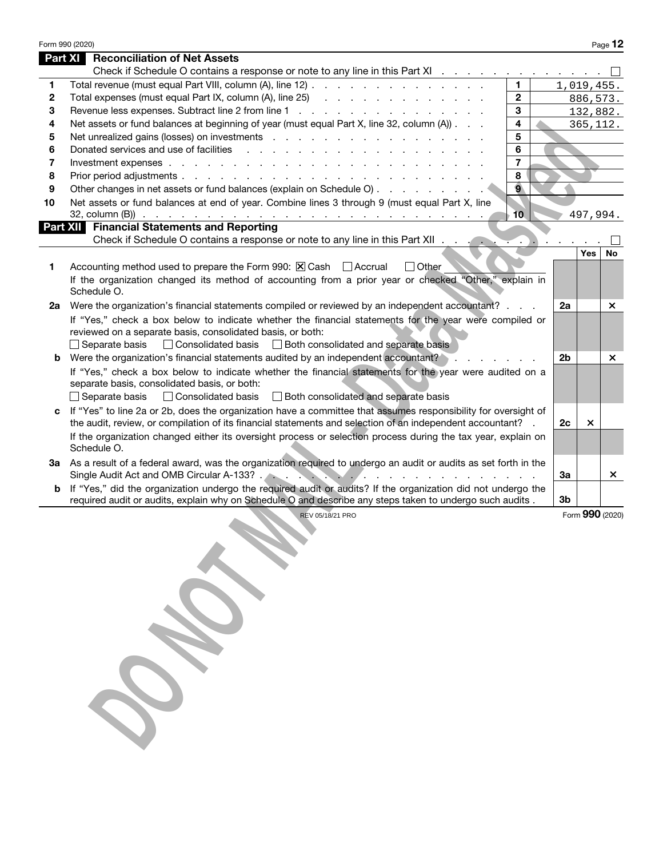|                | Form 990 (2020)                                                                                                                                                                                                                                |                                          |                 | Page 12 |
|----------------|------------------------------------------------------------------------------------------------------------------------------------------------------------------------------------------------------------------------------------------------|------------------------------------------|-----------------|---------|
| <b>Part XI</b> | <b>Reconciliation of Net Assets</b>                                                                                                                                                                                                            |                                          |                 |         |
|                | Check if Schedule O contains a response or note to any line in this Part XI                                                                                                                                                                    |                                          |                 |         |
| 1              | Total revenue (must equal Part VIII, column (A), line 12)<br>$\mathbf{1}$                                                                                                                                                                      |                                          | 1,019,455.      |         |
| $\mathbf{2}$   | Total expenses (must equal Part IX, column (A), line 25) (and a contract of the contract of the contract of the contract of the contract of the contract of the contract of the contract of the contract of the contract of th<br>$\mathbf{2}$ |                                          | 886,573.        |         |
| 3              | 3                                                                                                                                                                                                                                              |                                          | 132,882.        |         |
| 4              | $\overline{\mathbf{4}}$<br>Net assets or fund balances at beginning of year (must equal Part X, line 32, column (A))                                                                                                                           |                                          | 365, 112.       |         |
| 5              | 5                                                                                                                                                                                                                                              |                                          |                 |         |
| 6              | 6<br>Donated services and use of facilities<br>the contract of the contract of the contract of the contract of the contract of the contract of the contract of                                                                                 |                                          |                 |         |
| 7              | $\overline{7}$                                                                                                                                                                                                                                 |                                          |                 |         |
| 8              | 8                                                                                                                                                                                                                                              |                                          |                 |         |
| 9              | $\bullet$<br>Other changes in net assets or fund balances (explain on Schedule O)                                                                                                                                                              |                                          |                 |         |
| 10             | Net assets or fund balances at end of year. Combine lines 3 through 9 (must equal Part X, line<br>10 <sub>1</sub>                                                                                                                              |                                          | 497,994.        |         |
| Part XII       | <b>Financial Statements and Reporting</b>                                                                                                                                                                                                      |                                          |                 |         |
|                | Check if Schedule O contains a response or note to any line in this Part XII.<br>G.                                                                                                                                                            | $\mathbf{r} = \mathbf{r} + \mathbf{r}$ . |                 |         |
|                |                                                                                                                                                                                                                                                |                                          | Yes             | No      |
| 1              | $\Box$ Other<br>Accounting method used to prepare the Form 990: $\boxtimes$ Cash $\Box$ Accrual                                                                                                                                                |                                          |                 |         |
|                | If the organization changed its method of accounting from a prior year or checked "Other," explain in                                                                                                                                          |                                          |                 |         |
|                | Schedule O.                                                                                                                                                                                                                                    |                                          |                 |         |
|                | 2a Were the organization's financial statements compiled or reviewed by an independent accountant?                                                                                                                                             | 2a                                       |                 | ×       |
|                | If "Yes," check a box below to indicate whether the financial statements for the year were compiled or                                                                                                                                         |                                          |                 |         |
|                | reviewed on a separate basis, consolidated basis, or both:                                                                                                                                                                                     |                                          |                 |         |
|                | □ Consolidated basis □ Both consolidated and separate basis<br>$\Box$ Separate basis                                                                                                                                                           |                                          |                 |         |
| b              | Were the organization's financial statements audited by an independent accountant?                                                                                                                                                             | 2b                                       |                 | ×       |
|                | If "Yes," check a box below to indicate whether the financial statements for the year were audited on a                                                                                                                                        |                                          |                 |         |
|                | separate basis, consolidated basis, or both:                                                                                                                                                                                                   |                                          |                 |         |
|                | $\Box$ Separate basis<br>Consolidated basis<br>Both consolidated and separate basis                                                                                                                                                            |                                          |                 |         |
| C              | If "Yes" to line 2a or 2b, does the organization have a committee that assumes responsibility for oversight of                                                                                                                                 |                                          |                 |         |
|                | the audit, review, or compilation of its financial statements and selection of an independent accountant? .                                                                                                                                    | 2c                                       | ×               |         |
|                | If the organization changed either its oversight process or selection process during the tax year, explain on<br>Schedule O.                                                                                                                   |                                          |                 |         |
|                | 3a As a result of a federal award, was the organization required to undergo an audit or audits as set forth in the                                                                                                                             |                                          |                 |         |
|                |                                                                                                                                                                                                                                                | За                                       |                 | ×.      |
|                | <b>b</b> If "Yes," did the organization undergo the required audit or audits? If the organization did not undergo the                                                                                                                          |                                          |                 |         |
|                | required audit or audits, explain why on Schedule O and describe any steps taken to undergo such audits.                                                                                                                                       | 3b                                       |                 |         |
|                | REV 05/18/21 PRO                                                                                                                                                                                                                               |                                          | Form 990 (2020) |         |
|                |                                                                                                                                                                                                                                                |                                          |                 |         |
|                |                                                                                                                                                                                                                                                |                                          |                 |         |
|                |                                                                                                                                                                                                                                                |                                          |                 |         |
|                |                                                                                                                                                                                                                                                |                                          |                 |         |
|                |                                                                                                                                                                                                                                                |                                          |                 |         |
|                |                                                                                                                                                                                                                                                |                                          |                 |         |
|                |                                                                                                                                                                                                                                                |                                          |                 |         |
|                |                                                                                                                                                                                                                                                |                                          |                 |         |
|                |                                                                                                                                                                                                                                                |                                          |                 |         |
|                |                                                                                                                                                                                                                                                |                                          |                 |         |
|                |                                                                                                                                                                                                                                                |                                          |                 |         |
|                |                                                                                                                                                                                                                                                |                                          |                 |         |
|                |                                                                                                                                                                                                                                                |                                          |                 |         |
|                |                                                                                                                                                                                                                                                |                                          |                 |         |
|                |                                                                                                                                                                                                                                                |                                          |                 |         |
|                |                                                                                                                                                                                                                                                |                                          |                 |         |
|                |                                                                                                                                                                                                                                                |                                          |                 |         |
|                |                                                                                                                                                                                                                                                |                                          |                 |         |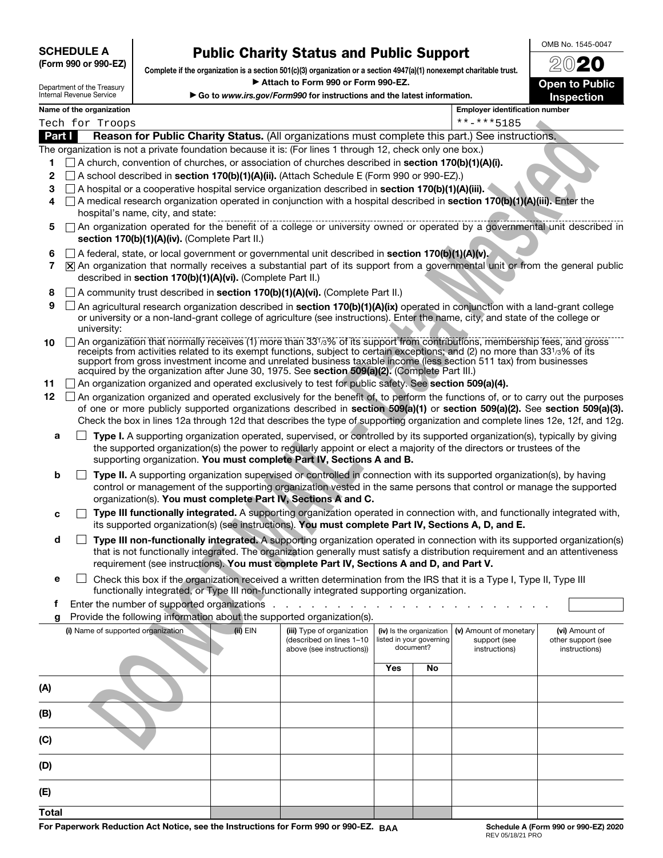| <b>SCHEDULE A</b>    |  |  |
|----------------------|--|--|
| (Form 990 or 990-EZ) |  |  |

OMB No. 1545-0047 20**20**

| Department of the Treasury |
|----------------------------|
| Internal Revenue Service   |

**(E) Total** **Public Charity Status and Public Support Complete if the organization is a section 501(c)(3) organization or a section 4947(a)(1) nonexempt charitable trust.** ▶ Attach to Form 990 or Form 990-EZ.

▶ Go to *www.irs.gov/Form990* for instructions and the latest information.

**Open to Public Inspection**

## **Name of the organization Employer identification number Employer identification number**

| **-***5185<br>Tech for Troops<br>Part I<br>Reason for Public Charity Status. (All organizations must complete this part.) See instructions.<br>The organization is not a private foundation because it is: (For lines 1 through 12, check only one box.)<br>$\Box$ A church, convention of churches, or association of churches described in section 170(b)(1)(A)(i).<br>1<br>$\Box$ A school described in <b>section 170(b)(1)(A)(ii).</b> (Attach Schedule E (Form 990 or 990-EZ).)<br>2<br>$\Box$ A hospital or a cooperative hospital service organization described in <b>section 170(b)(1)(A)(iii).</b><br>3<br>□ A medical research organization operated in conjunction with a hospital described in section 170(b)(1)(A)(iii). Enter the<br>4<br>hospital's name, city, and state:<br>□ An organization operated for the benefit of a college or university owned or operated by a governmental unit described in<br>5<br>section 170(b)(1)(A)(iv). (Complete Part II.)<br>$\Box$ A federal, state, or local government or governmental unit described in section 170(b)(1)(A)(v).<br>6<br>$[\overline{x}]$ An organization that normally receives a substantial part of its support from a governmental unit or from the general public<br>7<br>described in section 170(b)(1)(A)(vi). (Complete Part II.)<br>$\Box$ A community trust described in section 170(b)(1)(A)(vi). (Complete Part II.)<br>8<br>9<br>An agricultural research organization described in section 170(b)(1)(A)(ix) operated in conjunction with a land-grant college<br>or university or a non-land-grant college of agriculture (see instructions). Enter the name, city, and state of the college or<br>university:<br>□ An organization that normally receives (1) more than 331/3% of its support from contributions, membership fees, and gross<br>10<br>receipts from activities related to its exempt functions, subject to certain exceptions; and (2) no more than 331/3% of its<br>support from gross investment income and unrelated business taxable income (less section 511 tax) from businesses<br>acquired by the organization after June 30, 1975. See section 509(a)(2). (Complete Part III.)<br>□ An organization organized and operated exclusively to test for public safety. See section 509(a)(4).<br>11<br>12 <sub>2</sub><br>$\Box$ An organization organized and operated exclusively for the benefit of, to perform the functions of, or to carry out the purposes<br>of one or more publicly supported organizations described in section 509(a)(1) or section 509(a)(2). See section 509(a)(3).<br>Check the box in lines 12a through 12d that describes the type of supporting organization and complete lines 12e, 12f, and 12g.<br>Type I. A supporting organization operated, supervised, or controlled by its supported organization(s), typically by giving<br>a<br>the supported organization(s) the power to regularly appoint or elect a majority of the directors or trustees of the<br>supporting organization. You must complete Part IV, Sections A and B.<br>Type II. A supporting organization supervised or controlled in connection with its supported organization(s), by having<br>b<br>control or management of the supporting organization vested in the same persons that control or manage the supported<br>organization(s). You must complete Part IV, Sections A and C.<br>Type III functionally integrated. A supporting organization operated in connection with, and functionally integrated with,<br>c<br>its supported organization(s) (see instructions). You must complete Part IV, Sections A, D, and E.<br>Type III non-functionally integrated. A supporting organization operated in connection with its supported organization(s)<br>d<br>that is not functionally integrated. The organization generally must satisfy a distribution requirement and an attentiveness<br>requirement (see instructions). You must complete Part IV, Sections A and D, and Part V.<br>Check this box if the organization received a written determination from the IRS that it is a Type I, Type II, Type III<br>е<br>functionally integrated, or Type III non-functionally integrated supporting organization.<br>Enter the number of supported organizations<br>f<br>Provide the following information about the supported organization(s).<br>g<br>$(ii)$ EIN<br>(i) Name of supported organization<br>(iii) Type of organization<br>(iv) Is the organization<br>(vi) Amount of<br>(v) Amount of monetary<br>(described on lines 1-10<br>listed in your governing<br>other support (see<br>support (see<br>document?<br>above (see instructions))<br>instructions)<br>instructions)<br><b>Yes</b><br>No<br>(A)<br>(B) |  |  |  |  |  |  |  |
|--------------------------------------------------------------------------------------------------------------------------------------------------------------------------------------------------------------------------------------------------------------------------------------------------------------------------------------------------------------------------------------------------------------------------------------------------------------------------------------------------------------------------------------------------------------------------------------------------------------------------------------------------------------------------------------------------------------------------------------------------------------------------------------------------------------------------------------------------------------------------------------------------------------------------------------------------------------------------------------------------------------------------------------------------------------------------------------------------------------------------------------------------------------------------------------------------------------------------------------------------------------------------------------------------------------------------------------------------------------------------------------------------------------------------------------------------------------------------------------------------------------------------------------------------------------------------------------------------------------------------------------------------------------------------------------------------------------------------------------------------------------------------------------------------------------------------------------------------------------------------------------------------------------------------------------------------------------------------------------------------------------------------------------------------------------------------------------------------------------------------------------------------------------------------------------------------------------------------------------------------------------------------------------------------------------------------------------------------------------------------------------------------------------------------------------------------------------------------------------------------------------------------------------------------------------------------------------------------------------------------------------------------------------------------------------------------------------------------------------------------------------------------------------------------------------------------------------------------------------------------------------------------------------------------------------------------------------------------------------------------------------------------------------------------------------------------------------------------------------------------------------------------------------------------------------------------------------------------------------------------------------------------------------------------------------------------------------------------------------------------------------------------------------------------------------------------------------------------------------------------------------------------------------------------------------------------------------------------------------------------------------------------------------------------------------------------------------------------------------------------------------------------------------------------------------------------------------------------------------------------------------------------------------------------------------------------------------------------------------------------------------------------------------------------------------------------------------------------------------------------------------------------------------------------------------------------------------------------------------------------------------------------------------------------------------------------------------------------------------------------------------------------------------------------------------------------------------------------------------------------------------------------------------------------------------------------------------------------------------------------------------------------------------------------------------------------------------------------------------------------------------|--|--|--|--|--|--|--|
|                                                                                                                                                                                                                                                                                                                                                                                                                                                                                                                                                                                                                                                                                                                                                                                                                                                                                                                                                                                                                                                                                                                                                                                                                                                                                                                                                                                                                                                                                                                                                                                                                                                                                                                                                                                                                                                                                                                                                                                                                                                                                                                                                                                                                                                                                                                                                                                                                                                                                                                                                                                                                                                                                                                                                                                                                                                                                                                                                                                                                                                                                                                                                                                                                                                                                                                                                                                                                                                                                                                                                                                                                                                                                                                                                                                                                                                                                                                                                                                                                                                                                                                                                                                                                                                                                                                                                                                                                                                                                                                                                                                                                                                                                                                                                              |  |  |  |  |  |  |  |
|                                                                                                                                                                                                                                                                                                                                                                                                                                                                                                                                                                                                                                                                                                                                                                                                                                                                                                                                                                                                                                                                                                                                                                                                                                                                                                                                                                                                                                                                                                                                                                                                                                                                                                                                                                                                                                                                                                                                                                                                                                                                                                                                                                                                                                                                                                                                                                                                                                                                                                                                                                                                                                                                                                                                                                                                                                                                                                                                                                                                                                                                                                                                                                                                                                                                                                                                                                                                                                                                                                                                                                                                                                                                                                                                                                                                                                                                                                                                                                                                                                                                                                                                                                                                                                                                                                                                                                                                                                                                                                                                                                                                                                                                                                                                                              |  |  |  |  |  |  |  |
|                                                                                                                                                                                                                                                                                                                                                                                                                                                                                                                                                                                                                                                                                                                                                                                                                                                                                                                                                                                                                                                                                                                                                                                                                                                                                                                                                                                                                                                                                                                                                                                                                                                                                                                                                                                                                                                                                                                                                                                                                                                                                                                                                                                                                                                                                                                                                                                                                                                                                                                                                                                                                                                                                                                                                                                                                                                                                                                                                                                                                                                                                                                                                                                                                                                                                                                                                                                                                                                                                                                                                                                                                                                                                                                                                                                                                                                                                                                                                                                                                                                                                                                                                                                                                                                                                                                                                                                                                                                                                                                                                                                                                                                                                                                                                              |  |  |  |  |  |  |  |
|                                                                                                                                                                                                                                                                                                                                                                                                                                                                                                                                                                                                                                                                                                                                                                                                                                                                                                                                                                                                                                                                                                                                                                                                                                                                                                                                                                                                                                                                                                                                                                                                                                                                                                                                                                                                                                                                                                                                                                                                                                                                                                                                                                                                                                                                                                                                                                                                                                                                                                                                                                                                                                                                                                                                                                                                                                                                                                                                                                                                                                                                                                                                                                                                                                                                                                                                                                                                                                                                                                                                                                                                                                                                                                                                                                                                                                                                                                                                                                                                                                                                                                                                                                                                                                                                                                                                                                                                                                                                                                                                                                                                                                                                                                                                                              |  |  |  |  |  |  |  |
|                                                                                                                                                                                                                                                                                                                                                                                                                                                                                                                                                                                                                                                                                                                                                                                                                                                                                                                                                                                                                                                                                                                                                                                                                                                                                                                                                                                                                                                                                                                                                                                                                                                                                                                                                                                                                                                                                                                                                                                                                                                                                                                                                                                                                                                                                                                                                                                                                                                                                                                                                                                                                                                                                                                                                                                                                                                                                                                                                                                                                                                                                                                                                                                                                                                                                                                                                                                                                                                                                                                                                                                                                                                                                                                                                                                                                                                                                                                                                                                                                                                                                                                                                                                                                                                                                                                                                                                                                                                                                                                                                                                                                                                                                                                                                              |  |  |  |  |  |  |  |
|                                                                                                                                                                                                                                                                                                                                                                                                                                                                                                                                                                                                                                                                                                                                                                                                                                                                                                                                                                                                                                                                                                                                                                                                                                                                                                                                                                                                                                                                                                                                                                                                                                                                                                                                                                                                                                                                                                                                                                                                                                                                                                                                                                                                                                                                                                                                                                                                                                                                                                                                                                                                                                                                                                                                                                                                                                                                                                                                                                                                                                                                                                                                                                                                                                                                                                                                                                                                                                                                                                                                                                                                                                                                                                                                                                                                                                                                                                                                                                                                                                                                                                                                                                                                                                                                                                                                                                                                                                                                                                                                                                                                                                                                                                                                                              |  |  |  |  |  |  |  |
|                                                                                                                                                                                                                                                                                                                                                                                                                                                                                                                                                                                                                                                                                                                                                                                                                                                                                                                                                                                                                                                                                                                                                                                                                                                                                                                                                                                                                                                                                                                                                                                                                                                                                                                                                                                                                                                                                                                                                                                                                                                                                                                                                                                                                                                                                                                                                                                                                                                                                                                                                                                                                                                                                                                                                                                                                                                                                                                                                                                                                                                                                                                                                                                                                                                                                                                                                                                                                                                                                                                                                                                                                                                                                                                                                                                                                                                                                                                                                                                                                                                                                                                                                                                                                                                                                                                                                                                                                                                                                                                                                                                                                                                                                                                                                              |  |  |  |  |  |  |  |
|                                                                                                                                                                                                                                                                                                                                                                                                                                                                                                                                                                                                                                                                                                                                                                                                                                                                                                                                                                                                                                                                                                                                                                                                                                                                                                                                                                                                                                                                                                                                                                                                                                                                                                                                                                                                                                                                                                                                                                                                                                                                                                                                                                                                                                                                                                                                                                                                                                                                                                                                                                                                                                                                                                                                                                                                                                                                                                                                                                                                                                                                                                                                                                                                                                                                                                                                                                                                                                                                                                                                                                                                                                                                                                                                                                                                                                                                                                                                                                                                                                                                                                                                                                                                                                                                                                                                                                                                                                                                                                                                                                                                                                                                                                                                                              |  |  |  |  |  |  |  |
|                                                                                                                                                                                                                                                                                                                                                                                                                                                                                                                                                                                                                                                                                                                                                                                                                                                                                                                                                                                                                                                                                                                                                                                                                                                                                                                                                                                                                                                                                                                                                                                                                                                                                                                                                                                                                                                                                                                                                                                                                                                                                                                                                                                                                                                                                                                                                                                                                                                                                                                                                                                                                                                                                                                                                                                                                                                                                                                                                                                                                                                                                                                                                                                                                                                                                                                                                                                                                                                                                                                                                                                                                                                                                                                                                                                                                                                                                                                                                                                                                                                                                                                                                                                                                                                                                                                                                                                                                                                                                                                                                                                                                                                                                                                                                              |  |  |  |  |  |  |  |
|                                                                                                                                                                                                                                                                                                                                                                                                                                                                                                                                                                                                                                                                                                                                                                                                                                                                                                                                                                                                                                                                                                                                                                                                                                                                                                                                                                                                                                                                                                                                                                                                                                                                                                                                                                                                                                                                                                                                                                                                                                                                                                                                                                                                                                                                                                                                                                                                                                                                                                                                                                                                                                                                                                                                                                                                                                                                                                                                                                                                                                                                                                                                                                                                                                                                                                                                                                                                                                                                                                                                                                                                                                                                                                                                                                                                                                                                                                                                                                                                                                                                                                                                                                                                                                                                                                                                                                                                                                                                                                                                                                                                                                                                                                                                                              |  |  |  |  |  |  |  |
|                                                                                                                                                                                                                                                                                                                                                                                                                                                                                                                                                                                                                                                                                                                                                                                                                                                                                                                                                                                                                                                                                                                                                                                                                                                                                                                                                                                                                                                                                                                                                                                                                                                                                                                                                                                                                                                                                                                                                                                                                                                                                                                                                                                                                                                                                                                                                                                                                                                                                                                                                                                                                                                                                                                                                                                                                                                                                                                                                                                                                                                                                                                                                                                                                                                                                                                                                                                                                                                                                                                                                                                                                                                                                                                                                                                                                                                                                                                                                                                                                                                                                                                                                                                                                                                                                                                                                                                                                                                                                                                                                                                                                                                                                                                                                              |  |  |  |  |  |  |  |
|                                                                                                                                                                                                                                                                                                                                                                                                                                                                                                                                                                                                                                                                                                                                                                                                                                                                                                                                                                                                                                                                                                                                                                                                                                                                                                                                                                                                                                                                                                                                                                                                                                                                                                                                                                                                                                                                                                                                                                                                                                                                                                                                                                                                                                                                                                                                                                                                                                                                                                                                                                                                                                                                                                                                                                                                                                                                                                                                                                                                                                                                                                                                                                                                                                                                                                                                                                                                                                                                                                                                                                                                                                                                                                                                                                                                                                                                                                                                                                                                                                                                                                                                                                                                                                                                                                                                                                                                                                                                                                                                                                                                                                                                                                                                                              |  |  |  |  |  |  |  |
|                                                                                                                                                                                                                                                                                                                                                                                                                                                                                                                                                                                                                                                                                                                                                                                                                                                                                                                                                                                                                                                                                                                                                                                                                                                                                                                                                                                                                                                                                                                                                                                                                                                                                                                                                                                                                                                                                                                                                                                                                                                                                                                                                                                                                                                                                                                                                                                                                                                                                                                                                                                                                                                                                                                                                                                                                                                                                                                                                                                                                                                                                                                                                                                                                                                                                                                                                                                                                                                                                                                                                                                                                                                                                                                                                                                                                                                                                                                                                                                                                                                                                                                                                                                                                                                                                                                                                                                                                                                                                                                                                                                                                                                                                                                                                              |  |  |  |  |  |  |  |
|                                                                                                                                                                                                                                                                                                                                                                                                                                                                                                                                                                                                                                                                                                                                                                                                                                                                                                                                                                                                                                                                                                                                                                                                                                                                                                                                                                                                                                                                                                                                                                                                                                                                                                                                                                                                                                                                                                                                                                                                                                                                                                                                                                                                                                                                                                                                                                                                                                                                                                                                                                                                                                                                                                                                                                                                                                                                                                                                                                                                                                                                                                                                                                                                                                                                                                                                                                                                                                                                                                                                                                                                                                                                                                                                                                                                                                                                                                                                                                                                                                                                                                                                                                                                                                                                                                                                                                                                                                                                                                                                                                                                                                                                                                                                                              |  |  |  |  |  |  |  |
|                                                                                                                                                                                                                                                                                                                                                                                                                                                                                                                                                                                                                                                                                                                                                                                                                                                                                                                                                                                                                                                                                                                                                                                                                                                                                                                                                                                                                                                                                                                                                                                                                                                                                                                                                                                                                                                                                                                                                                                                                                                                                                                                                                                                                                                                                                                                                                                                                                                                                                                                                                                                                                                                                                                                                                                                                                                                                                                                                                                                                                                                                                                                                                                                                                                                                                                                                                                                                                                                                                                                                                                                                                                                                                                                                                                                                                                                                                                                                                                                                                                                                                                                                                                                                                                                                                                                                                                                                                                                                                                                                                                                                                                                                                                                                              |  |  |  |  |  |  |  |
|                                                                                                                                                                                                                                                                                                                                                                                                                                                                                                                                                                                                                                                                                                                                                                                                                                                                                                                                                                                                                                                                                                                                                                                                                                                                                                                                                                                                                                                                                                                                                                                                                                                                                                                                                                                                                                                                                                                                                                                                                                                                                                                                                                                                                                                                                                                                                                                                                                                                                                                                                                                                                                                                                                                                                                                                                                                                                                                                                                                                                                                                                                                                                                                                                                                                                                                                                                                                                                                                                                                                                                                                                                                                                                                                                                                                                                                                                                                                                                                                                                                                                                                                                                                                                                                                                                                                                                                                                                                                                                                                                                                                                                                                                                                                                              |  |  |  |  |  |  |  |
|                                                                                                                                                                                                                                                                                                                                                                                                                                                                                                                                                                                                                                                                                                                                                                                                                                                                                                                                                                                                                                                                                                                                                                                                                                                                                                                                                                                                                                                                                                                                                                                                                                                                                                                                                                                                                                                                                                                                                                                                                                                                                                                                                                                                                                                                                                                                                                                                                                                                                                                                                                                                                                                                                                                                                                                                                                                                                                                                                                                                                                                                                                                                                                                                                                                                                                                                                                                                                                                                                                                                                                                                                                                                                                                                                                                                                                                                                                                                                                                                                                                                                                                                                                                                                                                                                                                                                                                                                                                                                                                                                                                                                                                                                                                                                              |  |  |  |  |  |  |  |
|                                                                                                                                                                                                                                                                                                                                                                                                                                                                                                                                                                                                                                                                                                                                                                                                                                                                                                                                                                                                                                                                                                                                                                                                                                                                                                                                                                                                                                                                                                                                                                                                                                                                                                                                                                                                                                                                                                                                                                                                                                                                                                                                                                                                                                                                                                                                                                                                                                                                                                                                                                                                                                                                                                                                                                                                                                                                                                                                                                                                                                                                                                                                                                                                                                                                                                                                                                                                                                                                                                                                                                                                                                                                                                                                                                                                                                                                                                                                                                                                                                                                                                                                                                                                                                                                                                                                                                                                                                                                                                                                                                                                                                                                                                                                                              |  |  |  |  |  |  |  |
|                                                                                                                                                                                                                                                                                                                                                                                                                                                                                                                                                                                                                                                                                                                                                                                                                                                                                                                                                                                                                                                                                                                                                                                                                                                                                                                                                                                                                                                                                                                                                                                                                                                                                                                                                                                                                                                                                                                                                                                                                                                                                                                                                                                                                                                                                                                                                                                                                                                                                                                                                                                                                                                                                                                                                                                                                                                                                                                                                                                                                                                                                                                                                                                                                                                                                                                                                                                                                                                                                                                                                                                                                                                                                                                                                                                                                                                                                                                                                                                                                                                                                                                                                                                                                                                                                                                                                                                                                                                                                                                                                                                                                                                                                                                                                              |  |  |  |  |  |  |  |
|                                                                                                                                                                                                                                                                                                                                                                                                                                                                                                                                                                                                                                                                                                                                                                                                                                                                                                                                                                                                                                                                                                                                                                                                                                                                                                                                                                                                                                                                                                                                                                                                                                                                                                                                                                                                                                                                                                                                                                                                                                                                                                                                                                                                                                                                                                                                                                                                                                                                                                                                                                                                                                                                                                                                                                                                                                                                                                                                                                                                                                                                                                                                                                                                                                                                                                                                                                                                                                                                                                                                                                                                                                                                                                                                                                                                                                                                                                                                                                                                                                                                                                                                                                                                                                                                                                                                                                                                                                                                                                                                                                                                                                                                                                                                                              |  |  |  |  |  |  |  |
|                                                                                                                                                                                                                                                                                                                                                                                                                                                                                                                                                                                                                                                                                                                                                                                                                                                                                                                                                                                                                                                                                                                                                                                                                                                                                                                                                                                                                                                                                                                                                                                                                                                                                                                                                                                                                                                                                                                                                                                                                                                                                                                                                                                                                                                                                                                                                                                                                                                                                                                                                                                                                                                                                                                                                                                                                                                                                                                                                                                                                                                                                                                                                                                                                                                                                                                                                                                                                                                                                                                                                                                                                                                                                                                                                                                                                                                                                                                                                                                                                                                                                                                                                                                                                                                                                                                                                                                                                                                                                                                                                                                                                                                                                                                                                              |  |  |  |  |  |  |  |
|                                                                                                                                                                                                                                                                                                                                                                                                                                                                                                                                                                                                                                                                                                                                                                                                                                                                                                                                                                                                                                                                                                                                                                                                                                                                                                                                                                                                                                                                                                                                                                                                                                                                                                                                                                                                                                                                                                                                                                                                                                                                                                                                                                                                                                                                                                                                                                                                                                                                                                                                                                                                                                                                                                                                                                                                                                                                                                                                                                                                                                                                                                                                                                                                                                                                                                                                                                                                                                                                                                                                                                                                                                                                                                                                                                                                                                                                                                                                                                                                                                                                                                                                                                                                                                                                                                                                                                                                                                                                                                                                                                                                                                                                                                                                                              |  |  |  |  |  |  |  |
|                                                                                                                                                                                                                                                                                                                                                                                                                                                                                                                                                                                                                                                                                                                                                                                                                                                                                                                                                                                                                                                                                                                                                                                                                                                                                                                                                                                                                                                                                                                                                                                                                                                                                                                                                                                                                                                                                                                                                                                                                                                                                                                                                                                                                                                                                                                                                                                                                                                                                                                                                                                                                                                                                                                                                                                                                                                                                                                                                                                                                                                                                                                                                                                                                                                                                                                                                                                                                                                                                                                                                                                                                                                                                                                                                                                                                                                                                                                                                                                                                                                                                                                                                                                                                                                                                                                                                                                                                                                                                                                                                                                                                                                                                                                                                              |  |  |  |  |  |  |  |
|                                                                                                                                                                                                                                                                                                                                                                                                                                                                                                                                                                                                                                                                                                                                                                                                                                                                                                                                                                                                                                                                                                                                                                                                                                                                                                                                                                                                                                                                                                                                                                                                                                                                                                                                                                                                                                                                                                                                                                                                                                                                                                                                                                                                                                                                                                                                                                                                                                                                                                                                                                                                                                                                                                                                                                                                                                                                                                                                                                                                                                                                                                                                                                                                                                                                                                                                                                                                                                                                                                                                                                                                                                                                                                                                                                                                                                                                                                                                                                                                                                                                                                                                                                                                                                                                                                                                                                                                                                                                                                                                                                                                                                                                                                                                                              |  |  |  |  |  |  |  |
|                                                                                                                                                                                                                                                                                                                                                                                                                                                                                                                                                                                                                                                                                                                                                                                                                                                                                                                                                                                                                                                                                                                                                                                                                                                                                                                                                                                                                                                                                                                                                                                                                                                                                                                                                                                                                                                                                                                                                                                                                                                                                                                                                                                                                                                                                                                                                                                                                                                                                                                                                                                                                                                                                                                                                                                                                                                                                                                                                                                                                                                                                                                                                                                                                                                                                                                                                                                                                                                                                                                                                                                                                                                                                                                                                                                                                                                                                                                                                                                                                                                                                                                                                                                                                                                                                                                                                                                                                                                                                                                                                                                                                                                                                                                                                              |  |  |  |  |  |  |  |
|                                                                                                                                                                                                                                                                                                                                                                                                                                                                                                                                                                                                                                                                                                                                                                                                                                                                                                                                                                                                                                                                                                                                                                                                                                                                                                                                                                                                                                                                                                                                                                                                                                                                                                                                                                                                                                                                                                                                                                                                                                                                                                                                                                                                                                                                                                                                                                                                                                                                                                                                                                                                                                                                                                                                                                                                                                                                                                                                                                                                                                                                                                                                                                                                                                                                                                                                                                                                                                                                                                                                                                                                                                                                                                                                                                                                                                                                                                                                                                                                                                                                                                                                                                                                                                                                                                                                                                                                                                                                                                                                                                                                                                                                                                                                                              |  |  |  |  |  |  |  |
|                                                                                                                                                                                                                                                                                                                                                                                                                                                                                                                                                                                                                                                                                                                                                                                                                                                                                                                                                                                                                                                                                                                                                                                                                                                                                                                                                                                                                                                                                                                                                                                                                                                                                                                                                                                                                                                                                                                                                                                                                                                                                                                                                                                                                                                                                                                                                                                                                                                                                                                                                                                                                                                                                                                                                                                                                                                                                                                                                                                                                                                                                                                                                                                                                                                                                                                                                                                                                                                                                                                                                                                                                                                                                                                                                                                                                                                                                                                                                                                                                                                                                                                                                                                                                                                                                                                                                                                                                                                                                                                                                                                                                                                                                                                                                              |  |  |  |  |  |  |  |
|                                                                                                                                                                                                                                                                                                                                                                                                                                                                                                                                                                                                                                                                                                                                                                                                                                                                                                                                                                                                                                                                                                                                                                                                                                                                                                                                                                                                                                                                                                                                                                                                                                                                                                                                                                                                                                                                                                                                                                                                                                                                                                                                                                                                                                                                                                                                                                                                                                                                                                                                                                                                                                                                                                                                                                                                                                                                                                                                                                                                                                                                                                                                                                                                                                                                                                                                                                                                                                                                                                                                                                                                                                                                                                                                                                                                                                                                                                                                                                                                                                                                                                                                                                                                                                                                                                                                                                                                                                                                                                                                                                                                                                                                                                                                                              |  |  |  |  |  |  |  |
|                                                                                                                                                                                                                                                                                                                                                                                                                                                                                                                                                                                                                                                                                                                                                                                                                                                                                                                                                                                                                                                                                                                                                                                                                                                                                                                                                                                                                                                                                                                                                                                                                                                                                                                                                                                                                                                                                                                                                                                                                                                                                                                                                                                                                                                                                                                                                                                                                                                                                                                                                                                                                                                                                                                                                                                                                                                                                                                                                                                                                                                                                                                                                                                                                                                                                                                                                                                                                                                                                                                                                                                                                                                                                                                                                                                                                                                                                                                                                                                                                                                                                                                                                                                                                                                                                                                                                                                                                                                                                                                                                                                                                                                                                                                                                              |  |  |  |  |  |  |  |
|                                                                                                                                                                                                                                                                                                                                                                                                                                                                                                                                                                                                                                                                                                                                                                                                                                                                                                                                                                                                                                                                                                                                                                                                                                                                                                                                                                                                                                                                                                                                                                                                                                                                                                                                                                                                                                                                                                                                                                                                                                                                                                                                                                                                                                                                                                                                                                                                                                                                                                                                                                                                                                                                                                                                                                                                                                                                                                                                                                                                                                                                                                                                                                                                                                                                                                                                                                                                                                                                                                                                                                                                                                                                                                                                                                                                                                                                                                                                                                                                                                                                                                                                                                                                                                                                                                                                                                                                                                                                                                                                                                                                                                                                                                                                                              |  |  |  |  |  |  |  |
|                                                                                                                                                                                                                                                                                                                                                                                                                                                                                                                                                                                                                                                                                                                                                                                                                                                                                                                                                                                                                                                                                                                                                                                                                                                                                                                                                                                                                                                                                                                                                                                                                                                                                                                                                                                                                                                                                                                                                                                                                                                                                                                                                                                                                                                                                                                                                                                                                                                                                                                                                                                                                                                                                                                                                                                                                                                                                                                                                                                                                                                                                                                                                                                                                                                                                                                                                                                                                                                                                                                                                                                                                                                                                                                                                                                                                                                                                                                                                                                                                                                                                                                                                                                                                                                                                                                                                                                                                                                                                                                                                                                                                                                                                                                                                              |  |  |  |  |  |  |  |
|                                                                                                                                                                                                                                                                                                                                                                                                                                                                                                                                                                                                                                                                                                                                                                                                                                                                                                                                                                                                                                                                                                                                                                                                                                                                                                                                                                                                                                                                                                                                                                                                                                                                                                                                                                                                                                                                                                                                                                                                                                                                                                                                                                                                                                                                                                                                                                                                                                                                                                                                                                                                                                                                                                                                                                                                                                                                                                                                                                                                                                                                                                                                                                                                                                                                                                                                                                                                                                                                                                                                                                                                                                                                                                                                                                                                                                                                                                                                                                                                                                                                                                                                                                                                                                                                                                                                                                                                                                                                                                                                                                                                                                                                                                                                                              |  |  |  |  |  |  |  |
|                                                                                                                                                                                                                                                                                                                                                                                                                                                                                                                                                                                                                                                                                                                                                                                                                                                                                                                                                                                                                                                                                                                                                                                                                                                                                                                                                                                                                                                                                                                                                                                                                                                                                                                                                                                                                                                                                                                                                                                                                                                                                                                                                                                                                                                                                                                                                                                                                                                                                                                                                                                                                                                                                                                                                                                                                                                                                                                                                                                                                                                                                                                                                                                                                                                                                                                                                                                                                                                                                                                                                                                                                                                                                                                                                                                                                                                                                                                                                                                                                                                                                                                                                                                                                                                                                                                                                                                                                                                                                                                                                                                                                                                                                                                                                              |  |  |  |  |  |  |  |
|                                                                                                                                                                                                                                                                                                                                                                                                                                                                                                                                                                                                                                                                                                                                                                                                                                                                                                                                                                                                                                                                                                                                                                                                                                                                                                                                                                                                                                                                                                                                                                                                                                                                                                                                                                                                                                                                                                                                                                                                                                                                                                                                                                                                                                                                                                                                                                                                                                                                                                                                                                                                                                                                                                                                                                                                                                                                                                                                                                                                                                                                                                                                                                                                                                                                                                                                                                                                                                                                                                                                                                                                                                                                                                                                                                                                                                                                                                                                                                                                                                                                                                                                                                                                                                                                                                                                                                                                                                                                                                                                                                                                                                                                                                                                                              |  |  |  |  |  |  |  |
|                                                                                                                                                                                                                                                                                                                                                                                                                                                                                                                                                                                                                                                                                                                                                                                                                                                                                                                                                                                                                                                                                                                                                                                                                                                                                                                                                                                                                                                                                                                                                                                                                                                                                                                                                                                                                                                                                                                                                                                                                                                                                                                                                                                                                                                                                                                                                                                                                                                                                                                                                                                                                                                                                                                                                                                                                                                                                                                                                                                                                                                                                                                                                                                                                                                                                                                                                                                                                                                                                                                                                                                                                                                                                                                                                                                                                                                                                                                                                                                                                                                                                                                                                                                                                                                                                                                                                                                                                                                                                                                                                                                                                                                                                                                                                              |  |  |  |  |  |  |  |
|                                                                                                                                                                                                                                                                                                                                                                                                                                                                                                                                                                                                                                                                                                                                                                                                                                                                                                                                                                                                                                                                                                                                                                                                                                                                                                                                                                                                                                                                                                                                                                                                                                                                                                                                                                                                                                                                                                                                                                                                                                                                                                                                                                                                                                                                                                                                                                                                                                                                                                                                                                                                                                                                                                                                                                                                                                                                                                                                                                                                                                                                                                                                                                                                                                                                                                                                                                                                                                                                                                                                                                                                                                                                                                                                                                                                                                                                                                                                                                                                                                                                                                                                                                                                                                                                                                                                                                                                                                                                                                                                                                                                                                                                                                                                                              |  |  |  |  |  |  |  |
|                                                                                                                                                                                                                                                                                                                                                                                                                                                                                                                                                                                                                                                                                                                                                                                                                                                                                                                                                                                                                                                                                                                                                                                                                                                                                                                                                                                                                                                                                                                                                                                                                                                                                                                                                                                                                                                                                                                                                                                                                                                                                                                                                                                                                                                                                                                                                                                                                                                                                                                                                                                                                                                                                                                                                                                                                                                                                                                                                                                                                                                                                                                                                                                                                                                                                                                                                                                                                                                                                                                                                                                                                                                                                                                                                                                                                                                                                                                                                                                                                                                                                                                                                                                                                                                                                                                                                                                                                                                                                                                                                                                                                                                                                                                                                              |  |  |  |  |  |  |  |
|                                                                                                                                                                                                                                                                                                                                                                                                                                                                                                                                                                                                                                                                                                                                                                                                                                                                                                                                                                                                                                                                                                                                                                                                                                                                                                                                                                                                                                                                                                                                                                                                                                                                                                                                                                                                                                                                                                                                                                                                                                                                                                                                                                                                                                                                                                                                                                                                                                                                                                                                                                                                                                                                                                                                                                                                                                                                                                                                                                                                                                                                                                                                                                                                                                                                                                                                                                                                                                                                                                                                                                                                                                                                                                                                                                                                                                                                                                                                                                                                                                                                                                                                                                                                                                                                                                                                                                                                                                                                                                                                                                                                                                                                                                                                                              |  |  |  |  |  |  |  |
|                                                                                                                                                                                                                                                                                                                                                                                                                                                                                                                                                                                                                                                                                                                                                                                                                                                                                                                                                                                                                                                                                                                                                                                                                                                                                                                                                                                                                                                                                                                                                                                                                                                                                                                                                                                                                                                                                                                                                                                                                                                                                                                                                                                                                                                                                                                                                                                                                                                                                                                                                                                                                                                                                                                                                                                                                                                                                                                                                                                                                                                                                                                                                                                                                                                                                                                                                                                                                                                                                                                                                                                                                                                                                                                                                                                                                                                                                                                                                                                                                                                                                                                                                                                                                                                                                                                                                                                                                                                                                                                                                                                                                                                                                                                                                              |  |  |  |  |  |  |  |
|                                                                                                                                                                                                                                                                                                                                                                                                                                                                                                                                                                                                                                                                                                                                                                                                                                                                                                                                                                                                                                                                                                                                                                                                                                                                                                                                                                                                                                                                                                                                                                                                                                                                                                                                                                                                                                                                                                                                                                                                                                                                                                                                                                                                                                                                                                                                                                                                                                                                                                                                                                                                                                                                                                                                                                                                                                                                                                                                                                                                                                                                                                                                                                                                                                                                                                                                                                                                                                                                                                                                                                                                                                                                                                                                                                                                                                                                                                                                                                                                                                                                                                                                                                                                                                                                                                                                                                                                                                                                                                                                                                                                                                                                                                                                                              |  |  |  |  |  |  |  |
|                                                                                                                                                                                                                                                                                                                                                                                                                                                                                                                                                                                                                                                                                                                                                                                                                                                                                                                                                                                                                                                                                                                                                                                                                                                                                                                                                                                                                                                                                                                                                                                                                                                                                                                                                                                                                                                                                                                                                                                                                                                                                                                                                                                                                                                                                                                                                                                                                                                                                                                                                                                                                                                                                                                                                                                                                                                                                                                                                                                                                                                                                                                                                                                                                                                                                                                                                                                                                                                                                                                                                                                                                                                                                                                                                                                                                                                                                                                                                                                                                                                                                                                                                                                                                                                                                                                                                                                                                                                                                                                                                                                                                                                                                                                                                              |  |  |  |  |  |  |  |
|                                                                                                                                                                                                                                                                                                                                                                                                                                                                                                                                                                                                                                                                                                                                                                                                                                                                                                                                                                                                                                                                                                                                                                                                                                                                                                                                                                                                                                                                                                                                                                                                                                                                                                                                                                                                                                                                                                                                                                                                                                                                                                                                                                                                                                                                                                                                                                                                                                                                                                                                                                                                                                                                                                                                                                                                                                                                                                                                                                                                                                                                                                                                                                                                                                                                                                                                                                                                                                                                                                                                                                                                                                                                                                                                                                                                                                                                                                                                                                                                                                                                                                                                                                                                                                                                                                                                                                                                                                                                                                                                                                                                                                                                                                                                                              |  |  |  |  |  |  |  |
|                                                                                                                                                                                                                                                                                                                                                                                                                                                                                                                                                                                                                                                                                                                                                                                                                                                                                                                                                                                                                                                                                                                                                                                                                                                                                                                                                                                                                                                                                                                                                                                                                                                                                                                                                                                                                                                                                                                                                                                                                                                                                                                                                                                                                                                                                                                                                                                                                                                                                                                                                                                                                                                                                                                                                                                                                                                                                                                                                                                                                                                                                                                                                                                                                                                                                                                                                                                                                                                                                                                                                                                                                                                                                                                                                                                                                                                                                                                                                                                                                                                                                                                                                                                                                                                                                                                                                                                                                                                                                                                                                                                                                                                                                                                                                              |  |  |  |  |  |  |  |
| (C)                                                                                                                                                                                                                                                                                                                                                                                                                                                                                                                                                                                                                                                                                                                                                                                                                                                                                                                                                                                                                                                                                                                                                                                                                                                                                                                                                                                                                                                                                                                                                                                                                                                                                                                                                                                                                                                                                                                                                                                                                                                                                                                                                                                                                                                                                                                                                                                                                                                                                                                                                                                                                                                                                                                                                                                                                                                                                                                                                                                                                                                                                                                                                                                                                                                                                                                                                                                                                                                                                                                                                                                                                                                                                                                                                                                                                                                                                                                                                                                                                                                                                                                                                                                                                                                                                                                                                                                                                                                                                                                                                                                                                                                                                                                                                          |  |  |  |  |  |  |  |
| (D)                                                                                                                                                                                                                                                                                                                                                                                                                                                                                                                                                                                                                                                                                                                                                                                                                                                                                                                                                                                                                                                                                                                                                                                                                                                                                                                                                                                                                                                                                                                                                                                                                                                                                                                                                                                                                                                                                                                                                                                                                                                                                                                                                                                                                                                                                                                                                                                                                                                                                                                                                                                                                                                                                                                                                                                                                                                                                                                                                                                                                                                                                                                                                                                                                                                                                                                                                                                                                                                                                                                                                                                                                                                                                                                                                                                                                                                                                                                                                                                                                                                                                                                                                                                                                                                                                                                                                                                                                                                                                                                                                                                                                                                                                                                                                          |  |  |  |  |  |  |  |
|                                                                                                                                                                                                                                                                                                                                                                                                                                                                                                                                                                                                                                                                                                                                                                                                                                                                                                                                                                                                                                                                                                                                                                                                                                                                                                                                                                                                                                                                                                                                                                                                                                                                                                                                                                                                                                                                                                                                                                                                                                                                                                                                                                                                                                                                                                                                                                                                                                                                                                                                                                                                                                                                                                                                                                                                                                                                                                                                                                                                                                                                                                                                                                                                                                                                                                                                                                                                                                                                                                                                                                                                                                                                                                                                                                                                                                                                                                                                                                                                                                                                                                                                                                                                                                                                                                                                                                                                                                                                                                                                                                                                                                                                                                                                                              |  |  |  |  |  |  |  |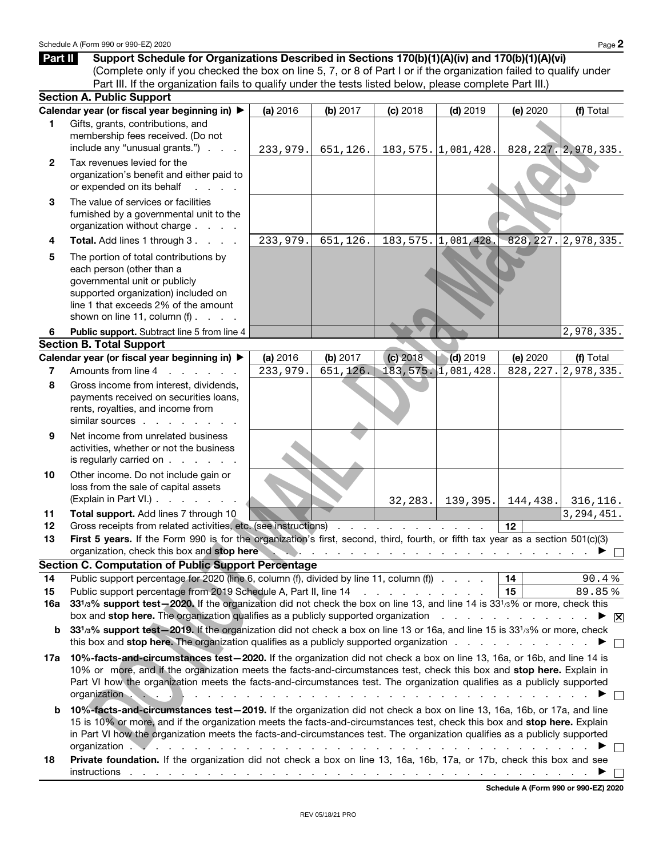**Part II** Support Schedule for Organizations Described in Sections 170(b)(1)(A)(iv) and 170(b)(1)(A)(vi) (Complete only if you checked the box on line 5, 7, or 8 of Part I or if the organization failed to qualify under Part III. If the organization fails to qualify under the tests listed below, please complete Part III.)

|                | <b>Section A. Public Support</b>                                                                                                                                                                                                                                                                                                                                                                 |          |            |                                                 |                                                                                               |                                |                                             |
|----------------|--------------------------------------------------------------------------------------------------------------------------------------------------------------------------------------------------------------------------------------------------------------------------------------------------------------------------------------------------------------------------------------------------|----------|------------|-------------------------------------------------|-----------------------------------------------------------------------------------------------|--------------------------------|---------------------------------------------|
|                | Calendar year (or fiscal year beginning in) ▶                                                                                                                                                                                                                                                                                                                                                    | (a) 2016 | (b) $2017$ | (c) 2018                                        | $(d)$ 2019                                                                                    | (e) 2020                       | (f) Total                                   |
| 1.             | Gifts, grants, contributions, and<br>membership fees received. (Do not<br>include any "unusual grants.")                                                                                                                                                                                                                                                                                         | 233,979. | 651,126.   |                                                 | $183, 575.$ 1, 081, 428.                                                                      |                                | 828, 227. 2, 978, 335.                      |
| $\overline{2}$ | Tax revenues levied for the<br>organization's benefit and either paid to<br>or expended on its behalf                                                                                                                                                                                                                                                                                            |          |            |                                                 |                                                                                               |                                |                                             |
| 3              | The value of services or facilities<br>furnished by a governmental unit to the<br>organization without charge                                                                                                                                                                                                                                                                                    |          |            |                                                 |                                                                                               |                                |                                             |
| 4              | <b>Total.</b> Add lines 1 through 3                                                                                                                                                                                                                                                                                                                                                              | 233,979. | 651,126.   |                                                 | 183, 575.  1, 081, 428.                                                                       |                                | $828, 227.$ 2,978,335.                      |
| 5              | The portion of total contributions by<br>each person (other than a<br>governmental unit or publicly<br>supported organization) included on<br>line 1 that exceeds 2% of the amount<br>shown on line 11, column $(f)$ .                                                                                                                                                                           |          |            |                                                 |                                                                                               |                                |                                             |
| 6              | Public support. Subtract line 5 from line 4                                                                                                                                                                                                                                                                                                                                                      |          |            |                                                 |                                                                                               |                                | 2,978,335.                                  |
|                | <b>Section B. Total Support</b>                                                                                                                                                                                                                                                                                                                                                                  |          |            |                                                 |                                                                                               |                                |                                             |
|                | Calendar year (or fiscal year beginning in) ▶                                                                                                                                                                                                                                                                                                                                                    | (a) 2016 | (b) 2017   | $(c)$ 2018                                      | $(d)$ 2019                                                                                    | (e) 2020                       | (f) Total                                   |
| $\overline{7}$ | Amounts from line 4<br>and the contract of the con-                                                                                                                                                                                                                                                                                                                                              | 233,979. | 651, 126.  |                                                 | 183, 575. 1, 081, 428.                                                                        | 828, 227.                      | 2,978,335.                                  |
| 8              | Gross income from interest, dividends,<br>payments received on securities loans,<br>rents, royalties, and income from<br>similar sources                                                                                                                                                                                                                                                         |          |            |                                                 |                                                                                               |                                |                                             |
| 9              | Net income from unrelated business<br>activities, whether or not the business<br>is regularly carried on                                                                                                                                                                                                                                                                                         |          |            |                                                 |                                                                                               |                                |                                             |
| 10             | Other income. Do not include gain or<br>loss from the sale of capital assets<br>(Explain in Part VI.)                                                                                                                                                                                                                                                                                            |          |            | 32, 283.                                        | 139, 395.                                                                                     | 144,438.                       | 316, 116.                                   |
| 11             | Total support. Add lines 7 through 10                                                                                                                                                                                                                                                                                                                                                            |          |            |                                                 |                                                                                               |                                | 3, 294, 451.                                |
| 12<br>13       | Gross receipts from related activities, etc. (see instructions)<br>First 5 years. If the Form 990 is for the organization's first, second, third, fourth, or fifth tax year as a section 501(c)(3)<br>organization, check this box and stop here                                                                                                                                                 |          | $\sim$     | the contract of the contract of the contract of |                                                                                               | 12                             |                                             |
|                | <b>Section C. Computation of Public Support Percentage</b>                                                                                                                                                                                                                                                                                                                                       |          |            |                                                 | $\mathbb{Q}$ . The set of the set of the set of the set of the set of the set of $\mathbb{R}$ |                                |                                             |
| 14             | Public support percentage for 2020 (line 6, column (f), divided by line 11, column (f))                                                                                                                                                                                                                                                                                                          |          |            |                                                 |                                                                                               | 14                             | 90.4%                                       |
| 15             | Public support percentage from 2019 Schedule A, Part II, line 14                                                                                                                                                                                                                                                                                                                                 |          |            | the contract of the contract of the             |                                                                                               | 15                             | 89.85%                                      |
| 16a            | 331/3% support test-2020. If the organization did not check the box on line 13, and line 14 is 331/3% or more, check this                                                                                                                                                                                                                                                                        |          |            |                                                 |                                                                                               |                                |                                             |
|                | box and stop here. The organization qualifies as a publicly supported organization                                                                                                                                                                                                                                                                                                               |          |            |                                                 | <b>Contract Contract</b>                                                                      | and the company of the company | $ \mathsf{x} $                              |
| b              | 331/3% support test-2019. If the organization did not check a box on line 13 or 16a, and line 15 is 331/3% or more, check<br>this box and <b>stop here.</b> The organization qualifies as a publicly supported organization                                                                                                                                                                      |          |            |                                                 |                                                                                               |                                |                                             |
| 17а            | 10%-facts-and-circumstances test-2020. If the organization did not check a box on line 13, 16a, or 16b, and line 14 is<br>10% or more, and if the organization meets the facts-and-circumstances test, check this box and stop here. Explain in<br>Part VI how the organization meets the facts-and-circumstances test. The organization qualifies as a publicly supported<br>organization       |          |            |                                                 |                                                                                               |                                |                                             |
| b              | 10%-facts-and-circumstances test-2019. If the organization did not check a box on line 13, 16a, 16b, or 17a, and line<br>15 is 10% or more, and if the organization meets the facts-and-circumstances test, check this box and stop here. Explain<br>in Part VI how the organization meets the facts-and-circumstances test. The organization qualifies as a publicly supported<br>organization. |          |            |                                                 |                                                                                               |                                |                                             |
| 18             | Private foundation. If the organization did not check a box on line 13, 16a, 16b, 17a, or 17b, check this box and see                                                                                                                                                                                                                                                                            |          |            |                                                 |                                                                                               |                                |                                             |
|                | instructions                                                                                                                                                                                                                                                                                                                                                                                     |          |            |                                                 | the contract of the contract of                                                               |                                | <b>Cohodule A (Ferm 000 or 000 EZ) 2020</b> |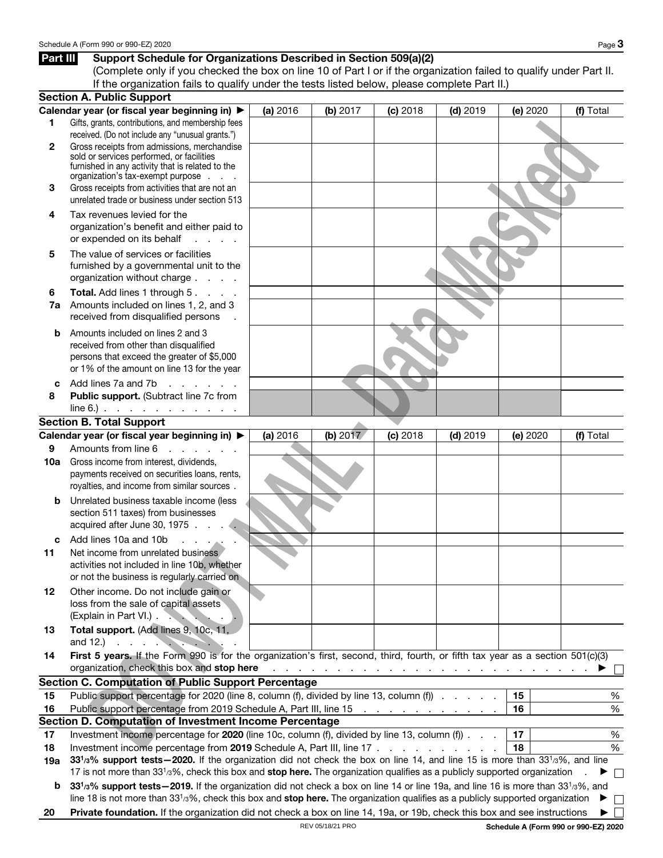#### **Part III** Support Schedule for Organizations Described in Section 509(a)(2)

(Complete only if you checked the box on line 10 of Part I or if the organization failed to qualify under Part II. If the organization fails to qualify under the tests listed below, please complete Part II.)

|     | <b>Section A. Public Support</b>                                                                                                            |          |            |          |                                                                                  |          |                             |
|-----|---------------------------------------------------------------------------------------------------------------------------------------------|----------|------------|----------|----------------------------------------------------------------------------------|----------|-----------------------------|
|     | Calendar year (or fiscal year beginning in) ▶                                                                                               | (a) 2016 | (b) $2017$ | (c) 2018 | $(d)$ 2019                                                                       | (e) 2020 | (f) Total                   |
| 1   | Gifts, grants, contributions, and membership fees                                                                                           |          |            |          |                                                                                  |          |                             |
|     | received. (Do not include any "unusual grants.")                                                                                            |          |            |          |                                                                                  |          |                             |
| 2   | Gross receipts from admissions, merchandise                                                                                                 |          |            |          |                                                                                  |          |                             |
|     | sold or services performed, or facilities<br>furnished in any activity that is related to the                                               |          |            |          |                                                                                  |          |                             |
|     | organization's tax-exempt purpose                                                                                                           |          |            |          |                                                                                  |          |                             |
| 3   | Gross receipts from activities that are not an                                                                                              |          |            |          |                                                                                  |          |                             |
|     | unrelated trade or business under section 513                                                                                               |          |            |          |                                                                                  |          |                             |
| 4   | Tax revenues levied for the                                                                                                                 |          |            |          |                                                                                  |          |                             |
|     | organization's benefit and either paid to                                                                                                   |          |            |          |                                                                                  |          |                             |
|     | or expended on its behalf<br>an an an a                                                                                                     |          |            |          |                                                                                  |          |                             |
| 5   | The value of services or facilities                                                                                                         |          |            |          |                                                                                  |          |                             |
|     | furnished by a governmental unit to the                                                                                                     |          |            |          |                                                                                  |          |                             |
|     | organization without charge                                                                                                                 |          |            |          |                                                                                  |          |                             |
| 6   | Total. Add lines 1 through 5.                                                                                                               |          |            |          |                                                                                  |          |                             |
| 7a  | Amounts included on lines 1, 2, and 3                                                                                                       |          |            |          |                                                                                  |          |                             |
|     | received from disqualified persons                                                                                                          |          |            |          |                                                                                  |          |                             |
|     | Amounts included on lines 2 and 3                                                                                                           |          |            |          |                                                                                  |          |                             |
| b   | received from other than disqualified                                                                                                       |          |            |          |                                                                                  |          |                             |
|     | persons that exceed the greater of \$5,000                                                                                                  |          |            |          |                                                                                  |          |                             |
|     | or 1% of the amount on line 13 for the year                                                                                                 |          |            |          |                                                                                  |          |                             |
| C   | Add lines 7a and 7b<br>and a stringer                                                                                                       |          |            |          |                                                                                  |          |                             |
| 8   | Public support. (Subtract line 7c from                                                                                                      |          |            |          |                                                                                  |          |                             |
|     | $line 6.)$                                                                                                                                  |          |            |          |                                                                                  |          |                             |
|     | <b>Section B. Total Support</b>                                                                                                             |          |            |          |                                                                                  |          |                             |
|     | Calendar year (or fiscal year beginning in) ▶                                                                                               | (a) 2016 | (b) $2017$ | (c) 2018 | $(d)$ 2019                                                                       | (e) 2020 | (f) Total                   |
| 9   | Amounts from line 6<br><b>Contractor</b>                                                                                                    |          |            |          |                                                                                  |          |                             |
|     |                                                                                                                                             |          |            |          |                                                                                  |          |                             |
| 10a | Gross income from interest, dividends,<br>payments received on securities loans, rents,                                                     |          |            |          |                                                                                  |          |                             |
|     | royalties, and income from similar sources.                                                                                                 |          |            |          |                                                                                  |          |                             |
|     |                                                                                                                                             |          |            |          |                                                                                  |          |                             |
| b   | Unrelated business taxable income (less<br>section 511 taxes) from businesses                                                               |          |            |          |                                                                                  |          |                             |
|     | acquired after June 30, 1975.                                                                                                               |          |            |          |                                                                                  |          |                             |
|     | Add lines 10a and 10b                                                                                                                       |          |            |          |                                                                                  |          |                             |
| c   |                                                                                                                                             |          |            |          |                                                                                  |          |                             |
| 11  | Net income from unrelated business<br>activities not included in line 10b, whether                                                          |          |            |          |                                                                                  |          |                             |
|     | or not the business is regularly carried on                                                                                                 |          |            |          |                                                                                  |          |                             |
|     |                                                                                                                                             |          |            |          |                                                                                  |          |                             |
| 12  | Other income. Do not include gain or<br>loss from the sale of capital assets                                                                |          |            |          |                                                                                  |          |                             |
|     | (Explain in Part VI.).                                                                                                                      |          |            |          |                                                                                  |          |                             |
| 13  | Total support. (Add lines 9, 10c, 11,                                                                                                       |          |            |          |                                                                                  |          |                             |
|     | and 12.)<br>$\mathcal{L}^{\text{max}}$ and $\mathcal{L}^{\text{max}}$                                                                       |          |            |          |                                                                                  |          |                             |
| 14  | First 5 years. If the Form 990 is for the organization's first, second, third, fourth, or fifth tax year as a section 501(c)(3)             |          |            |          |                                                                                  |          |                             |
|     | organization, check this box and stop here                                                                                                  |          |            |          | والمتعاون والمتعاون والمتعاون والمتعاون والمتعاون والمتعاون والمتعاون والمتعاونة |          |                             |
|     | <b>Section C. Computation of Public Support Percentage</b>                                                                                  |          |            |          |                                                                                  |          |                             |
| 15  | Public support percentage for 2020 (line 8, column (f), divided by line 13, column (f)                                                      |          |            |          |                                                                                  | 15       | $\%$                        |
| 16  | Public support percentage from 2019 Schedule A, Part III, line 15                                                                           |          |            |          |                                                                                  | 16       | $\%$                        |
|     | Section D. Computation of Investment Income Percentage                                                                                      |          |            |          |                                                                                  |          |                             |
| 17  | Investment income percentage for 2020 (line 10c, column (f), divided by line 13, column (f))                                                |          |            |          |                                                                                  | 17       | $\%$                        |
| 18  | Investment income percentage from 2019 Schedule A, Part III, line 17                                                                        |          |            |          |                                                                                  | 18       | %                           |
| 19a | 331/3% support tests - 2020. If the organization did not check the box on line 14, and line 15 is more than 331/3%, and line                |          |            |          |                                                                                  |          |                             |
|     | 17 is not more than 33 <sup>1</sup> /3%, check this box and stop here. The organization qualifies as a publicly supported organization      |          |            |          |                                                                                  |          | $\mathcal{L}_{\mathcal{A}}$ |
| b   | 331/3% support tests - 2019. If the organization did not check a box on line 14 or line 19a, and line 16 is more than 331/3%, and           |          |            |          |                                                                                  |          |                             |
|     | line 18 is not more than 33 <sup>1</sup> /3%, check this box and stop here. The organization qualifies as a publicly supported organization |          |            |          |                                                                                  |          |                             |
| 20  | Private foundation. If the organization did not check a box on line 14, 19a, or 19b, check this box and see instructions                    |          |            |          |                                                                                  |          | ▶                           |
|     |                                                                                                                                             |          |            |          |                                                                                  |          |                             |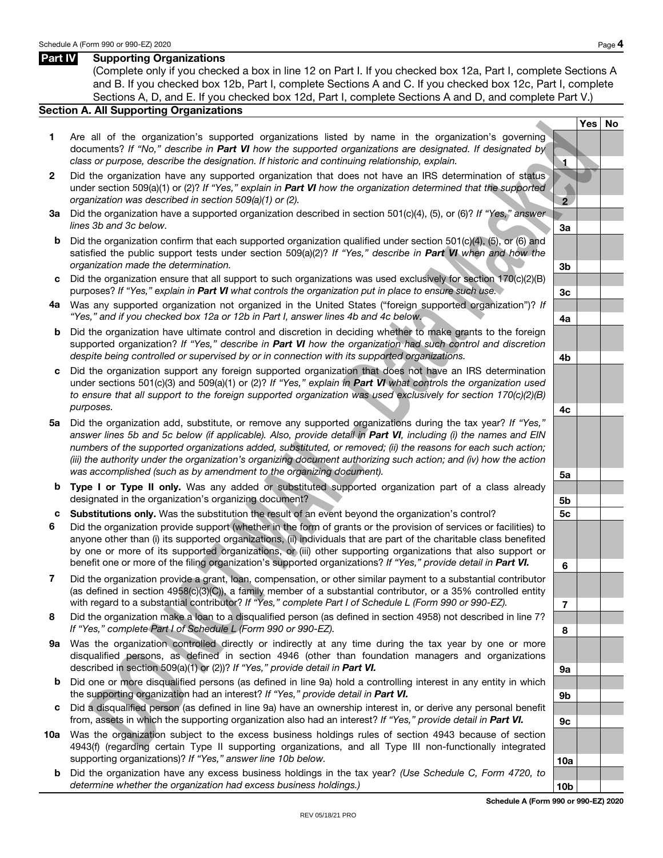#### **Part IV Supporting Organizations**

(Complete only if you checked a box in line 12 on Part I. If you checked box 12a, Part I, complete Sections A and B. If you checked box 12b, Part I, complete Sections A and C. If you checked box 12c, Part I, complete Sections A, D, and E. If you checked box 12d, Part I, complete Sections A and D, and complete Part V.)

#### **Section A. All Supporting Organizations**

- **1** Are all of the organization's supported organizations listed by name in the organization's governing documents? If "No," describe in *Part VI* how the supported organizations are designated. If designated by class or purpose, describe the designation. If historic and continuing relationship, explain. **1**
- **2** Did the organization have any supported organization that does not have an IRS determination of status under section 509(a)(1) or (2)? If "Yes," explain in *Part VI* how the organization determined that the supported organization was described in section 509(a)(1) or (2). **2**
- **3a** Did the organization have a supported organization described in section 501(c)(4), (5), or (6)? If "Yes," answer lines 3b and 3c below. **3a**
- **b** Did the organization confirm that each supported organization qualified under section 501(c)(4), (5), or (6) and satisfied the public support tests under section 509(a)(2)? If "Yes," describe in **Part VI** when and how the organization made the determination. **3b**
- **c** Did the organization ensure that all support to such organizations was used exclusively for section 170(c)(2)(B) purposes? If "Yes," explain in *Part VI* what controls the organization put in place to ensure such use. **3c**
- **4a** Was any supported organization not organized in the United States ("foreign supported organization")? If "Yes," and if you checked box 12a or 12b in Part I, answer lines 4b and 4c below. **4a**
- **b** Did the organization have ultimate control and discretion in deciding whether to make grants to the foreign supported organization? If "Yes," describe in *Part VI* how the organization had such control and discretion despite being controlled or supervised by or in connection with its supported organizations. **4b**
- **c** Did the organization support any foreign supported organization that does not have an IRS determination under sections 501(c)(3) and 509(a)(1) or (2)? If "Yes," explain in *Part VI* what controls the organization used to ensure that all support to the foreign supported organization was used exclusively for section 170(c)(2)(B) purposes. **4c**
- **5a** Did the organization add, substitute, or remove any supported organizations during the tax year? If "Yes," answer lines 5b and 5c below (if applicable). Also, provide detail in *Part VI*, including (i) the names and EIN numbers of the supported organizations added, substituted, or removed; (ii) the reasons for each such action; (iii) the authority under the organization's organizing document authorizing such action; and (iv) how the action was accomplished (such as by amendment to the organizing document). **5a** all of the regarded interaction is acquired improbation, histoir process in the counterparticle of the property of the counterparticle of the counterparticle of the counterparticle of the counterparticle of the counterpart
- **b Type I or Type II only.** Was any added or substituted supported organization part of a class already designated in the organization's organizing document? **5b**
- **c Substitutions only.** Was the substitution the result of an event beyond the organization's control? **5c**
- **6** Did the organization provide support (whether in the form of grants or the provision of services or facilities) to anyone other than (i) its supported organizations, (ii) individuals that are part of the charitable class benefited by one or more of its supported organizations, or (iii) other supporting organizations that also support or benefit one or more of the filing organization's supported organizations? If "Yes," provide detail in *Part VI.* **6**
- **7** Did the organization provide a grant, loan, compensation, or other similar payment to a substantial contributor (as defined in section 4958(c)(3)(C)), a family member of a substantial contributor, or a 35% controlled entity with regard to a substantial contributor? If "Yes," complete Part I of Schedule L (Form 990 or 990-EZ).
- **8** Did the organization make a loan to a disqualified person (as defined in section 4958) not described in line 7? If "Yes," complete Part I of Schedule L (Form 990 or 990-EZ). **8**
- **9a** Was the organization controlled directly or indirectly at any time during the tax year by one or more disqualified persons, as defined in section 4946 (other than foundation managers and organizations described in section 509(a)(1) or (2))? If "Yes," provide detail in *Part VI.* **9a**
- **b** Did one or more disqualified persons (as defined in line 9a) hold a controlling interest in any entity in which the supporting organization had an interest? If "Yes," provide detail in **Part VI. 9b 9b 9b**
- **c** Did a disqualified person (as defined in line 9a) have an ownership interest in, or derive any personal benefit from, assets in which the supporting organization also had an interest? If "Yes," provide detail in *Part VI.* **9c**
- **10a** Was the organization subject to the excess business holdings rules of section 4943 because of section 4943(f) (regarding certain Type II supporting organizations, and all Type III non-functionally integrated supporting organizations)? If "Yes," answer line 10b below. **10a** and the state of the state of the 10a
	- **b** Did the organization have any excess business holdings in the tax year? (Use Schedule C, Form 4720, to determine whether the organization had excess business holdings.) **10b**

**Yes No**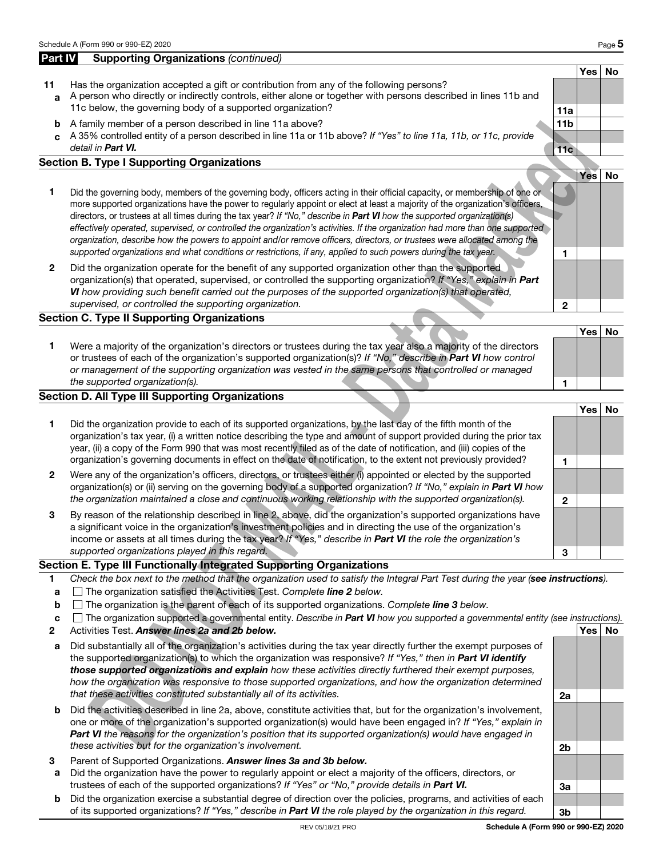#### **Part IV** Supporting Organizations (continued) **Yes No 11** Has the organization accepted a gift or contribution from any of the following persons? **a** A person who directly or indirectly controls, either alone or together with persons described in lines 11b and 11c below, the governing body of a supported organization? **11a b** A family member of a person described in line 11a above? **11b 11b 11b c** A 35% controlled entity of a person described in line 11a or 11b above? If "Yes" to line 11a, 11b, or 11c, provide detail in *Part VI.* **11c Section B. Type I Supporting Organizations Yes No**

- **1** Did the governing body, members of the governing body, officers acting in their official capacity, or membership of one or more supported organizations have the power to regularly appoint or elect at least a majority of the organization's officers, directors, or trustees at all times during the tax year? If "No," describe in *Part VI* how the supported organization(s) effectively operated, supervised, or controlled the organization's activities. If the organization had more than one supported organization, describe how the powers to appoint and/or remove officers, directors, or trustees were allocated among the supported organizations and what conditions or restrictions, if any, applied to such powers during the tax year.
- **2** Did the organization operate for the benefit of any supported organization other than the supported organization(s) that operated, supervised, or controlled the supporting organization? If "Yes," explain in *Part VI* how providing such benefit carried out the purposes of the supported organization(s) that operated, supervised, or controlled the supporting organization. **2 2 2**

### **Section C. Type II Supporting Organizations**

### **Section D. All Type III Supporting Organizations**

|                  | <b>b</b> A family member of a person described in line 11a above?                                                                                                                                                                                                                                                                                                                                                                                                                                                                                                                                                                                    | 11b            |                  |    |
|------------------|------------------------------------------------------------------------------------------------------------------------------------------------------------------------------------------------------------------------------------------------------------------------------------------------------------------------------------------------------------------------------------------------------------------------------------------------------------------------------------------------------------------------------------------------------------------------------------------------------------------------------------------------------|----------------|------------------|----|
|                  | c A 35% controlled entity of a person described in line 11a or 11b above? If "Yes" to line 11a, 11b, or 11c, provide                                                                                                                                                                                                                                                                                                                                                                                                                                                                                                                                 |                |                  |    |
|                  | detail in Part VI.                                                                                                                                                                                                                                                                                                                                                                                                                                                                                                                                                                                                                                   | 11c            |                  |    |
|                  | ection B. Type I Supporting Organizations                                                                                                                                                                                                                                                                                                                                                                                                                                                                                                                                                                                                            |                |                  |    |
|                  |                                                                                                                                                                                                                                                                                                                                                                                                                                                                                                                                                                                                                                                      |                | Yes <sup>1</sup> | No |
| 1                | Did the governing body, members of the governing body, officers acting in their official capacity, or membership of one or<br>more supported organizations have the power to regularly appoint or elect at least a majority of the organization's officers,<br>directors, or trustees at all times during the tax year? If "No," describe in Part VI how the supported organization(s)<br>effectively operated, supervised, or controlled the organization's activities. If the organization had more than one supported<br>organization, describe how the powers to appoint and/or remove officers, directors, or trustees were allocated among the |                |                  |    |
|                  | supported organizations and what conditions or restrictions, if any, applied to such powers during the tax year.                                                                                                                                                                                                                                                                                                                                                                                                                                                                                                                                     | 1              |                  |    |
| 2                | Did the organization operate for the benefit of any supported organization other than the supported<br>organization(s) that operated, supervised, or controlled the supporting organization? If "Yes," explain in Part<br>VI how providing such benefit carried out the purposes of the supported organization(s) that operated,<br>supervised, or controlled the supporting organization.                                                                                                                                                                                                                                                           | 2              |                  |    |
|                  | ection C. Type II Supporting Organizations                                                                                                                                                                                                                                                                                                                                                                                                                                                                                                                                                                                                           |                |                  |    |
|                  |                                                                                                                                                                                                                                                                                                                                                                                                                                                                                                                                                                                                                                                      |                | <b>Yes</b>       | No |
| 1                | Were a majority of the organization's directors or trustees during the tax year also a majority of the directors<br>or trustees of each of the organization's supported organization(s)? If "No," describe in Part VI how control<br>or management of the supporting organization was vested in the same persons that controlled or managed<br>the supported organization(s).                                                                                                                                                                                                                                                                        | 1              |                  |    |
|                  | ection D. All Type III Supporting Organizations                                                                                                                                                                                                                                                                                                                                                                                                                                                                                                                                                                                                      |                |                  |    |
|                  |                                                                                                                                                                                                                                                                                                                                                                                                                                                                                                                                                                                                                                                      |                | Yes              | No |
| 1                | Did the organization provide to each of its supported organizations, by the last day of the fifth month of the<br>organization's tax year, (i) a written notice describing the type and amount of support provided during the prior tax                                                                                                                                                                                                                                                                                                                                                                                                              |                |                  |    |
|                  | year, (ii) a copy of the Form 990 that was most recently filed as of the date of notification, and (iii) copies of the<br>organization's governing documents in effect on the date of notification, to the extent not previously provided?                                                                                                                                                                                                                                                                                                                                                                                                           | 1              |                  |    |
| $\mathbf{2}$     | Were any of the organization's officers, directors, or trustees either (i) appointed or elected by the supported<br>organization(s) or (ii) serving on the governing body of a supported organization? If "No," explain in Part VI how<br>the organization maintained a close and continuous working relationship with the supported organization(s).                                                                                                                                                                                                                                                                                                | $\mathbf{2}$   |                  |    |
| 3                | By reason of the relationship described in line 2, above, did the organization's supported organizations have<br>a significant voice in the organization's investment policies and in directing the use of the organization's<br>income or assets at all times during the tax year? If "Yes," describe in Part VI the role the organization's                                                                                                                                                                                                                                                                                                        |                |                  |    |
|                  | supported organizations played in this regard.                                                                                                                                                                                                                                                                                                                                                                                                                                                                                                                                                                                                       | 3              |                  |    |
|                  | ection E. Type III Functionally Integrated Supporting Organizations                                                                                                                                                                                                                                                                                                                                                                                                                                                                                                                                                                                  |                |                  |    |
| 1<br>a<br>b<br>c | Check the box next to the method that the organization used to satisfy the Integral Part Test during the year (see instructions).<br>□ The organization satisfied the Activities Test. Complete line 2 below.<br>□ The organization is the parent of each of its supported organizations. Complete line 3 below.<br>$\Box$ The organization supported a governmental entity. Describe in Part VI how you supported a governmental entity (see instructions).                                                                                                                                                                                         |                |                  |    |
| $\mathbf{2}$     | Activities Test. Answer lines 2a and 2b below.                                                                                                                                                                                                                                                                                                                                                                                                                                                                                                                                                                                                       |                | Yes   No         |    |
| а                | Did substantially all of the organization's activities during the tax year directly further the exempt purposes of<br>the supported organization(s) to which the organization was responsive? If "Yes," then in Part VI identify<br>those supported organizations and explain how these activities directly furthered their exempt purposes,<br>how the organization was responsive to those supported organizations, and how the organization determined<br>that these activities constituted substantially all of its activities.                                                                                                                  | 2a             |                  |    |
| b                | Did the activities described in line 2a, above, constitute activities that, but for the organization's involvement,<br>one or more of the organization's supported organization(s) would have been engaged in? If "Yes," explain in<br>Part VI the reasons for the organization's position that its supported organization(s) would have engaged in<br>these activities but for the organization's involvement.                                                                                                                                                                                                                                      | 2 <sub>h</sub> |                  |    |
|                  |                                                                                                                                                                                                                                                                                                                                                                                                                                                                                                                                                                                                                                                      |                |                  |    |

### **Section E. Type III Functionally Integrated Supporting Organizations**

- **1** Check the box next to the method that the organization used to satisfy the Integral Part Test during the year (*see instructions*).
- **a** The organization satisfied the Activities Test. Complete *line 2* below.
- **b** The organization is the parent of each of its supported organizations. Complete **line 3** below.
- **c** The organization supported a governmental entity. Describe in *Part VI* how you supported a governmental entity (see instructions).
- **2** Activities Test. *Answer lines 2a and 2b below.* **Yes No**
- **a** Did substantially all of the organization's activities during the tax year directly further the exempt purposes of the supported organization(s) to which the organization was responsive? If "Yes," then in *Part VI identify those supported organizations and explain* how these activities directly furthered their exempt purposes, how the organization was responsive to those supported organizations, and how the organization determined that these activities constituted substantially all of its activities. **2a**
- **b** Did the activities described in line 2a, above, constitute activities that, but for the organization's involvement, one or more of the organization's supported organization(s) would have been engaged in? If "Yes," explain in **Part VI** the reasons for the organization's position that its supported organization(s) would have engaged in these activities but for the organization's involvement. **2b**
- **3** Parent of Supported Organizations. *Answer lines 3a and 3b below.*
- **a** Did the organization have the power to regularly appoint or elect a majority of the officers, directors, or trustees of each of the supported organizations? If "Yes" or "No," provide details in *Part VI.* **3a**
- **b** Did the organization exercise a substantial degree of direction over the policies, programs, and activities of each of its supported organizations? If "Yes," describe in *Part VI* the role played by the organization in this regard. **3b**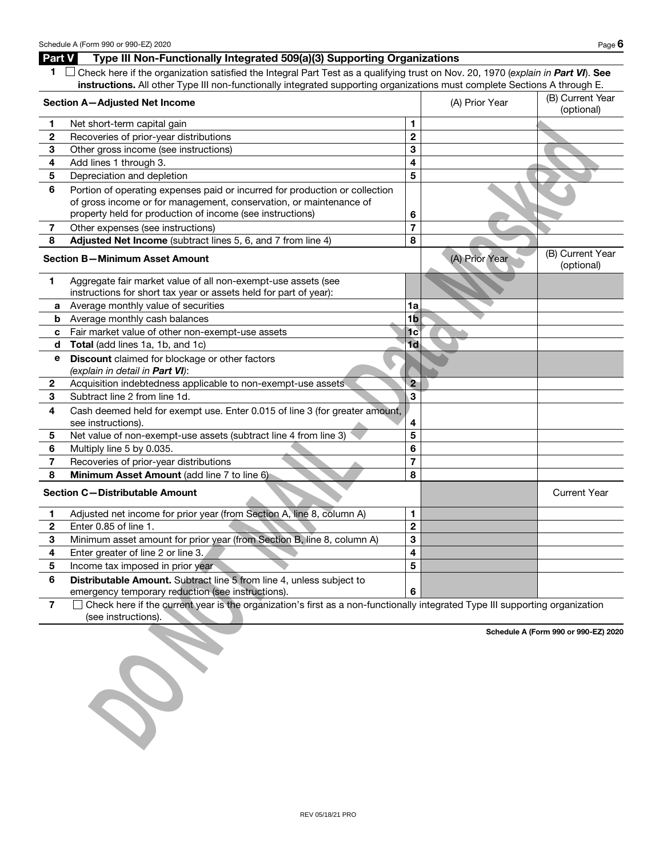#### **Part V Type III Non-Functionally Integrated 509(a)(3) Supporting Organizations**

| $\Box$ Check here if the organization satisfied the Integral Part Test as a qualifying trust on Nov. 20, 1970 (explain in Part VI). See |
|-----------------------------------------------------------------------------------------------------------------------------------------|
| instructions. All other Type III non-functionally integrated supporting organizations must complete Sections A through E.               |

| Section A-Adjusted Net Income |                                                                                                                                                     |                | (A) Prior Year | (B) Current Year<br>(optional)       |
|-------------------------------|-----------------------------------------------------------------------------------------------------------------------------------------------------|----------------|----------------|--------------------------------------|
| 1                             | Net short-term capital gain                                                                                                                         | 1              |                |                                      |
| $\mathbf{2}$                  | Recoveries of prior-year distributions                                                                                                              | $\mathbf 2$    |                |                                      |
| 3                             | Other gross income (see instructions)                                                                                                               | 3              |                |                                      |
| 4                             | Add lines 1 through 3.                                                                                                                              | 4              |                |                                      |
| 5                             | Depreciation and depletion                                                                                                                          | 5              |                |                                      |
| 6                             | Portion of operating expenses paid or incurred for production or collection                                                                         |                |                |                                      |
|                               | of gross income or for management, conservation, or maintenance of                                                                                  |                |                |                                      |
|                               | property held for production of income (see instructions)                                                                                           | 6              |                |                                      |
| 7                             | Other expenses (see instructions)                                                                                                                   | 7              |                |                                      |
| 8                             | Adjusted Net Income (subtract lines 5, 6, and 7 from line 4)                                                                                        | 8              |                |                                      |
|                               | <b>Section B-Minimum Asset Amount</b>                                                                                                               |                | (A) Prior Year | (B) Current Year<br>(optional)       |
| 1                             | Aggregate fair market value of all non-exempt-use assets (see                                                                                       |                |                |                                      |
|                               | instructions for short tax year or assets held for part of year):                                                                                   |                |                |                                      |
| а                             | Average monthly value of securities                                                                                                                 | 1a             |                |                                      |
| b                             | Average monthly cash balances                                                                                                                       | 1 <sub>b</sub> |                |                                      |
| c                             | Fair market value of other non-exempt-use assets                                                                                                    | 1c             |                |                                      |
| d                             | Total (add lines 1a, 1b, and 1c)                                                                                                                    | 1 <sub>d</sub> |                |                                      |
| е                             | Discount claimed for blockage or other factors                                                                                                      |                |                |                                      |
|                               | (explain in detail in Part VI):                                                                                                                     |                |                |                                      |
| $\mathbf{2}$                  | Acquisition indebtedness applicable to non-exempt-use assets                                                                                        | $\overline{2}$ |                |                                      |
| 3                             | Subtract line 2 from line 1d.                                                                                                                       | 3              |                |                                      |
| 4                             | Cash deemed held for exempt use. Enter 0.015 of line 3 (for greater amount,                                                                         |                |                |                                      |
|                               | see instructions).                                                                                                                                  | 4              |                |                                      |
| 5                             | Net value of non-exempt-use assets (subtract line 4 from line 3)                                                                                    | 5              |                |                                      |
| 6                             | Multiply line 5 by 0.035.                                                                                                                           | 6              |                |                                      |
| 7                             | Recoveries of prior-year distributions                                                                                                              | 7              |                |                                      |
| 8                             | Minimum Asset Amount (add line 7 to line 6)                                                                                                         | 8              |                |                                      |
|                               | <b>Section C-Distributable Amount</b>                                                                                                               |                |                | <b>Current Year</b>                  |
| 1                             | Adjusted net income for prior year (from Section A, line 8, column A)                                                                               | 1              |                |                                      |
| $\mathbf{2}$                  | Enter 0.85 of line 1.                                                                                                                               | $\mathbf 2$    |                |                                      |
| 3                             | Minimum asset amount for prior year (from Section B, line 8, column A)                                                                              | 3              |                |                                      |
| 4                             | Enter greater of line 2 or line 3.                                                                                                                  | 4              |                |                                      |
| 5                             | Income tax imposed in prior year                                                                                                                    | 5              |                |                                      |
| 6                             | Distributable Amount. Subtract line 5 from line 4, unless subject to                                                                                |                |                |                                      |
|                               | emergency temporary reduction (see instructions).                                                                                                   | 6              |                |                                      |
| 7                             | Check here if the current year is the organization's first as a non-functionally integrated Type III supporting organization<br>(see instructions). |                |                |                                      |
|                               |                                                                                                                                                     |                |                | Schedule A (Form 990 or 990-EZ) 2020 |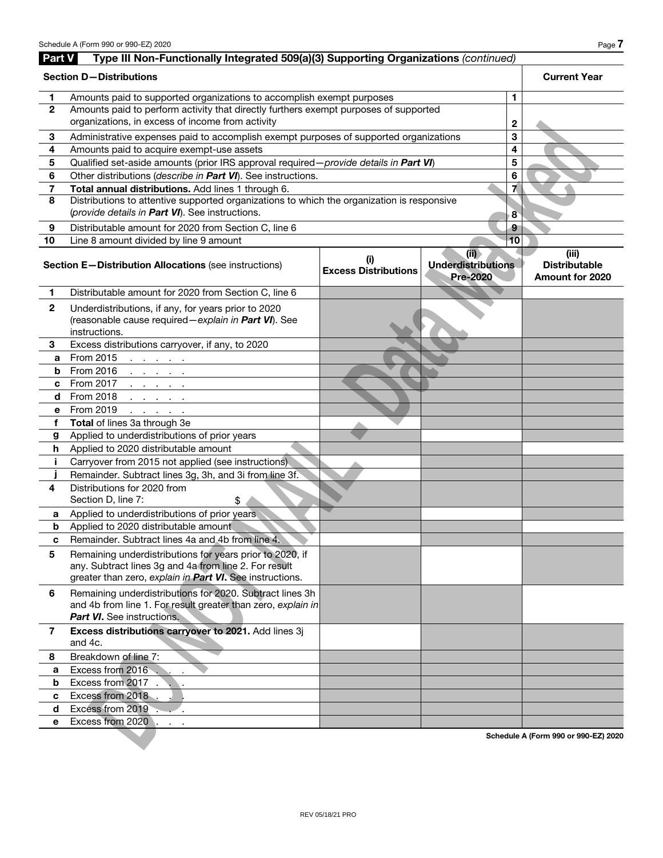| Part V         | Type III Non-Functionally Integrated 509(a)(3) Supporting Organizations (continued)                                                              |                                    |                                              |                                                |
|----------------|--------------------------------------------------------------------------------------------------------------------------------------------------|------------------------------------|----------------------------------------------|------------------------------------------------|
|                | <b>Section D-Distributions</b>                                                                                                                   |                                    |                                              | <b>Current Year</b>                            |
| 1.             | Amounts paid to supported organizations to accomplish exempt purposes                                                                            |                                    | 1                                            |                                                |
| $\overline{2}$ | Amounts paid to perform activity that directly furthers exempt purposes of supported                                                             |                                    |                                              |                                                |
|                | organizations, in excess of income from activity                                                                                                 | 2                                  |                                              |                                                |
| 3              | Administrative expenses paid to accomplish exempt purposes of supported organizations                                                            |                                    | 3                                            |                                                |
| 4              | Amounts paid to acquire exempt-use assets                                                                                                        |                                    | 4                                            |                                                |
| 5              | Qualified set-aside amounts (prior IRS approval required - provide details in Part VI)                                                           |                                    | 5                                            |                                                |
| 6              | Other distributions (describe in Part VI). See instructions.                                                                                     |                                    | 6                                            |                                                |
| 7<br>8         | Total annual distributions. Add lines 1 through 6.<br>Distributions to attentive supported organizations to which the organization is responsive |                                    | 7                                            |                                                |
|                | (provide details in Part VI). See instructions.                                                                                                  |                                    |                                              |                                                |
| 9              | Distributable amount for 2020 from Section C, line 6                                                                                             |                                    | 8<br>9                                       |                                                |
| 10             | Line 8 amount divided by line 9 amount                                                                                                           |                                    | 10                                           |                                                |
|                |                                                                                                                                                  |                                    | $(\mathbf{ii})$                              | (iii)                                          |
|                | Section E-Distribution Allocations (see instructions)                                                                                            | (i)<br><b>Excess Distributions</b> | <b>Underdistributions</b><br><b>Pre-2020</b> | <b>Distributable</b><br><b>Amount for 2020</b> |
| 1.             | Distributable amount for 2020 from Section C, line 6                                                                                             |                                    |                                              |                                                |
| $\mathbf{2}$   | Underdistributions, if any, for years prior to 2020                                                                                              |                                    |                                              |                                                |
|                | (reasonable cause required - explain in Part VI). See                                                                                            |                                    |                                              |                                                |
|                | instructions.                                                                                                                                    |                                    |                                              |                                                |
| 3              | Excess distributions carryover, if any, to 2020                                                                                                  |                                    |                                              |                                                |
| a              | From 2015<br>and a state of the                                                                                                                  |                                    |                                              |                                                |
| b              | From 2016<br>and a state of the                                                                                                                  |                                    |                                              |                                                |
| c              | From 2017<br>and a strategic and                                                                                                                 |                                    |                                              |                                                |
| d              | From 2018<br>and a state of the<br>From 2019                                                                                                     |                                    |                                              |                                                |
| е              | and a state of<br>Total of lines 3a through 3e                                                                                                   |                                    |                                              |                                                |
| f              | Applied to underdistributions of prior years                                                                                                     |                                    |                                              |                                                |
| g<br>h         | Applied to 2020 distributable amount                                                                                                             |                                    |                                              |                                                |
| j.             | Carryover from 2015 not applied (see instructions).                                                                                              |                                    |                                              |                                                |
| J              | Remainder. Subtract lines 3g, 3h, and 3i from line 3f.                                                                                           |                                    |                                              |                                                |
| 4              | Distributions for 2020 from                                                                                                                      |                                    |                                              |                                                |
|                | Section D, line 7:<br>\$                                                                                                                         |                                    |                                              |                                                |
| a              | Applied to underdistributions of prior years                                                                                                     |                                    |                                              |                                                |
| b              | Applied to 2020 distributable amount                                                                                                             |                                    |                                              |                                                |
| c              | Remainder. Subtract lines 4a and 4b from line 4.                                                                                                 |                                    |                                              |                                                |
| 5              | Remaining underdistributions for years prior to 2020, if                                                                                         |                                    |                                              |                                                |
|                | any. Subtract lines 3g and 4a from line 2. For result<br>greater than zero, explain in Part VI. See instructions.                                |                                    |                                              |                                                |
|                |                                                                                                                                                  |                                    |                                              |                                                |
| 6              | Remaining underdistributions for 2020. Subtract lines 3h<br>and 4b from line 1. For result greater than zero, explain in                         |                                    |                                              |                                                |
|                | <b>Part VI.</b> See instructions.                                                                                                                |                                    |                                              |                                                |
| 7              | Excess distributions carryover to 2021. Add lines 3j                                                                                             |                                    |                                              |                                                |
|                | and 4c.                                                                                                                                          |                                    |                                              |                                                |
| 8              | Breakdown of line 7:                                                                                                                             |                                    |                                              |                                                |
| a              | Excess from 2016                                                                                                                                 |                                    |                                              |                                                |
| b              | Excess from 2017 .                                                                                                                               |                                    |                                              |                                                |
| c              | Excess from 2018                                                                                                                                 |                                    |                                              |                                                |
| d              | Excess from 2019<br>۰.                                                                                                                           |                                    |                                              |                                                |
| е              | Excess from 2020                                                                                                                                 |                                    |                                              |                                                |
|                |                                                                                                                                                  |                                    |                                              | Schedule A (Form 990 or 990-EZ) 2020           |
|                |                                                                                                                                                  |                                    |                                              |                                                |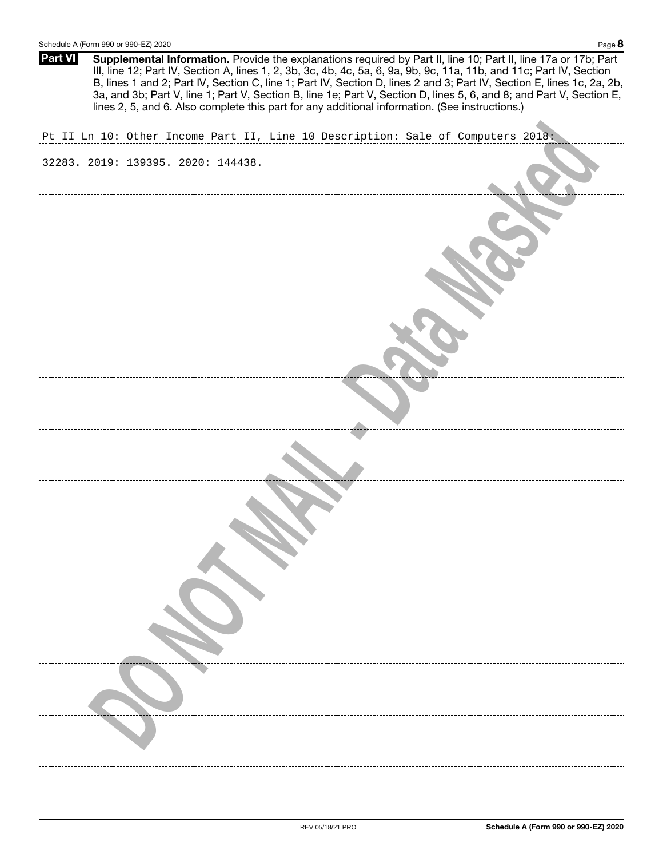Part VI Supplemental Information. Provide the explanations required by Part II, line 10; Part II, line 17a or 17b; Part III, line 12; Part IV, Section A, lines 1, 2, 3b, 3c, 4b, 4c, 5a, 6, 9a, 9b, 9c, 11a, 11b, and 11c; Part IV, Section B, lines 1 and 2; Part IV, Section C, line 1; Part IV, Section D, lines 2 and 3; Part IV, Section E, lines 1c, 2a, 2b, 3a, and 3b; Part V, line 1; Part V, Section B, line 1e; Part V, Section D, lines 5, 6, and 8; and Part V, Section E, lines 2, 5, and 6. Also complete this part for any additional information. (See instructions.)

| Pt II Ln 10: Other Income Part II, Line 10 Description: Sale of Computers 2018; |  |
|---------------------------------------------------------------------------------|--|
| 32283. 2019: 139395. 2020: 144438.                                              |  |
|                                                                                 |  |
|                                                                                 |  |
|                                                                                 |  |
|                                                                                 |  |
|                                                                                 |  |
|                                                                                 |  |
|                                                                                 |  |
|                                                                                 |  |
|                                                                                 |  |
|                                                                                 |  |
|                                                                                 |  |
|                                                                                 |  |
|                                                                                 |  |
|                                                                                 |  |
|                                                                                 |  |
|                                                                                 |  |
|                                                                                 |  |
|                                                                                 |  |
|                                                                                 |  |
|                                                                                 |  |
|                                                                                 |  |
|                                                                                 |  |
|                                                                                 |  |
|                                                                                 |  |
|                                                                                 |  |
|                                                                                 |  |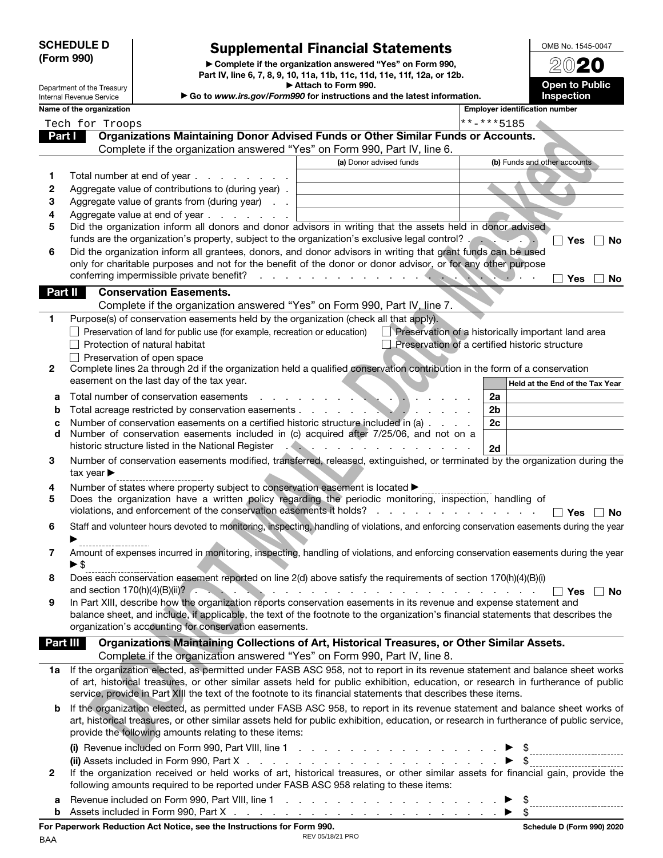|            | <b>SCHEDULE D</b> |
|------------|-------------------|
| (Form 990) |                   |

Department of the Treasury

**Supplemental Financial Statements** a **Complete if the organization answered "Yes" on Form 990, Part IV, line 6, 7, 8, 9, 10, 11a, 11b, 11c, 11d, 11e, 11f, 12a, or 12b.**  ▶ Attach to Form 990.

20**20 Open to Public Inspection**

OMB No. 1545-0047

|              | Department of the Treasury<br>Internal Revenue Service |                                                                                       | Go to www.irs.gov/Form990 for instructions and the latest information.                                                                                                                                                                                   |                | Inspection                                         |
|--------------|--------------------------------------------------------|---------------------------------------------------------------------------------------|----------------------------------------------------------------------------------------------------------------------------------------------------------------------------------------------------------------------------------------------------------|----------------|----------------------------------------------------|
|              | Name of the organization                               |                                                                                       |                                                                                                                                                                                                                                                          |                | <b>Employer identification number</b>              |
|              | Tech for Troops                                        |                                                                                       |                                                                                                                                                                                                                                                          | **-***5185     |                                                    |
| Part I       |                                                        |                                                                                       | Organizations Maintaining Donor Advised Funds or Other Similar Funds or Accounts.                                                                                                                                                                        |                |                                                    |
|              |                                                        | Complete if the organization answered "Yes" on Form 990, Part IV, line 6.             |                                                                                                                                                                                                                                                          |                |                                                    |
|              |                                                        |                                                                                       | (a) Donor advised funds                                                                                                                                                                                                                                  |                | (b) Funds and other accounts                       |
| 1.           |                                                        | Total number at end of year                                                           |                                                                                                                                                                                                                                                          |                |                                                    |
| 2            |                                                        | Aggregate value of contributions to (during year).                                    |                                                                                                                                                                                                                                                          |                |                                                    |
| 3            |                                                        | Aggregate value of grants from (during year)                                          |                                                                                                                                                                                                                                                          |                |                                                    |
| 4            |                                                        | Aggregate value at end of year<br>$\sim$                                              |                                                                                                                                                                                                                                                          |                |                                                    |
| 5            |                                                        |                                                                                       | Did the organization inform all donors and donor advisors in writing that the assets held in donor advised<br>funds are the organization's property, subject to the organization's exclusive legal control?                                              |                |                                                    |
| 6            |                                                        |                                                                                       | Did the organization inform all grantees, donors, and donor advisors in writing that grant funds can be used                                                                                                                                             |                | Yes<br><b>No</b>                                   |
|              |                                                        |                                                                                       | only for charitable purposes and not for the benefit of the donor or donor advisor, or for any other purpose                                                                                                                                             |                |                                                    |
|              |                                                        |                                                                                       |                                                                                                                                                                                                                                                          |                | Yes<br>No.                                         |
| Part II      |                                                        | <b>Conservation Easements.</b>                                                        |                                                                                                                                                                                                                                                          |                |                                                    |
|              |                                                        | Complete if the organization answered "Yes" on Form 990, Part IV, line 7.             |                                                                                                                                                                                                                                                          |                |                                                    |
| 1.           |                                                        | Purpose(s) of conservation easements held by the organization (check all that apply). |                                                                                                                                                                                                                                                          |                |                                                    |
|              |                                                        | Preservation of land for public use (for example, recreation or education)            |                                                                                                                                                                                                                                                          |                | Preservation of a historically important land area |
|              |                                                        | Protection of natural habitat                                                         |                                                                                                                                                                                                                                                          |                | Preservation of a certified historic structure     |
|              |                                                        | Preservation of open space                                                            |                                                                                                                                                                                                                                                          |                |                                                    |
| 2            |                                                        |                                                                                       | Complete lines 2a through 2d if the organization held a qualified conservation contribution in the form of a conservation                                                                                                                                |                |                                                    |
|              |                                                        | easement on the last day of the tax year.                                             |                                                                                                                                                                                                                                                          |                | Held at the End of the Tax Year                    |
| а            |                                                        | Total number of conservation easements                                                |                                                                                                                                                                                                                                                          | 2a             |                                                    |
| b            |                                                        | Total acreage restricted by conservation easements                                    | <b>Contract Contract Contract</b>                                                                                                                                                                                                                        | 2 <sub>b</sub> |                                                    |
| c            |                                                        |                                                                                       | Number of conservation easements on a certified historic structure included in (a)                                                                                                                                                                       | 2c             |                                                    |
| d            |                                                        |                                                                                       | Number of conservation easements included in (c) acquired after 7/25/06, and not on a                                                                                                                                                                    |                |                                                    |
|              |                                                        | historic structure listed in the National Register                                    | $\blacksquare$                                                                                                                                                                                                                                           | 2d             |                                                    |
| 3            | tax year $\blacktriangleright$                         |                                                                                       | Number of conservation easements modified, transferred, released, extinguished, or terminated by the organization during the                                                                                                                             |                |                                                    |
| 4            |                                                        | Number of states where property subject to conservation easement is located ▶         |                                                                                                                                                                                                                                                          |                |                                                    |
| 5            |                                                        | violations, and enforcement of the conservation easements it holds?                   | Does the organization have a written policy regarding the periodic monitoring, inspection, handling of<br>and the service of the service of the service                                                                                                  |                | Yes<br><b>No</b>                                   |
| 6            |                                                        |                                                                                       | Staff and volunteer hours devoted to monitoring, inspecting, handling of violations, and enforcing conservation easements during the year                                                                                                                |                |                                                    |
|              |                                                        |                                                                                       |                                                                                                                                                                                                                                                          |                |                                                    |
| 7            | ► \$                                                   |                                                                                       | Amount of expenses incurred in monitoring, inspecting, handling of violations, and enforcing conservation easements during the year                                                                                                                      |                |                                                    |
| 8            |                                                        |                                                                                       | Does each conservation easement reported on line 2(d) above satisfy the requirements of section 170(h)(4)(B)(i)                                                                                                                                          |                |                                                    |
|              |                                                        | and section $170(h)(4)(B)(ii)?$                                                       |                                                                                                                                                                                                                                                          |                | l I Yes<br>∣ I No                                  |
| 9            |                                                        |                                                                                       | In Part XIII, describe how the organization reports conservation easements in its revenue and expense statement and<br>balance sheet, and include, if applicable, the text of the footnote to the organization's financial statements that describes the |                |                                                    |
|              |                                                        | organization's accounting for conservation easements.                                 |                                                                                                                                                                                                                                                          |                |                                                    |
| Part III     |                                                        |                                                                                       | Organizations Maintaining Collections of Art, Historical Treasures, or Other Similar Assets.                                                                                                                                                             |                |                                                    |
|              |                                                        | Complete if the organization answered "Yes" on Form 990, Part IV, line 8.             |                                                                                                                                                                                                                                                          |                |                                                    |
|              |                                                        |                                                                                       | 1a If the organization elected, as permitted under FASB ASC 958, not to report in its revenue statement and balance sheet works                                                                                                                          |                |                                                    |
|              |                                                        |                                                                                       | of art, historical treasures, or other similar assets held for public exhibition, education, or research in furtherance of public                                                                                                                        |                |                                                    |
|              |                                                        |                                                                                       | service, provide in Part XIII the text of the footnote to its financial statements that describes these items.                                                                                                                                           |                |                                                    |
| b            |                                                        |                                                                                       | If the organization elected, as permitted under FASB ASC 958, to report in its revenue statement and balance sheet works of                                                                                                                              |                |                                                    |
|              |                                                        | provide the following amounts relating to these items:                                | art, historical treasures, or other similar assets held for public exhibition, education, or research in furtherance of public service,                                                                                                                  |                |                                                    |
|              |                                                        |                                                                                       |                                                                                                                                                                                                                                                          |                |                                                    |
|              |                                                        |                                                                                       |                                                                                                                                                                                                                                                          |                |                                                    |
| $\mathbf{2}$ |                                                        | following amounts required to be reported under FASB ASC 958 relating to these items: | If the organization received or held works of art, historical treasures, or other similar assets for financial gain, provide the                                                                                                                         |                |                                                    |
| а            |                                                        |                                                                                       |                                                                                                                                                                                                                                                          |                |                                                    |
| b            |                                                        |                                                                                       |                                                                                                                                                                                                                                                          |                |                                                    |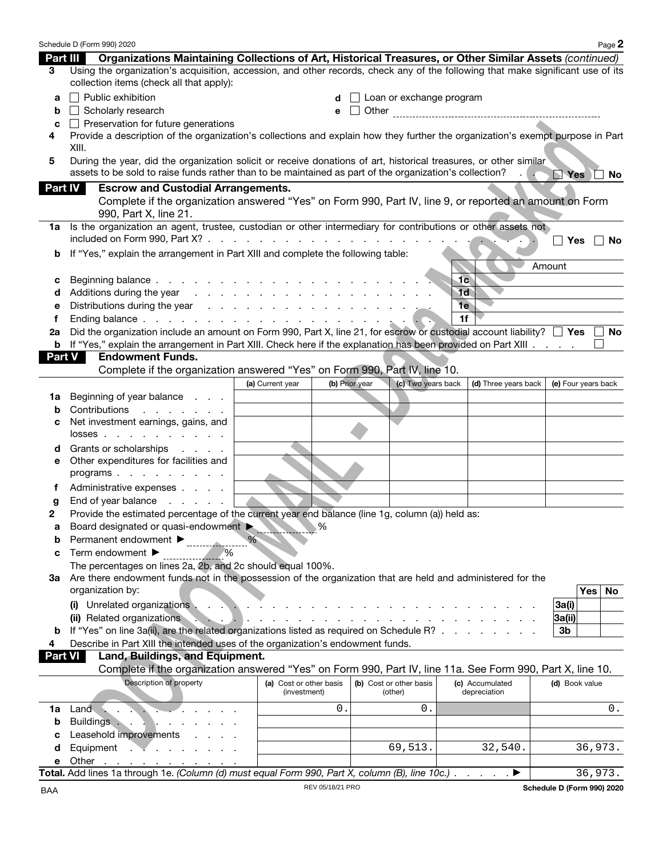|                | Schedule D (Form 990) 2020                                                                                                                                                                                                     |                         |    |                |                                                                                                                                                                                                                                |                |                      | Page 2                  |
|----------------|--------------------------------------------------------------------------------------------------------------------------------------------------------------------------------------------------------------------------------|-------------------------|----|----------------|--------------------------------------------------------------------------------------------------------------------------------------------------------------------------------------------------------------------------------|----------------|----------------------|-------------------------|
| Part III       | Organizations Maintaining Collections of Art, Historical Treasures, or Other Similar Assets (continued)                                                                                                                        |                         |    |                |                                                                                                                                                                                                                                |                |                      |                         |
| 3              | Using the organization's acquisition, accession, and other records, check any of the following that make significant use of its<br>collection items (check all that apply):                                                    |                         |    |                |                                                                                                                                                                                                                                |                |                      |                         |
| a              | $\Box$ Public exhibition                                                                                                                                                                                                       |                         |    |                | Loan or exchange program                                                                                                                                                                                                       |                |                      |                         |
| b              | Scholarly research                                                                                                                                                                                                             |                         | е  |                |                                                                                                                                                                                                                                |                |                      |                         |
| C              | $\Box$ Preservation for future generations                                                                                                                                                                                     |                         |    |                |                                                                                                                                                                                                                                |                |                      |                         |
| 4              | Provide a description of the organization's collections and explain how they further the organization's exempt purpose in Part                                                                                                 |                         |    |                |                                                                                                                                                                                                                                |                |                      |                         |
|                | XIII.                                                                                                                                                                                                                          |                         |    |                |                                                                                                                                                                                                                                |                |                      |                         |
| 5              | During the year, did the organization solicit or receive donations of art, historical treasures, or other similar                                                                                                              |                         |    |                |                                                                                                                                                                                                                                |                |                      |                         |
|                | assets to be sold to raise funds rather than to be maintained as part of the organization's collection?                                                                                                                        |                         |    |                |                                                                                                                                                                                                                                |                | <b>Service</b>       | $\Box$ Yes<br>No        |
| <b>Part IV</b> | <b>Escrow and Custodial Arrangements.</b>                                                                                                                                                                                      |                         |    |                |                                                                                                                                                                                                                                |                |                      |                         |
|                | Complete if the organization answered "Yes" on Form 990, Part IV, line 9, or reported an amount on Form<br>990, Part X, line 21.                                                                                               |                         |    |                |                                                                                                                                                                                                                                |                |                      |                         |
| 1a             | Is the organization an agent, trustee, custodian or other intermediary for contributions or other assets not<br>included on Form 990, Part $X$ ?                                                                               |                         |    |                |                                                                                                                                                                                                                                |                |                      | <b>Yes</b><br><b>No</b> |
| b              | If "Yes," explain the arrangement in Part XIII and complete the following table:                                                                                                                                               |                         |    |                |                                                                                                                                                                                                                                |                |                      |                         |
|                |                                                                                                                                                                                                                                |                         |    |                |                                                                                                                                                                                                                                |                |                      | Amount                  |
| с              |                                                                                                                                                                                                                                |                         |    |                |                                                                                                                                                                                                                                | 1 <sub>c</sub> |                      |                         |
| d              | Additions during the year response to response the set of the set of the set of the set of the set of the set of the set of the set of the set of the set of the set of the set of the set of the set of the set of the set of |                         |    |                |                                                                                                                                                                                                                                | 1d             |                      |                         |
| е              |                                                                                                                                                                                                                                |                         |    |                |                                                                                                                                                                                                                                | 1e             |                      |                         |
| f              |                                                                                                                                                                                                                                |                         |    |                |                                                                                                                                                                                                                                | 1f             |                      |                         |
| 2a             | Did the organization include an amount on Form 990, Part X, line 21, for escrow or custodial account liability? $\Box$ Yes                                                                                                     |                         |    |                |                                                                                                                                                                                                                                |                |                      | <b>No</b>               |
| b              | If "Yes," explain the arrangement in Part XIII. Check here if the explanation has been provided on Part XIII<br><b>Endowment Funds.</b>                                                                                        |                         |    |                |                                                                                                                                                                                                                                |                |                      |                         |
| Part V         | Complete if the organization answered "Yes" on Form 990, Part IV, line 10.                                                                                                                                                     |                         |    |                |                                                                                                                                                                                                                                |                |                      |                         |
|                |                                                                                                                                                                                                                                | (a) Current year        |    | (b) Prior year | (c) Two years back                                                                                                                                                                                                             |                | (d) Three years back | (e) Four years back     |
| 1a             | Beginning of year balance                                                                                                                                                                                                      |                         |    |                |                                                                                                                                                                                                                                |                |                      |                         |
| b              | Contributions<br>and the company of the company of                                                                                                                                                                             |                         |    |                |                                                                                                                                                                                                                                |                |                      |                         |
| с              | Net investment earnings, gains, and                                                                                                                                                                                            |                         |    |                |                                                                                                                                                                                                                                |                |                      |                         |
|                | $losses$                                                                                                                                                                                                                       |                         |    |                |                                                                                                                                                                                                                                |                |                      |                         |
| d              | Grants or scholarships                                                                                                                                                                                                         |                         |    |                |                                                                                                                                                                                                                                |                |                      |                         |
| е              | Other expenditures for facilities and                                                                                                                                                                                          |                         |    |                |                                                                                                                                                                                                                                |                |                      |                         |
|                | programs                                                                                                                                                                                                                       |                         |    |                |                                                                                                                                                                                                                                |                |                      |                         |
| f              | Administrative expenses                                                                                                                                                                                                        |                         |    |                |                                                                                                                                                                                                                                |                |                      |                         |
| g              | End of year balance<br>and the company of the company                                                                                                                                                                          |                         |    |                |                                                                                                                                                                                                                                |                |                      |                         |
| 2              | Provide the estimated percentage of the current year end balance (line 1g, column (a)) held as:                                                                                                                                |                         |    |                |                                                                                                                                                                                                                                |                |                      |                         |
| a              | Board designated or quasi-endowment $\blacktriangleright$                                                                                                                                                                      |                         |    |                |                                                                                                                                                                                                                                |                |                      |                         |
| b              | Permanent endowment ▶                                                                                                                                                                                                          | $\%$                    |    |                |                                                                                                                                                                                                                                |                |                      |                         |
| C              | Term endowment ▶<br>%                                                                                                                                                                                                          |                         |    |                |                                                                                                                                                                                                                                |                |                      |                         |
|                | The percentages on lines 2a, 2b, and 2c should equal 100%.                                                                                                                                                                     |                         |    |                |                                                                                                                                                                                                                                |                |                      |                         |
| За             | Are there endowment funds not in the possession of the organization that are held and administered for the                                                                                                                     |                         |    |                |                                                                                                                                                                                                                                |                |                      |                         |
|                | organization by:                                                                                                                                                                                                               |                         |    |                |                                                                                                                                                                                                                                |                |                      | Yes<br>No               |
|                | Unrelated organizations                                                                                                                                                                                                        |                         |    |                |                                                                                                                                                                                                                                |                |                      | 3a(i)                   |
|                | (ii) Related organizations<br>If "Yes" on line 3a(ii), are the related organizations listed as required on Schedule R?                                                                                                         |                         |    |                | design and contract the contract of the contract of the contract of the contract of the contract of the contract of the contract of the contract of the contract of the contract of the contract of the contract of the contra |                |                      | 3a(ii)<br>3b            |
| b<br>4         | Describe in Part XIII the intended uses of the organization's endowment funds.                                                                                                                                                 |                         |    |                |                                                                                                                                                                                                                                |                |                      |                         |
| <b>Part VI</b> | Land, Buildings, and Equipment.                                                                                                                                                                                                |                         |    |                |                                                                                                                                                                                                                                |                |                      |                         |
|                | Complete if the organization answered "Yes" on Form 990, Part IV, line 11a. See Form 990, Part X, line 10.                                                                                                                     |                         |    |                |                                                                                                                                                                                                                                |                |                      |                         |
|                | Description of property                                                                                                                                                                                                        | (a) Cost or other basis |    |                | (b) Cost or other basis                                                                                                                                                                                                        |                | (c) Accumulated      | (d) Book value          |
|                |                                                                                                                                                                                                                                | (investment)            |    |                | (other)                                                                                                                                                                                                                        |                | depreciation         |                         |
| 1a             | Land                                                                                                                                                                                                                           |                         | 0. |                | 0.                                                                                                                                                                                                                             |                |                      | 0.                      |
| b              | Buildings .<br>$\sim$                                                                                                                                                                                                          |                         |    |                |                                                                                                                                                                                                                                |                |                      |                         |
| c              | Leasehold improvements                                                                                                                                                                                                         |                         |    |                |                                                                                                                                                                                                                                |                |                      |                         |
| d              | Equipment<br>$\blacksquare$                                                                                                                                                                                                    |                         |    |                | 69,513.                                                                                                                                                                                                                        |                | 32,540.              | 36,973.                 |
| е              | Other<br>the contract of the contract of                                                                                                                                                                                       |                         |    |                |                                                                                                                                                                                                                                |                |                      |                         |
|                | Total. Add lines 1a through 1e. (Column (d) must equal Form 990, Part X, column (B), line 10c.) ▶                                                                                                                              |                         |    |                |                                                                                                                                                                                                                                |                |                      | 36,973.                 |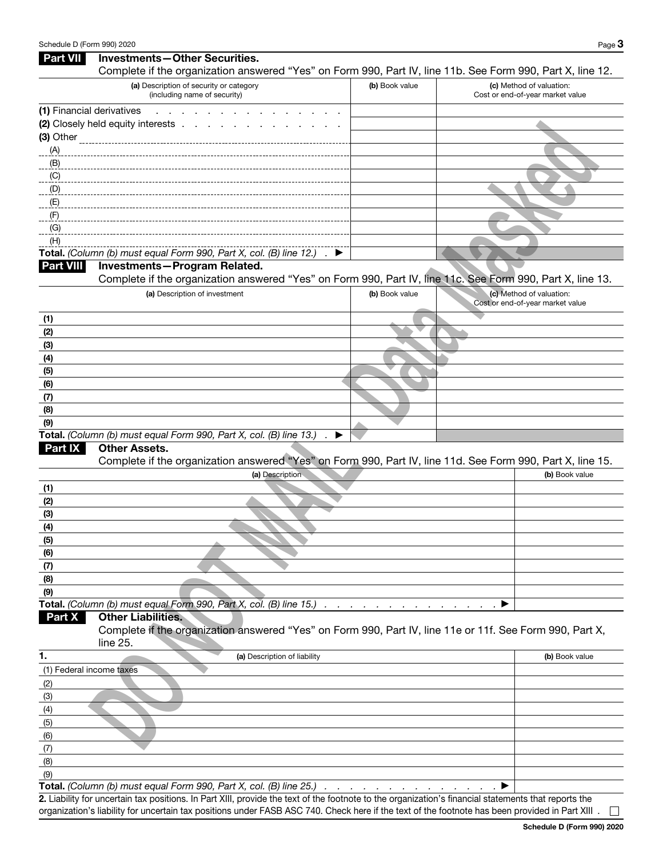(9)

| Schedule D (Form 990) 2020 |                                                                                                                                                    |                | Page 3                                                       |
|----------------------------|----------------------------------------------------------------------------------------------------------------------------------------------------|----------------|--------------------------------------------------------------|
| <b>Part VII</b>            | <b>Investments-Other Securities.</b><br>Complete if the organization answered "Yes" on Form 990, Part IV, line 11b. See Form 990, Part X, line 12. |                |                                                              |
|                            | (a) Description of security or category<br>(including name of security)                                                                            | (b) Book value | (c) Method of valuation:<br>Cost or end-of-year market value |
| (1) Financial derivatives  | and a straight and a straight                                                                                                                      |                |                                                              |
|                            | (2) Closely held equity interests                                                                                                                  |                |                                                              |
|                            |                                                                                                                                                    |                |                                                              |
| (A)                        |                                                                                                                                                    |                |                                                              |
| (B)                        |                                                                                                                                                    |                |                                                              |
| (C)                        |                                                                                                                                                    |                |                                                              |
| (D)                        |                                                                                                                                                    |                |                                                              |
| (E)                        |                                                                                                                                                    |                |                                                              |
| $\cdot$ (F)                |                                                                                                                                                    |                |                                                              |
| (G)                        |                                                                                                                                                    |                |                                                              |
| (H)                        | Total. (Column (b) must equal Form 990, Part X, col. (B) line 12.) . ▶                                                                             |                |                                                              |
| <b>Part VIII</b>           | Investments-Program Related.                                                                                                                       |                |                                                              |
|                            | Complete if the organization answered "Yes" on Form 990, Part IV, line 11c. See Form 990, Part X, line 13.                                         |                |                                                              |
|                            | (a) Description of investment                                                                                                                      | (b) Book value | (c) Method of valuation:                                     |
|                            |                                                                                                                                                    |                | Cost or end-of-year market value                             |
| (1)                        |                                                                                                                                                    |                |                                                              |
| (2)                        |                                                                                                                                                    |                |                                                              |
| (3)                        |                                                                                                                                                    |                |                                                              |
| (4)                        |                                                                                                                                                    |                |                                                              |
| (5)                        |                                                                                                                                                    |                |                                                              |
| (6)                        |                                                                                                                                                    |                |                                                              |
| (7)                        |                                                                                                                                                    |                |                                                              |
| (8)                        |                                                                                                                                                    |                |                                                              |
| (9)                        |                                                                                                                                                    |                |                                                              |
| <b>Part IX</b>             | Total. (Column (b) must equal Form 990, Part X, col. (B) line 13.).<br>▶<br><b>Other Assets.</b>                                                   |                |                                                              |
|                            | Complete if the organization answered "Yes" on Form 990, Part IV, line 11d. See Form 990, Part X, line 15.                                         |                |                                                              |
|                            | (a) Description                                                                                                                                    |                | (b) Book value                                               |
| (1)                        |                                                                                                                                                    |                |                                                              |
| (2)                        |                                                                                                                                                    |                |                                                              |
| (3)                        |                                                                                                                                                    |                |                                                              |
| (4)                        |                                                                                                                                                    |                |                                                              |
| (5)                        |                                                                                                                                                    |                |                                                              |
| (6)                        |                                                                                                                                                    |                |                                                              |
| (7)                        |                                                                                                                                                    |                |                                                              |
| (8)                        |                                                                                                                                                    |                |                                                              |
| (9)                        |                                                                                                                                                    |                |                                                              |
|                            | Total. (Column (b) must equal Form 990, Part X, col. (B) line 15.)                                                                                 |                |                                                              |
| Part X                     | <b>Other Liabilities.</b><br>Complete if the organization answered "Yes" on Form 990, Part IV, line 11e or 11f. See Form 990, Part X,              |                |                                                              |
|                            | line 25.                                                                                                                                           |                |                                                              |
| $\overline{1}$ .           | (a) Description of liability                                                                                                                       |                | (b) Book value                                               |
| (1) Federal income taxes   |                                                                                                                                                    |                |                                                              |
| (2)                        |                                                                                                                                                    |                |                                                              |
| (3)                        |                                                                                                                                                    |                |                                                              |
| (4)                        |                                                                                                                                                    |                |                                                              |
| (5)                        |                                                                                                                                                    |                |                                                              |
| (6)                        |                                                                                                                                                    |                |                                                              |
| (7)                        |                                                                                                                                                    |                |                                                              |
| (8)                        |                                                                                                                                                    |                |                                                              |

**Total.** (Column (b) must equal Form 990, Part X, col. (B) line 25.) .............. a **2.** Liability for uncertain tax positions. In Part XIII, provide the text of the footnote to the organization's financial statements that reports the organization's liability for uncertain tax positions under FASB ASC 740. Check here if the text of the footnote has been provided in Part XIII .

 $\Box$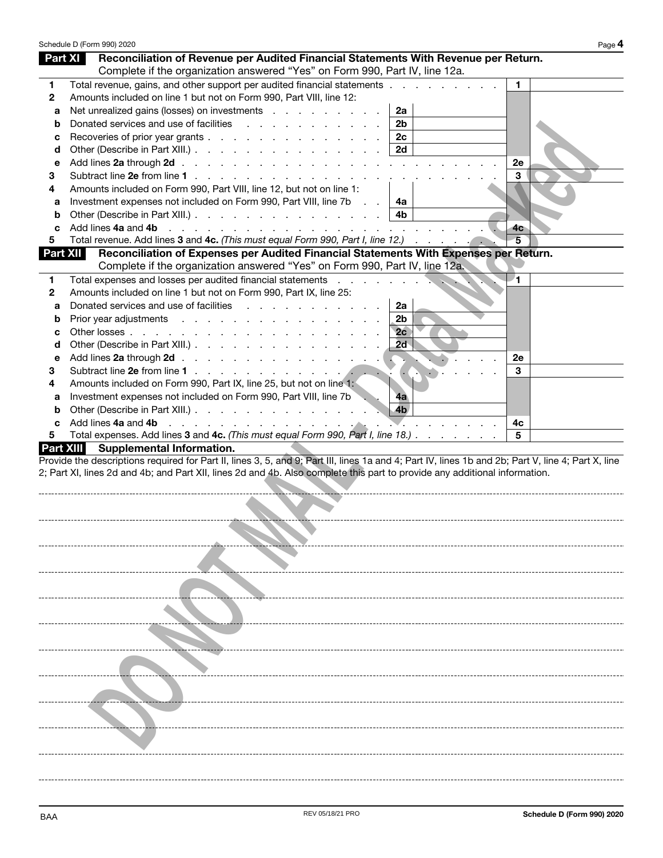|                 | Schedule D (Form 990) 2020                                                                                                                                                                                                                                                       |                      | Page 4 |
|-----------------|----------------------------------------------------------------------------------------------------------------------------------------------------------------------------------------------------------------------------------------------------------------------------------|----------------------|--------|
| Part XI         | Reconciliation of Revenue per Audited Financial Statements With Revenue per Return.                                                                                                                                                                                              |                      |        |
|                 | Complete if the organization answered "Yes" on Form 990, Part IV, line 12a.                                                                                                                                                                                                      |                      |        |
| 1               | Total revenue, gains, and other support per audited financial statements                                                                                                                                                                                                         |                      | 1.     |
| $\mathbf{2}$    | Amounts included on line 1 but not on Form 990, Part VIII, line 12:                                                                                                                                                                                                              |                      |        |
| а               | Net unrealized gains (losses) on investments                                                                                                                                                                                                                                     | 2a                   |        |
| b               | Donated services and use of facilities                                                                                                                                                                                                                                           | 2 <sub>b</sub>       |        |
| с               | Recoveries of prior year grants                                                                                                                                                                                                                                                  | 2c                   |        |
| d               | Other (Describe in Part XIII.)                                                                                                                                                                                                                                                   | 2d                   |        |
| е               |                                                                                                                                                                                                                                                                                  |                      | 2е     |
| 3               |                                                                                                                                                                                                                                                                                  |                      | 3      |
| 4               | Amounts included on Form 990, Part VIII, line 12, but not on line 1:                                                                                                                                                                                                             |                      |        |
| а               | Investment expenses not included on Form 990, Part VIII, line 7b<br><b>Contract</b>                                                                                                                                                                                              | 4a                   |        |
| b               | Other (Describe in Part XIII.)                                                                                                                                                                                                                                                   | 4b                   |        |
| c               |                                                                                                                                                                                                                                                                                  |                      | 4c     |
| 5               | Total revenue. Add lines 3 and 4c. (This must equal Form 990, Part I, line 12.)                                                                                                                                                                                                  |                      | 5      |
| <b>Part XII</b> | Reconciliation of Expenses per Audited Financial Statements With Expenses per Return.                                                                                                                                                                                            |                      |        |
|                 | Complete if the organization answered "Yes" on Form 990, Part IV, line 12a.                                                                                                                                                                                                      |                      | -1     |
| 1               | Total expenses and losses per audited financial statements                                                                                                                                                                                                                       |                      |        |
| $\mathbf{2}$    | Amounts included on line 1 but not on Form 990, Part IX, line 25:                                                                                                                                                                                                                |                      |        |
| а               | Donated services and use of facilities                                                                                                                                                                                                                                           | 2a<br>2 <sub>b</sub> |        |
| b               | Prior year adjustments                                                                                                                                                                                                                                                           | 2 <sub>c</sub>       |        |
| с<br>d          | Other (Describe in Part XIII.)                                                                                                                                                                                                                                                   | 2d                   |        |
| е               |                                                                                                                                                                                                                                                                                  |                      | 2е     |
| 3               |                                                                                                                                                                                                                                                                                  |                      | 3      |
| 4               | Amounts included on Form 990, Part IX, line 25, but not on line 1:                                                                                                                                                                                                               |                      |        |
| а               | Investment expenses not included on Form 990, Part VIII, line 7b                                                                                                                                                                                                                 | 4a                   |        |
| b               | Other (Describe in Part XIII.)                                                                                                                                                                                                                                                   | 4 <sub>b</sub>       |        |
| с               |                                                                                                                                                                                                                                                                                  |                      | 4с     |
| 5               | Total expenses. Add lines 3 and 4c. (This must equal Form 990, Part I, line 18.)                                                                                                                                                                                                 |                      | 5      |
|                 | <b>Supplemental Information.</b><br><b>Part XIII</b>                                                                                                                                                                                                                             |                      |        |
|                 | Provide the descriptions required for Part II, lines 3, 5, and 9; Part III, lines 1a and 4; Part IV, lines 1b and 2b; Part V, line 4; Part X, line<br>2; Part XI, lines 2d and 4b; and Part XII, lines 2d and 4b. Also complete this part to provide any additional information. |                      |        |
|                 |                                                                                                                                                                                                                                                                                  |                      |        |
|                 |                                                                                                                                                                                                                                                                                  |                      |        |
|                 |                                                                                                                                                                                                                                                                                  |                      |        |
|                 |                                                                                                                                                                                                                                                                                  |                      |        |
|                 |                                                                                                                                                                                                                                                                                  |                      |        |
|                 |                                                                                                                                                                                                                                                                                  |                      |        |
|                 |                                                                                                                                                                                                                                                                                  |                      |        |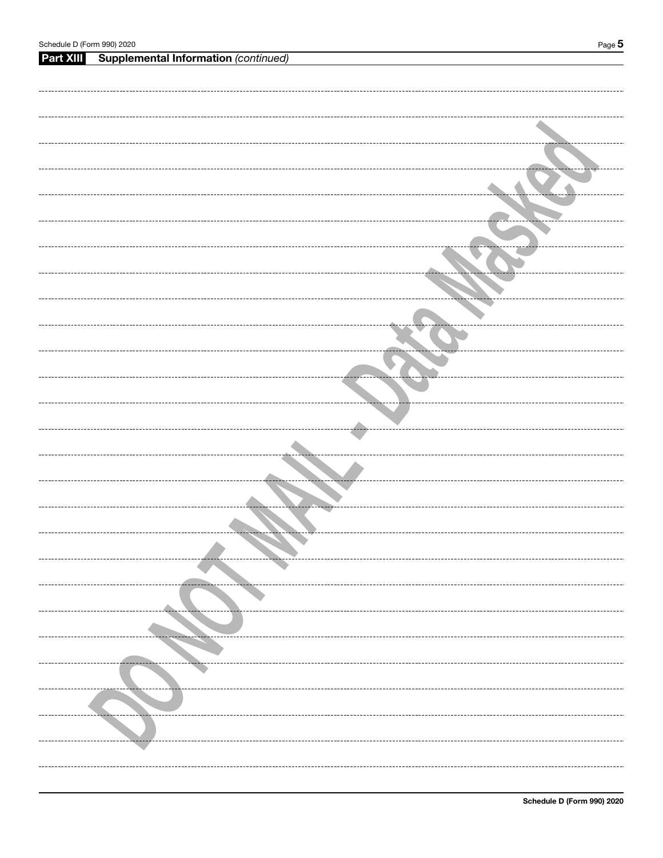| Schedule D (Form 990) 2020 |                                             | $P$ aqe $\bullet$ |
|----------------------------|---------------------------------------------|-------------------|
| <b>Part XIII</b>           | <b>Supplemental Information (continued)</b> |                   |

**Part XIII** 

| <b>.</b>       |
|----------------|
|                |
| . <del>.</del> |
|                |
|                |
|                |
|                |
|                |
|                |
|                |
|                |
|                |
|                |
|                |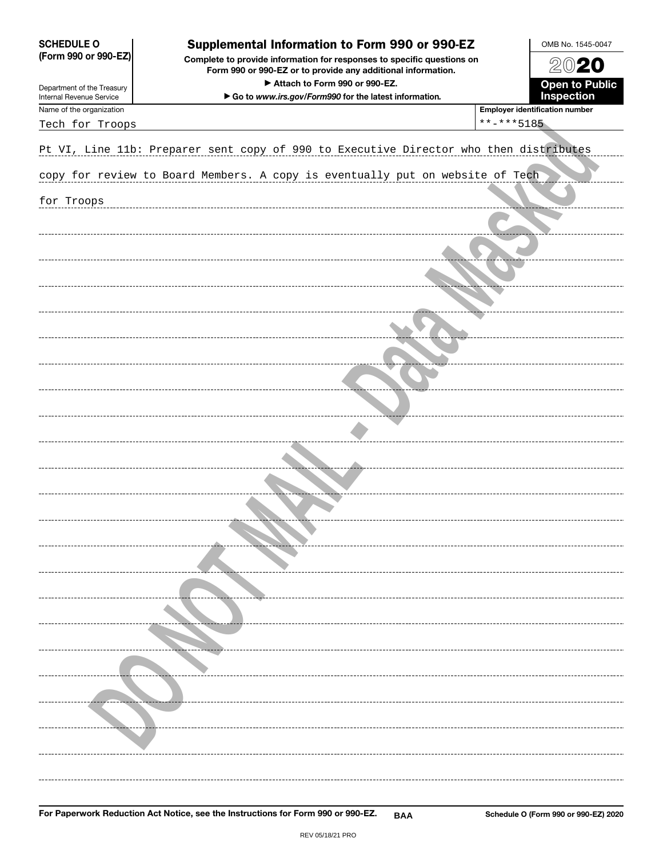| <b>SCHEDULE O</b>                                    | Supplemental Information to Form 990 or 990-EZ                                                                                         |                 | OMB No. 1545-0047                                          |  |  |  |  |  |
|------------------------------------------------------|----------------------------------------------------------------------------------------------------------------------------------------|-----------------|------------------------------------------------------------|--|--|--|--|--|
| (Form 990 or 990-EZ)                                 | Complete to provide information for responses to specific questions on<br>Form 990 or 990-EZ or to provide any additional information. |                 |                                                            |  |  |  |  |  |
| Department of the Treasury                           | Attach to Form 990 or 990-EZ.                                                                                                          |                 | <b>Open to Public</b>                                      |  |  |  |  |  |
| Internal Revenue Service<br>Name of the organization | Go to www.irs.gov/Form990 for the latest information.                                                                                  |                 | <b>Inspection</b><br><b>Employer identification number</b> |  |  |  |  |  |
| Tech for Troops                                      |                                                                                                                                        | $***$ -*** 5185 |                                                            |  |  |  |  |  |
|                                                      |                                                                                                                                        |                 |                                                            |  |  |  |  |  |
|                                                      | Pt VI, Line 11b: Preparer sent copy of 990 to Executive Director who then distributes                                                  |                 |                                                            |  |  |  |  |  |
|                                                      | copy for review to Board Members. A copy is eventually put on website of Tech                                                          |                 |                                                            |  |  |  |  |  |
| for Troops                                           |                                                                                                                                        |                 |                                                            |  |  |  |  |  |
|                                                      |                                                                                                                                        |                 |                                                            |  |  |  |  |  |
|                                                      |                                                                                                                                        |                 |                                                            |  |  |  |  |  |
|                                                      |                                                                                                                                        |                 |                                                            |  |  |  |  |  |
|                                                      |                                                                                                                                        |                 |                                                            |  |  |  |  |  |
|                                                      |                                                                                                                                        |                 |                                                            |  |  |  |  |  |
|                                                      |                                                                                                                                        |                 |                                                            |  |  |  |  |  |
|                                                      |                                                                                                                                        |                 |                                                            |  |  |  |  |  |
|                                                      |                                                                                                                                        |                 |                                                            |  |  |  |  |  |
|                                                      |                                                                                                                                        |                 |                                                            |  |  |  |  |  |
|                                                      |                                                                                                                                        |                 |                                                            |  |  |  |  |  |
|                                                      |                                                                                                                                        |                 |                                                            |  |  |  |  |  |
|                                                      |                                                                                                                                        |                 |                                                            |  |  |  |  |  |
|                                                      |                                                                                                                                        |                 |                                                            |  |  |  |  |  |
|                                                      |                                                                                                                                        |                 |                                                            |  |  |  |  |  |
|                                                      |                                                                                                                                        |                 |                                                            |  |  |  |  |  |
|                                                      |                                                                                                                                        |                 |                                                            |  |  |  |  |  |
|                                                      |                                                                                                                                        |                 |                                                            |  |  |  |  |  |
|                                                      |                                                                                                                                        |                 |                                                            |  |  |  |  |  |
|                                                      |                                                                                                                                        |                 |                                                            |  |  |  |  |  |
|                                                      |                                                                                                                                        |                 |                                                            |  |  |  |  |  |
|                                                      |                                                                                                                                        |                 |                                                            |  |  |  |  |  |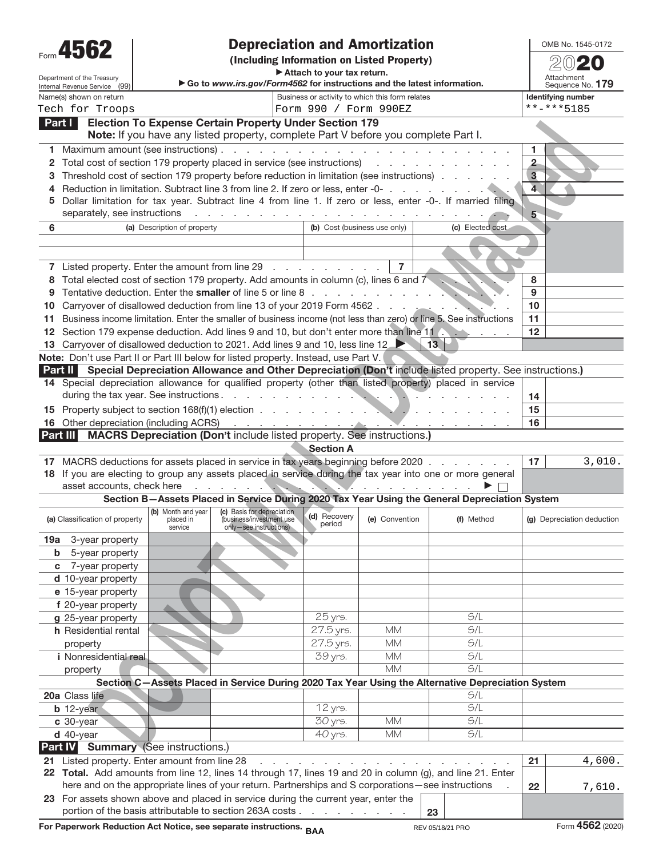| Form 4562                                  |                                                                                            |                                            |                                                                                                                                                                                                                                                                                                                                                                                                                                                                       | <b>Depreciation and Amortization</b>            |                              |                                                                                                                   |                                |  |  |  |  |
|--------------------------------------------|--------------------------------------------------------------------------------------------|--------------------------------------------|-----------------------------------------------------------------------------------------------------------------------------------------------------------------------------------------------------------------------------------------------------------------------------------------------------------------------------------------------------------------------------------------------------------------------------------------------------------------------|-------------------------------------------------|------------------------------|-------------------------------------------------------------------------------------------------------------------|--------------------------------|--|--|--|--|
| (Including Information on Listed Property) |                                                                                            |                                            |                                                                                                                                                                                                                                                                                                                                                                                                                                                                       |                                                 |                              |                                                                                                                   |                                |  |  |  |  |
|                                            | Department of the Treasury                                                                 |                                            | Go to www.irs.gov/Form4562 for instructions and the latest information.                                                                                                                                                                                                                                                                                                                                                                                               | Attach to your tax return.                      |                              |                                                                                                                   | Attachment<br>Sequence No. 179 |  |  |  |  |
|                                            | Internal Revenue Service (99)<br>Name(s) shown on return                                   |                                            |                                                                                                                                                                                                                                                                                                                                                                                                                                                                       | Business or activity to which this form relates |                              |                                                                                                                   | Identifying number             |  |  |  |  |
|                                            | Tech for Troops                                                                            | **-***5185                                 |                                                                                                                                                                                                                                                                                                                                                                                                                                                                       |                                                 |                              |                                                                                                                   |                                |  |  |  |  |
|                                            | Part I                                                                                     |                                            | <b>Election To Expense Certain Property Under Section 179</b>                                                                                                                                                                                                                                                                                                                                                                                                         | Form 990 / Form 990EZ                           |                              |                                                                                                                   |                                |  |  |  |  |
|                                            |                                                                                            |                                            | Note: If you have any listed property, complete Part V before you complete Part I.                                                                                                                                                                                                                                                                                                                                                                                    |                                                 |                              |                                                                                                                   |                                |  |  |  |  |
|                                            |                                                                                            |                                            |                                                                                                                                                                                                                                                                                                                                                                                                                                                                       |                                                 |                              |                                                                                                                   | 1                              |  |  |  |  |
| 2                                          |                                                                                            |                                            | Total cost of section 179 property placed in service (see instructions)                                                                                                                                                                                                                                                                                                                                                                                               |                                                 |                              | the contract of the contract of the contract of the contract of the contract of the contract of the contract of   | $\overline{2}$                 |  |  |  |  |
|                                            | 3 Threshold cost of section 179 property before reduction in limitation (see instructions) |                                            |                                                                                                                                                                                                                                                                                                                                                                                                                                                                       |                                                 |                              |                                                                                                                   |                                |  |  |  |  |
| 4                                          |                                                                                            |                                            | Reduction in limitation. Subtract line 3 from line 2. If zero or less, enter -0-                                                                                                                                                                                                                                                                                                                                                                                      |                                                 |                              |                                                                                                                   | $\overline{4}$                 |  |  |  |  |
| 5                                          |                                                                                            |                                            |                                                                                                                                                                                                                                                                                                                                                                                                                                                                       |                                                 |                              | Dollar limitation for tax year. Subtract line 4 from line 1. If zero or less, enter -0-. If married filing        |                                |  |  |  |  |
|                                            | separately, see instructions                                                               |                                            | the contract of the contract of the contract of the contract of the contract of                                                                                                                                                                                                                                                                                                                                                                                       |                                                 |                              |                                                                                                                   | $5\overline{ }$                |  |  |  |  |
| 6                                          |                                                                                            | (a) Description of property                |                                                                                                                                                                                                                                                                                                                                                                                                                                                                       |                                                 | (b) Cost (business use only) | (c) Elected cost                                                                                                  |                                |  |  |  |  |
|                                            |                                                                                            |                                            |                                                                                                                                                                                                                                                                                                                                                                                                                                                                       |                                                 |                              |                                                                                                                   |                                |  |  |  |  |
|                                            |                                                                                            |                                            |                                                                                                                                                                                                                                                                                                                                                                                                                                                                       |                                                 | $\overline{7}$               |                                                                                                                   |                                |  |  |  |  |
|                                            |                                                                                            |                                            | 7 Listed property. Enter the amount from line 29<br>8 Total elected cost of section 179 property. Add amounts in column (c), lines 6 and 7                                                                                                                                                                                                                                                                                                                            |                                                 |                              |                                                                                                                   | 8                              |  |  |  |  |
| 9                                          |                                                                                            |                                            | Tentative deduction. Enter the smaller of line 5 or line 8                                                                                                                                                                                                                                                                                                                                                                                                            |                                                 |                              |                                                                                                                   | 9                              |  |  |  |  |
| 10                                         |                                                                                            |                                            | Carryover of disallowed deduction from line 13 of your 2019 Form 4562                                                                                                                                                                                                                                                                                                                                                                                                 |                                                 |                              | $\bullet$ .                                                                                                       | 10                             |  |  |  |  |
| 11                                         |                                                                                            |                                            |                                                                                                                                                                                                                                                                                                                                                                                                                                                                       |                                                 |                              | Business income limitation. Enter the smaller of business income (not less than zero) or line 5. See instructions | 11                             |  |  |  |  |
|                                            |                                                                                            |                                            |                                                                                                                                                                                                                                                                                                                                                                                                                                                                       |                                                 |                              | 12 Section 179 expense deduction. Add lines 9 and 10, but don't enter more than line 11                           | 12                             |  |  |  |  |
|                                            |                                                                                            |                                            | 13 Carryover of disallowed deduction to 2021. Add lines 9 and 10, less line 12                                                                                                                                                                                                                                                                                                                                                                                        |                                                 |                              | . 13.                                                                                                             |                                |  |  |  |  |
|                                            |                                                                                            |                                            | Note: Don't use Part II or Part III below for listed property. Instead, use Part V.                                                                                                                                                                                                                                                                                                                                                                                   |                                                 |                              |                                                                                                                   |                                |  |  |  |  |
|                                            |                                                                                            |                                            |                                                                                                                                                                                                                                                                                                                                                                                                                                                                       |                                                 |                              | Part II Special Depreciation Allowance and Other Depreciation (Don't include listed property. See instructions.)  |                                |  |  |  |  |
|                                            |                                                                                            |                                            |                                                                                                                                                                                                                                                                                                                                                                                                                                                                       |                                                 |                              | 14 Special depreciation allowance for qualified property (other than listed property) placed in service           |                                |  |  |  |  |
|                                            |                                                                                            |                                            | during the tax year. See instructions.                                                                                                                                                                                                                                                                                                                                                                                                                                |                                                 |                              |                                                                                                                   | 14                             |  |  |  |  |
|                                            |                                                                                            |                                            |                                                                                                                                                                                                                                                                                                                                                                                                                                                                       |                                                 |                              |                                                                                                                   | 15                             |  |  |  |  |
|                                            |                                                                                            |                                            |                                                                                                                                                                                                                                                                                                                                                                                                                                                                       |                                                 |                              |                                                                                                                   | 16                             |  |  |  |  |
|                                            | Part III                                                                                   |                                            | <b>MACRS Depreciation (Don't include listed property. See instructions.)</b>                                                                                                                                                                                                                                                                                                                                                                                          |                                                 |                              |                                                                                                                   |                                |  |  |  |  |
|                                            |                                                                                            |                                            |                                                                                                                                                                                                                                                                                                                                                                                                                                                                       | <b>Section A</b>                                |                              | 17 MACRS deductions for assets placed in service in tax years beginning before 2020                               | 17                             |  |  |  |  |
|                                            |                                                                                            |                                            |                                                                                                                                                                                                                                                                                                                                                                                                                                                                       |                                                 |                              | 18 If you are electing to group any assets placed in service during the tax year into one or more general         | 3,010.                         |  |  |  |  |
|                                            | asset accounts, check here                                                                 |                                            | $\mathcal{L}^{\mathcal{A}}(\mathcal{A})=\mathcal{L}^{\mathcal{A}}(\mathcal{A})=\mathcal{L}^{\mathcal{A}}(\mathcal{A})=\mathcal{L}^{\mathcal{A}}(\mathcal{A})=\mathcal{L}^{\mathcal{A}}(\mathcal{A})=\mathcal{L}^{\mathcal{A}}(\mathcal{A})=\mathcal{L}^{\mathcal{A}}(\mathcal{A})=\mathcal{L}^{\mathcal{A}}(\mathcal{A})=\mathcal{L}^{\mathcal{A}}(\mathcal{A})=\mathcal{L}^{\mathcal{A}}(\mathcal{A})=\mathcal{L}^{\mathcal{A}}(\mathcal{A})=\mathcal{L}^{\mathcal{$ |                                                 |                              |                                                                                                                   |                                |  |  |  |  |
|                                            |                                                                                            |                                            |                                                                                                                                                                                                                                                                                                                                                                                                                                                                       |                                                 |                              | Section B-Assets Placed in Service During 2020 Tax Year Using the General Depreciation System                     |                                |  |  |  |  |
|                                            | (a) Classification of property                                                             | (b) Month and year<br>placed in<br>service | (c) Basis for depreciation<br>(business/investment use<br>only-see instructions)                                                                                                                                                                                                                                                                                                                                                                                      | (d) Recovery<br>period                          | (e) Convention               | (f) Method                                                                                                        | (g) Depreciation deduction     |  |  |  |  |
| 19a                                        | 3-year property                                                                            |                                            |                                                                                                                                                                                                                                                                                                                                                                                                                                                                       |                                                 |                              |                                                                                                                   |                                |  |  |  |  |
| b                                          | 5-year property                                                                            |                                            |                                                                                                                                                                                                                                                                                                                                                                                                                                                                       |                                                 |                              |                                                                                                                   |                                |  |  |  |  |
| С                                          | 7-year property                                                                            |                                            |                                                                                                                                                                                                                                                                                                                                                                                                                                                                       |                                                 |                              |                                                                                                                   |                                |  |  |  |  |
|                                            | d 10-year property                                                                         |                                            |                                                                                                                                                                                                                                                                                                                                                                                                                                                                       |                                                 |                              |                                                                                                                   |                                |  |  |  |  |
|                                            | e 15-year property                                                                         |                                            |                                                                                                                                                                                                                                                                                                                                                                                                                                                                       |                                                 |                              |                                                                                                                   |                                |  |  |  |  |
|                                            | f 20-year property                                                                         |                                            |                                                                                                                                                                                                                                                                                                                                                                                                                                                                       |                                                 |                              |                                                                                                                   |                                |  |  |  |  |
|                                            | g 25-year property                                                                         |                                            |                                                                                                                                                                                                                                                                                                                                                                                                                                                                       | 25 yrs.                                         |                              | S/L                                                                                                               |                                |  |  |  |  |
|                                            | h Residential rental                                                                       |                                            |                                                                                                                                                                                                                                                                                                                                                                                                                                                                       | 27.5 yrs.                                       | МM                           | S/L<br>S/L                                                                                                        |                                |  |  |  |  |
|                                            | property<br><i>i</i> Nonresidential real                                                   |                                            |                                                                                                                                                                                                                                                                                                                                                                                                                                                                       | 27.5 yrs.<br>39 yrs.                            | МM<br>МM                     | S/L                                                                                                               |                                |  |  |  |  |
|                                            | property                                                                                   |                                            |                                                                                                                                                                                                                                                                                                                                                                                                                                                                       |                                                 | <b>MM</b>                    | 5/L                                                                                                               |                                |  |  |  |  |
|                                            |                                                                                            |                                            |                                                                                                                                                                                                                                                                                                                                                                                                                                                                       |                                                 |                              | Section C-Assets Placed in Service During 2020 Tax Year Using the Alternative Depreciation System                 |                                |  |  |  |  |
|                                            | 20a Class life                                                                             |                                            |                                                                                                                                                                                                                                                                                                                                                                                                                                                                       |                                                 |                              | S/L                                                                                                               |                                |  |  |  |  |
|                                            | $b$ 12-year                                                                                |                                            |                                                                                                                                                                                                                                                                                                                                                                                                                                                                       | 12 yrs.                                         |                              | S/L                                                                                                               |                                |  |  |  |  |
|                                            | c 30-year                                                                                  |                                            |                                                                                                                                                                                                                                                                                                                                                                                                                                                                       | 30 yrs.                                         | МM                           | S/L                                                                                                               |                                |  |  |  |  |
|                                            | $d$ 40-year                                                                                |                                            |                                                                                                                                                                                                                                                                                                                                                                                                                                                                       | 40 yrs.                                         | MМ                           | S/L                                                                                                               |                                |  |  |  |  |
|                                            | Part IV                                                                                    | <b>Summary (See instructions.)</b>         |                                                                                                                                                                                                                                                                                                                                                                                                                                                                       |                                                 |                              |                                                                                                                   |                                |  |  |  |  |
|                                            | 21 Listed property. Enter amount from line 28                                              |                                            |                                                                                                                                                                                                                                                                                                                                                                                                                                                                       |                                                 |                              |                                                                                                                   | 21<br>4,600.                   |  |  |  |  |
|                                            |                                                                                            |                                            |                                                                                                                                                                                                                                                                                                                                                                                                                                                                       |                                                 |                              | 22 Total. Add amounts from line 12, lines 14 through 17, lines 19 and 20 in column (g), and line 21. Enter        |                                |  |  |  |  |
|                                            |                                                                                            |                                            | here and on the appropriate lines of your return. Partnerships and S corporations-see instructions                                                                                                                                                                                                                                                                                                                                                                    |                                                 |                              |                                                                                                                   | 22<br>7,610.                   |  |  |  |  |
|                                            |                                                                                            |                                            | 23 For assets shown above and placed in service during the current year, enter the<br>portion of the basis attributable to section 263A costs                                                                                                                                                                                                                                                                                                                         |                                                 |                              | 23                                                                                                                |                                |  |  |  |  |